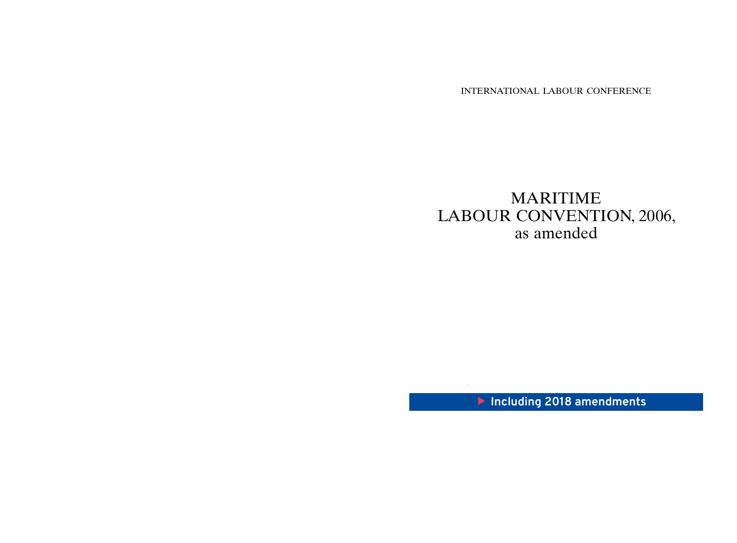INTERNATIONAL LABOUR CONFERENCE

# MARITIME LABOUR CONVENTION, 2006, as amended **Including 2018 amendments**

**Including 2018 amendments**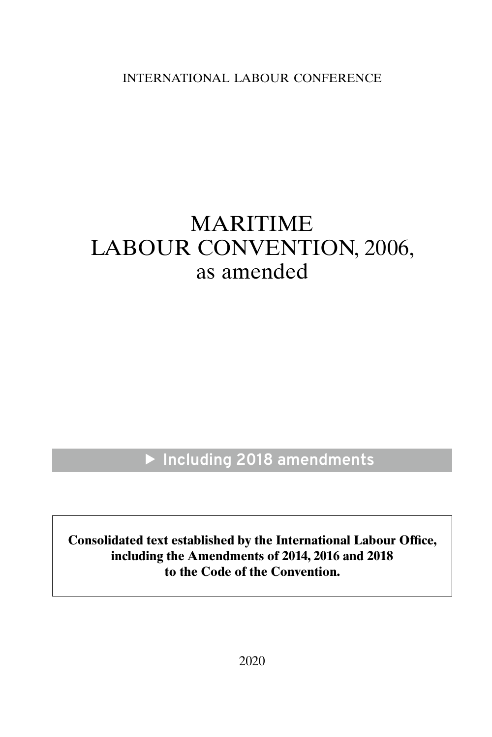INTERNATIONAL LABOUR CONFERENCE

# MARITIME LABOUR CONVENTION, 2006, as amended

**Including 2018 amendments**

**Consolidated text established by the International Labour Office, including the Amendments of 2014, 2016 and 2018 to the Code of the Convention.**

2020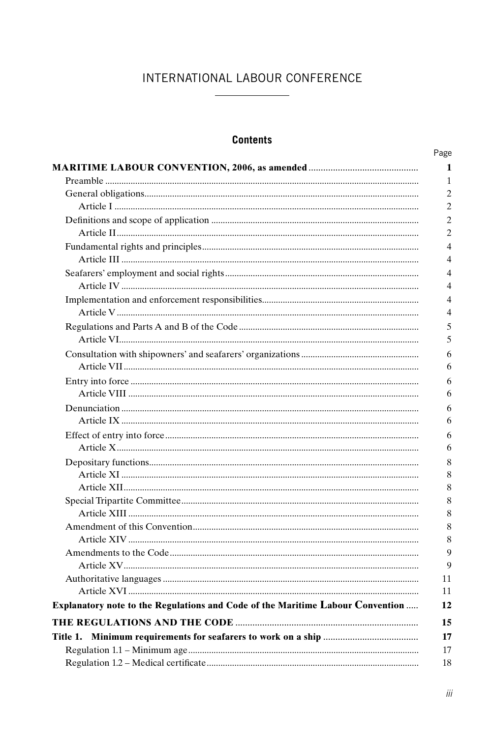## INTERNATIONAL LABOUR CONFERENCE

 $\overline{a}$ 

 $\overline{a}$ 

## **Contents**

| Explanatory note to the Regulations and Code of the Maritime Labour Convention |  |
|--------------------------------------------------------------------------------|--|
|                                                                                |  |
|                                                                                |  |
|                                                                                |  |
|                                                                                |  |

Page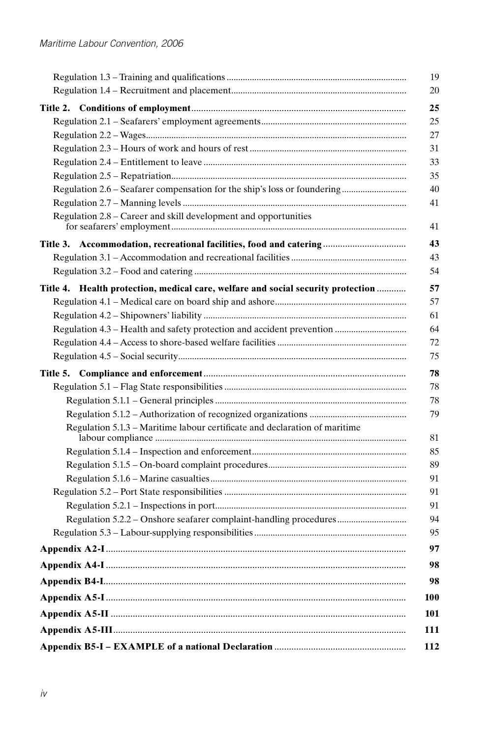|                                                                                  | 19  |
|----------------------------------------------------------------------------------|-----|
|                                                                                  | 20  |
|                                                                                  | 25  |
|                                                                                  | 25  |
|                                                                                  | 27  |
|                                                                                  | 31  |
|                                                                                  | 33  |
|                                                                                  | 35  |
| Regulation 2.6 – Seafarer compensation for the ship's loss or foundering         | 40  |
|                                                                                  | 41  |
| Regulation 2.8 – Career and skill development and opportunities                  | 41  |
| Title 3. Accommodation, recreational facilities, food and catering               | 43  |
|                                                                                  | 43  |
|                                                                                  | 54  |
| Title 4. Health protection, medical care, welfare and social security protection | 57  |
|                                                                                  | 57  |
|                                                                                  | 61  |
| Regulation 4.3 – Health and safety protection and accident prevention            | 64  |
|                                                                                  | 72  |
|                                                                                  | 75  |
|                                                                                  | 78  |
|                                                                                  | 78  |
|                                                                                  | 78  |
|                                                                                  | 79  |
| Regulation 5.1.3 – Maritime labour certificate and declaration of maritime       | 81  |
|                                                                                  | 85  |
|                                                                                  | 89  |
|                                                                                  | 91  |
|                                                                                  | 91  |
|                                                                                  | 91  |
| Regulation 5.2.2 – Onshore seafarer complaint-handling procedures                | 94  |
|                                                                                  | 95  |
|                                                                                  | 97  |
|                                                                                  | 98  |
|                                                                                  | 98  |
|                                                                                  | 100 |
|                                                                                  | 101 |
|                                                                                  | 111 |
|                                                                                  | 112 |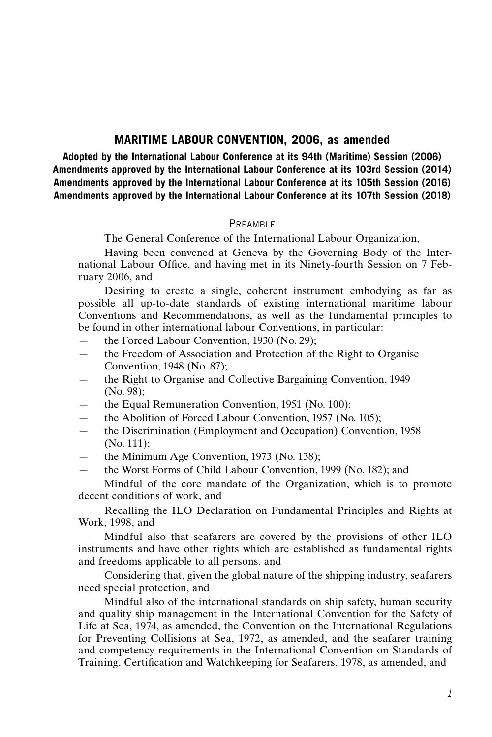## **MARITIME LABOUR CONVENTION, 2006, as amended**

<span id="page-4-0"></span>**Adopted by the International Labour Conference at its 94th (Maritime) Session (2006) Amendments approved by the International Labour Conference at its 103rd Session (2014) Amendments approved by the International Labour Conference at its 105th Session (2016) Amendments approved by the International Labour Conference at its 107th Session (2018)**

## PRFAMBLE

The General Conference of the International Labour Organization,

Having been convened at Geneva by the Governing Body of the International Labour Office, and having met in its Ninety-fourth Session on 7 February 2006, and

Desiring to create a single, coherent instrument embodying as far as possible all up-to-date standards of existing international maritime labour Conventions and Recommendations, as well as the fundamental principles to be found in other international labour Conventions, in particular:

- the Forced Labour Convention, 1930 (No. 29);
- the Freedom of Association and Protection of the Right to Organise Convention, 1948 (No. 87);
- the Right to Organise and Collective Bargaining Convention, 1949 (No. 98);
- the Equal Remuneration Convention, 1951 (No. 100);
- the Abolition of Forced Labour Convention, 1957 (No. 105);
- the Discrimination (Employment and Occupation) Convention, 1958 (No. 111);
- the Minimum Age Convention, 1973 (No. 138);
- the Worst Forms of Child Labour Convention, 1999 (No. 182); and

Mindful of the core mandate of the Organization, which is to promote decent conditions of work, and

Recalling the ILO Declaration on Fundamental Principles and Rights at Work, 1998, and

Mindful also that seafarers are covered by the provisions of other ILO instruments and have other rights which are established as fundamental rights and freedoms applicable to all persons, and

Considering that, given the global nature of the shipping industry, seafarers need special protection, and

Mindful also of the international standards on ship safety, human security and quality ship management in the International Convention for the Safety of Life at Sea, 1974, as amended, the Convention on the International Regulations for Preventing Collisions at Sea, 1972, as amended, and the seafarer training and competency requirements in the International Convention on Standards of Training, Certification and Watchkeeping for Seafarers, 1978, as amended, and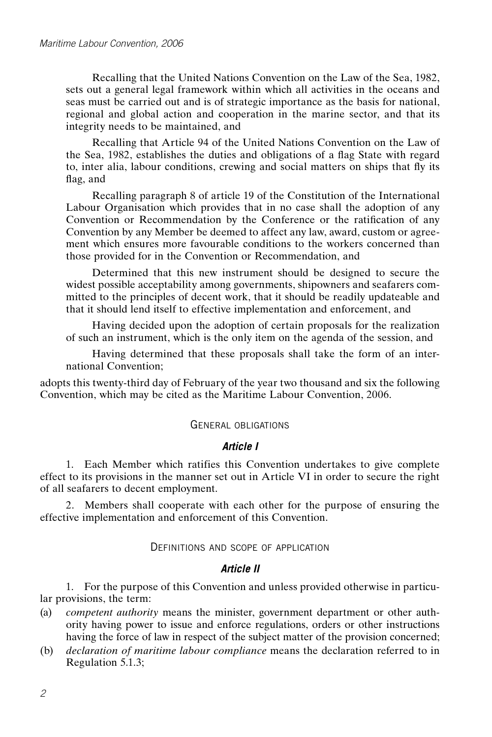<span id="page-5-0"></span>Recalling that the United Nations Convention on the Law of the Sea, 1982, sets out a general legal framework within which all activities in the oceans and seas must be carried out and is of strategic importance as the basis for national, regional and global action and cooperation in the marine sector, and that its integrity needs to be maintained, and

Recalling that Article 94 of the United Nations Convention on the Law of the Sea, 1982, establishes the duties and obligations of a flag State with regard to, inter alia, labour conditions, crewing and social matters on ships that fly its flag, and

Recalling paragraph 8 of article 19 of the Constitution of the International Labour Organisation which provides that in no case shall the adoption of any Convention or Recommendation by the Conference or the ratification of any Convention by any Member be deemed to affect any law, award, custom or agreement which ensures more favourable conditions to the workers concerned than those provided for in the Convention or Recommendation, and

Determined that this new instrument should be designed to secure the widest possible acceptability among governments, shipowners and seafarers committed to the principles of decent work, that it should be readily updateable and that it should lend itself to effective implementation and enforcement, and

Having decided upon the adoption of certain proposals for the realization of such an instrument, which is the only item on the agenda of the session, and

Having determined that these proposals shall take the form of an international Convention;

adopts this twenty-third day of February of the year two thousand and six the following Convention, which may be cited as the Maritime Labour Convention, 2006.

## General obligations

#### *Article I*

1. Each Member which ratifies this Convention undertakes to give complete effect to its provisions in the manner set out in Article VI in order to secure the right of all seafarers to decent employment.

2. Members shall cooperate with each other for the purpose of ensuring the effective implementation and enforcement of this Convention.

#### Definitions and scope of application

#### *Article II*

1. For the purpose of this Convention and unless provided otherwise in particular provisions, the term:

- (a) *competent authority* means the minister, government department or other authority having power to issue and enforce regulations, orders or other instructions having the force of law in respect of the subject matter of the provision concerned;
- (b) *declaration of maritime labour compliance* means the declaration referred to in Regulation 5.1.3;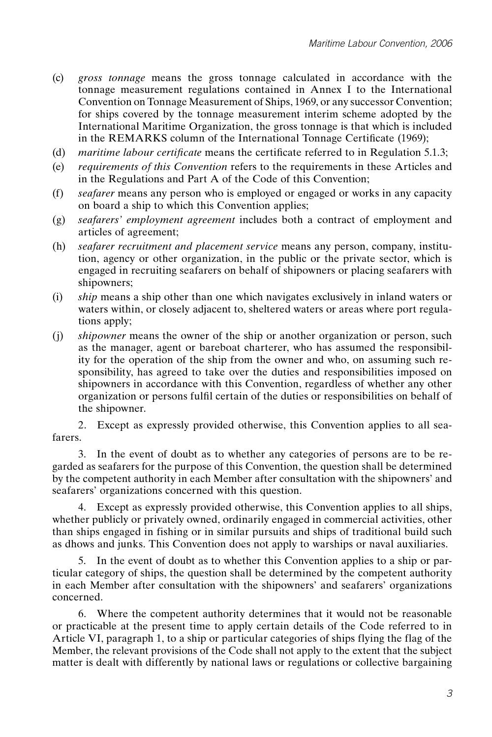- (c) *gross tonnage* means the gross tonnage calculated in accordance with the tonnage measurement regulations contained in Annex I to the International Convention on Tonnage Measurement of Ships, 1969, or any successor Convention; for ships covered by the tonnage measurement interim scheme adopted by the International Maritime Organization, the gross tonnage is that which is included in the REMARKS column of the International Tonnage Certificate (1969);
- (d) *maritime labour certificate* means the certificate referred to in Regulation 5.1.3;
- (e) *requirements of this Convention* refers to the requirements in these Articles and in the Regulations and Part A of the Code of this Convention;
- (f) *seafarer* means any person who is employed or engaged or works in any capacity on board a ship to which this Convention applies;
- (g) *seafarers' employment agreement* includes both a contract of employment and articles of agreement;
- (h) *seafarer recruitment and placement service* means any person, company, institution, agency or other organization, in the public or the private sector, which is engaged in recruiting seafarers on behalf of shipowners or placing seafarers with shipowners;
- (i) *ship* means a ship other than one which navigates exclusively in inland waters or waters within, or closely adjacent to, sheltered waters or areas where port regulations apply;
- (j) *shipowner* means the owner of the ship or another organization or person, such as the manager, agent or bareboat charterer, who has assumed the responsibility for the operation of the ship from the owner and who, on assuming such responsibility, has agreed to take over the duties and responsibilities imposed on shipowners in accordance with this Convention, regardless of whether any other organization or persons fulfil certain of the duties or responsibilities on behalf of the shipowner.

2. Except as expressly provided otherwise, this Convention applies to all seafarers.

3. In the event of doubt as to whether any categories of persons are to be regarded as seafarers for the purpose of this Convention, the question shall be determined by the competent authority in each Member after consultation with the shipowners' and seafarers' organizations concerned with this question.

4. Except as expressly provided otherwise, this Convention applies to all ships, whether publicly or privately owned, ordinarily engaged in commercial activities, other than ships engaged in fishing or in similar pursuits and ships of traditional build such as dhows and junks. This Convention does not apply to warships or naval auxiliaries.

5. In the event of doubt as to whether this Convention applies to a ship or particular category of ships, the question shall be determined by the competent authority in each Member after consultation with the shipowners' and seafarers' organizations concerned.

6. Where the competent authority determines that it would not be reasonable or practicable at the present time to apply certain details of the Code referred to in Article VI, paragraph 1, to a ship or particular categories of ships flying the flag of the Member, the relevant provisions of the Code shall not apply to the extent that the subject matter is dealt with differently by national laws or regulations or collective bargaining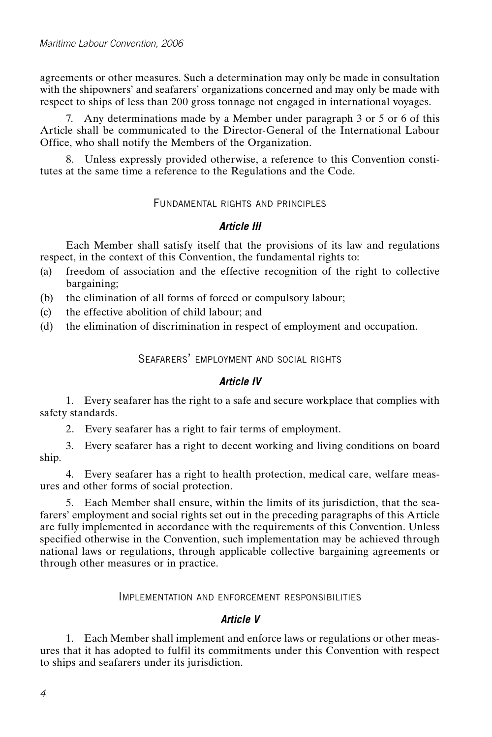<span id="page-7-0"></span>agreements or other measures. Such a determination may only be made in consultation with the shipowners' and seafarers' organizations concerned and may only be made with respect to ships of less than 200 gross tonnage not engaged in international voyages.

7. Any determinations made by a Member under paragraph 3 or 5 or 6 of this Article shall be communicated to the Director-General of the International Labour Office, who shall notify the Members of the Organization.

8. Unless expressly provided otherwise, a reference to this Convention constitutes at the same time a reference to the Regulations and the Code.

#### Fundamental rights and principles

## *Article III*

Each Member shall satisfy itself that the provisions of its law and regulations respect, in the context of this Convention, the fundamental rights to:

- (a) freedom of association and the effective recognition of the right to collective bargaining;
- (b) the elimination of all forms of forced or compulsory labour;
- (c) the effective abolition of child labour; and
- (d) the elimination of discrimination in respect of employment and occupation.

## Seafarers' employment and social rights

#### *Article IV*

1. Every seafarer has the right to a safe and secure workplace that complies with safety standards.

2. Every seafarer has a right to fair terms of employment.

3. Every seafarer has a right to decent working and living conditions on board ship.

4. Every seafarer has a right to health protection, medical care, welfare measures and other forms of social protection.

5. Each Member shall ensure, within the limits of its jurisdiction, that the seafarers' employment and social rights set out in the preceding paragraphs of this Article are fully implemented in accordance with the requirements of this Convention. Unless specified otherwise in the Convention, such implementation may be achieved through national laws or regulations, through applicable collective bargaining agreements or through other measures or in practice.

#### Implementation and enforcement responsibilities

## *Article V*

1. Each Member shall implement and enforce laws or regulations or other measures that it has adopted to fulfil its commitments under this Convention with respect to ships and seafarers under its jurisdiction.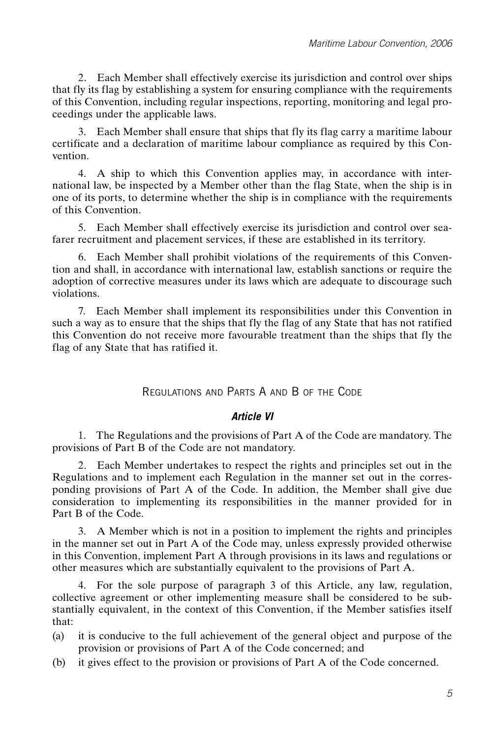<span id="page-8-0"></span>2. Each Member shall effectively exercise its jurisdiction and control over ships that fly its flag by establishing a system for ensuring compliance with the requirements of this Convention, including regular inspections, reporting, monitoring and legal proceedings under the applicable laws.

3. Each Member shall ensure that ships that fly its flag carry a maritime labour certificate and a declaration of maritime labour compliance as required by this Convention.

4. A ship to which this Convention applies may, in accordance with international law, be inspected by a Member other than the flag State, when the ship is in one of its ports, to determine whether the ship is in compliance with the requirements of this Convention.

5. Each Member shall effectively exercise its jurisdiction and control over seafarer recruitment and placement services, if these are established in its territory.

6. Each Member shall prohibit violations of the requirements of this Convention and shall, in accordance with international law, establish sanctions or require the adoption of corrective measures under its laws which are adequate to discourage such violations.

7. Each Member shall implement its responsibilities under this Convention in such a way as to ensure that the ships that fly the flag of any State that has not ratified this Convention do not receive more favourable treatment than the ships that fly the flag of any State that has ratified it.

## Regulations and Parts A and B of the Code

## *Article VI*

1. The Regulations and the provisions of Part A of the Code are mandatory. The provisions of Part B of the Code are not mandatory.

2. Each Member undertakes to respect the rights and principles set out in the Regulations and to implement each Regulation in the manner set out in the corresponding provisions of Part A of the Code. In addition, the Member shall give due consideration to implementing its responsibilities in the manner provided for in Part B of the Code.

3. A Member which is not in a position to implement the rights and principles in the manner set out in Part A of the Code may, unless expressly provided otherwise in this Convention, implement Part A through provisions in its laws and regulations or other measures which are substantially equivalent to the provisions of Part A.

4. For the sole purpose of paragraph 3 of this Article, any law, regulation, collective agreement or other implementing measure shall be considered to be substantially equivalent, in the context of this Convention, if the Member satisfies itself that:

- (a) it is conducive to the full achievement of the general object and purpose of the provision or provisions of Part A of the Code concerned; and
- (b) it gives effect to the provision or provisions of Part A of the Code concerned.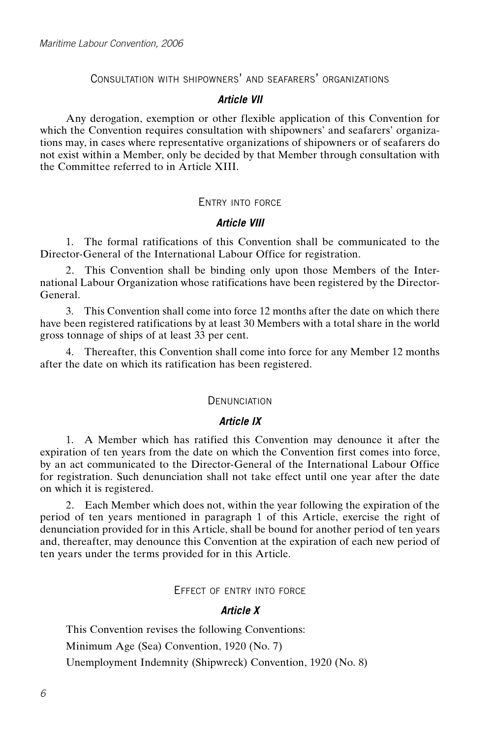## <span id="page-9-0"></span>Consultation with shipowners' and seafarers' organizations

#### *Article VII*

Any derogation, exemption or other flexible application of this Convention for which the Convention requires consultation with shipowners' and seafarers' organizations may, in cases where representative organizations of shipowners or of seafarers do not exist within a Member, only be decided by that Member through consultation with the Committee referred to in Article XIII.

#### Entry into force

## *Article VIII*

1. The formal ratifications of this Convention shall be communicated to the Director-General of the International Labour Office for registration.

2. This Convention shall be binding only upon those Members of the International Labour Organization whose ratifications have been registered by the Director-General.

3. This Convention shall come into force 12 months after the date on which there have been registered ratifications by at least 30 Members with a total share in the world gross tonnage of ships of at least 33 per cent.

4. Thereafter, this Convention shall come into force for any Member 12 months after the date on which its ratification has been registered.

#### **DENUNCIATION**

#### *Article IX*

1. A Member which has ratified this Convention may denounce it after the expiration of ten years from the date on which the Convention first comes into force, by an act communicated to the Director-General of the International Labour Office for registration. Such denunciation shall not take effect until one year after the date on which it is registered.

2. Each Member which does not, within the year following the expiration of the period of ten years mentioned in paragraph 1 of this Article, exercise the right of denunciation provided for in this Article, shall be bound for another period of ten years and, thereafter, may denounce this Convention at the expiration of each new period of ten years under the terms provided for in this Article.

Effect of entry into force

## *Article X*

This Convention revises the following Conventions: Minimum Age (Sea) Convention, 1920 (No. 7) Unemployment Indemnity (Shipwreck) Convention, 1920 (No. 8)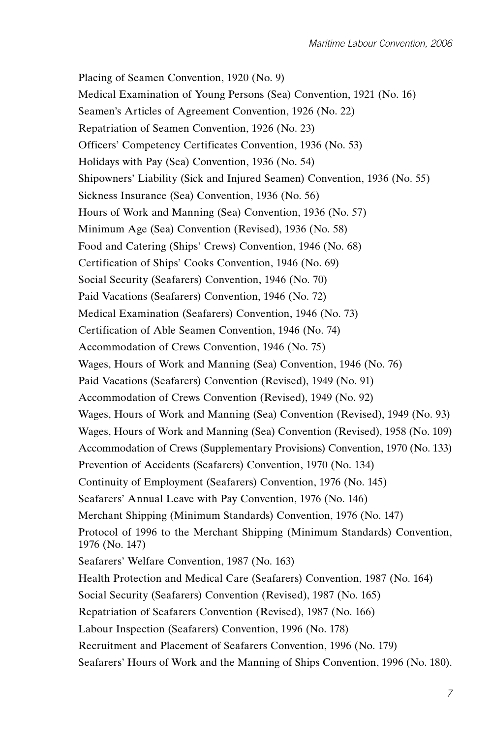Placing of Seamen Convention, 1920 (No. 9) Medical Examination of Young Persons (Sea) Convention, 1921 (No. 16) Seamen's Articles of Agreement Convention, 1926 (No. 22) Repatriation of Seamen Convention, 1926 (No. 23) Officers' Competency Certificates Convention, 1936 (No. 53) Holidays with Pay (Sea) Convention, 1936 (No. 54) Shipowners' Liability (Sick and Injured Seamen) Convention, 1936 (No. 55) Sickness Insurance (Sea) Convention, 1936 (No. 56) Hours of Work and Manning (Sea) Convention, 1936 (No. 57) Minimum Age (Sea) Convention (Revised), 1936 (No. 58) Food and Catering (Ships' Crews) Convention, 1946 (No. 68) Certification of Ships' Cooks Convention, 1946 (No. 69) Social Security (Seafarers) Convention, 1946 (No. 70) Paid Vacations (Seafarers) Convention, 1946 (No. 72) Medical Examination (Seafarers) Convention, 1946 (No. 73) Certification of Able Seamen Convention, 1946 (No. 74) Accommodation of Crews Convention, 1946 (No. 75) Wages, Hours of Work and Manning (Sea) Convention, 1946 (No. 76) Paid Vacations (Seafarers) Convention (Revised), 1949 (No. 91) Accommodation of Crews Convention (Revised), 1949 (No. 92) Wages, Hours of Work and Manning (Sea) Convention (Revised), 1949 (No. 93) Wages, Hours of Work and Manning (Sea) Convention (Revised), 1958 (No. 109) Accommodation of Crews (Supplementary Provisions) Convention, 1970 (No. 133) Prevention of Accidents (Seafarers) Convention, 1970 (No. 134) Continuity of Employment (Seafarers) Convention, 1976 (No. 145) Seafarers' Annual Leave with Pay Convention, 1976 (No. 146) Merchant Shipping (Minimum Standards) Convention, 1976 (No. 147) Protocol of 1996 to the Merchant Shipping (Minimum Standards) Convention, 1976 (No. 147) Seafarers' Welfare Convention, 1987 (No. 163) Health Protection and Medical Care (Seafarers) Convention, 1987 (No. 164) Social Security (Seafarers) Convention (Revised), 1987 (No. 165) Repatriation of Seafarers Convention (Revised), 1987 (No. 166) Labour Inspection (Seafarers) Convention, 1996 (No. 178) Recruitment and Placement of Seafarers Convention, 1996 (No. 179) Seafarers' Hours of Work and the Manning of Ships Convention, 1996 (No. 180).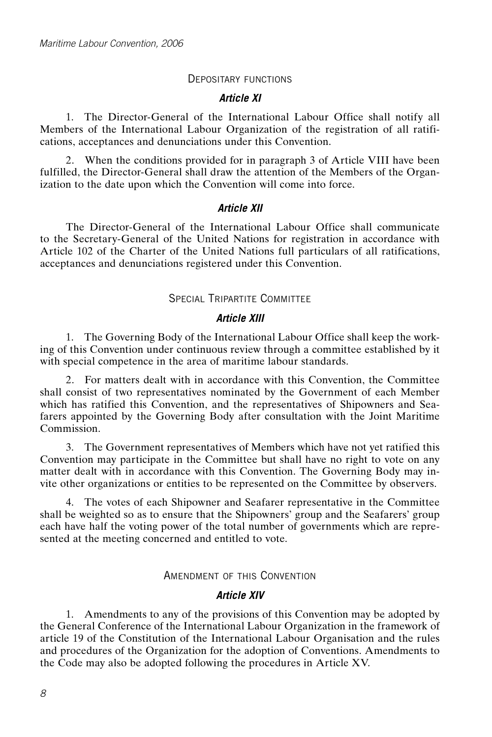#### Depositary functions

## *Article XI*

<span id="page-11-0"></span>1. The Director-General of the International Labour Office shall notify all Members of the International Labour Organization of the registration of all ratifications, acceptances and denunciations under this Convention.

2. When the conditions provided for in paragraph 3 of Article VIII have been fulfilled, the Director-General shall draw the attention of the Members of the Organization to the date upon which the Convention will come into force.

#### *Article XII*

The Director-General of the International Labour Office shall communicate to the Secretary-General of the United Nations for registration in accordance with Article 102 of the Charter of the United Nations full particulars of all ratifications, acceptances and denunciations registered under this Convention.

## SPECIAL TRIPARTITE COMMITTEE

#### *Article XIII*

1. The Governing Body of the International Labour Office shall keep the working of this Convention under continuous review through a committee established by it with special competence in the area of maritime labour standards.

2. For matters dealt with in accordance with this Convention, the Committee shall consist of two representatives nominated by the Government of each Member which has ratified this Convention, and the representatives of Shipowners and Seafarers appointed by the Governing Body after consultation with the Joint Maritime Commission.

3. The Government representatives of Members which have not yet ratified this Convention may participate in the Committee but shall have no right to vote on any matter dealt with in accordance with this Convention. The Governing Body may invite other organizations or entities to be represented on the Committee by observers.

4. The votes of each Shipowner and Seafarer representative in the Committee shall be weighted so as to ensure that the Shipowners' group and the Seafarers' group each have half the voting power of the total number of governments which are represented at the meeting concerned and entitled to vote.

#### Amendment of this Convention

#### *Article XIV*

1. Amendments to any of the provisions of this Convention may be adopted by the General Conference of the International Labour Organization in the framework of article 19 of the Constitution of the International Labour Organisation and the rules and procedures of the Organization for the adoption of Conventions. Amendments to the Code may also be adopted following the procedures in Article XV.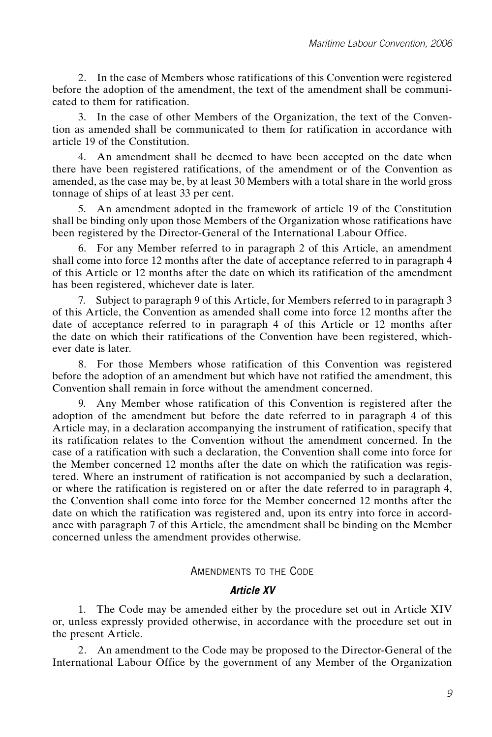<span id="page-12-0"></span>2. In the case of Members whose ratifications of this Convention were registered before the adoption of the amendment, the text of the amendment shall be communicated to them for ratification.

3. In the case of other Members of the Organization, the text of the Convention as amended shall be communicated to them for ratification in accordance with article 19 of the Constitution.

4. An amendment shall be deemed to have been accepted on the date when there have been registered ratifications, of the amendment or of the Convention as amended, as the case may be, by at least 30 Members with a total share in the world gross tonnage of ships of at least 33 per cent.

5. An amendment adopted in the framework of article 19 of the Constitution shall be binding only upon those Members of the Organization whose ratifications have been registered by the Director-General of the International Labour Office.

6. For any Member referred to in paragraph 2 of this Article, an amendment shall come into force 12 months after the date of acceptance referred to in paragraph 4 of this Article or 12 months after the date on which its ratification of the amendment has been registered, whichever date is later.

7. Subject to paragraph 9 of this Article, for Members referred to in paragraph 3 of this Article, the Convention as amended shall come into force 12 months after the date of acceptance referred to in paragraph 4 of this Article or 12 months after the date on which their ratifications of the Convention have been registered, whichever date is later.

8. For those Members whose ratification of this Convention was registered before the adoption of an amendment but which have not ratified the amendment, this Convention shall remain in force without the amendment concerned.

9. Any Member whose ratification of this Convention is registered after the adoption of the amendment but before the date referred to in paragraph 4 of this Article may, in a declaration accompanying the instrument of ratification, specify that its ratification relates to the Convention without the amendment concerned. In the case of a ratification with such a declaration, the Convention shall come into force for the Member concerned 12 months after the date on which the ratification was registered. Where an instrument of ratification is not accompanied by such a declaration, or where the ratification is registered on or after the date referred to in paragraph 4, the Convention shall come into force for the Member concerned 12 months after the date on which the ratification was registered and, upon its entry into force in accordance with paragraph 7 of this Article, the amendment shall be binding on the Member concerned unless the amendment provides otherwise.

## Amendments to the Code

## *Article XV*

1. The Code may be amended either by the procedure set out in Article XIV or, unless expressly provided otherwise, in accordance with the procedure set out in the present Article.

2. An amendment to the Code may be proposed to the Director-General of the International Labour Office by the government of any Member of the Organization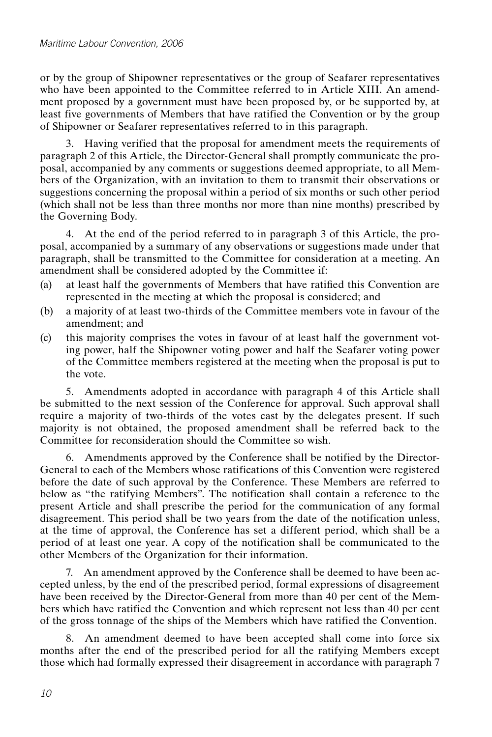or by the group of Shipowner representatives or the group of Seafarer representatives who have been appointed to the Committee referred to in Article XIII. An amendment proposed by a government must have been proposed by, or be supported by, at least five governments of Members that have ratified the Convention or by the group of Shipowner or Seafarer representatives referred to in this paragraph.

3. Having verified that the proposal for amendment meets the requirements of paragraph 2 of this Article, the Director-General shall promptly communicate the proposal, accompanied by any comments or suggestions deemed appropriate, to all Members of the Organization, with an invitation to them to transmit their observations or suggestions concerning the proposal within a period of six months or such other period (which shall not be less than three months nor more than nine months) prescribed by the Governing Body.

4. At the end of the period referred to in paragraph 3 of this Article, the proposal, accompanied by a summary of any observations or suggestions made under that paragraph, shall be transmitted to the Committee for consideration at a meeting. An amendment shall be considered adopted by the Committee if:

- (a) at least half the governments of Members that have ratified this Convention are represented in the meeting at which the proposal is considered; and
- (b) a majority of at least two-thirds of the Committee members vote in favour of the amendment; and
- (c) this majority comprises the votes in favour of at least half the government voting power, half the Shipowner voting power and half the Seafarer voting power of the Committee members registered at the meeting when the proposal is put to the vote.

5. Amendments adopted in accordance with paragraph 4 of this Article shall be submitted to the next session of the Conference for approval. Such approval shall require a majority of two-thirds of the votes cast by the delegates present. If such majority is not obtained, the proposed amendment shall be referred back to the Committee for reconsideration should the Committee so wish.

6. Amendments approved by the Conference shall be notified by the Director-General to each of the Members whose ratifications of this Convention were registered before the date of such approval by the Conference. These Members are referred to below as "the ratifying Members". The notification shall contain a reference to the present Article and shall prescribe the period for the communication of any formal disagreement. This period shall be two years from the date of the notification unless, at the time of approval, the Conference has set a different period, which shall be a period of at least one year. A copy of the notification shall be communicated to the other Members of the Organization for their information.

7. An amendment approved by the Conference shall be deemed to have been accepted unless, by the end of the prescribed period, formal expressions of disagreement have been received by the Director-General from more than 40 per cent of the Members which have ratified the Convention and which represent not less than 40 per cent of the gross tonnage of the ships of the Members which have ratified the Convention.

8. An amendment deemed to have been accepted shall come into force six months after the end of the prescribed period for all the ratifying Members except those which had formally expressed their disagreement in accordance with paragraph 7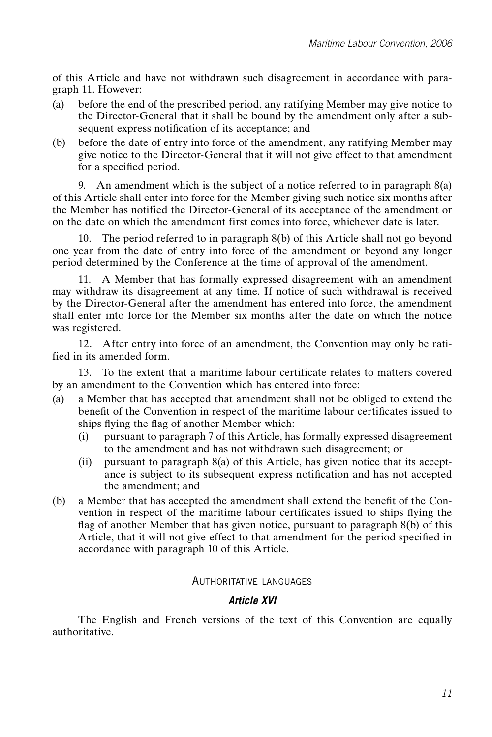<span id="page-14-0"></span>of this Article and have not withdrawn such disagreement in accordance with paragraph 11. However:

- (a) before the end of the prescribed period, any ratifying Member may give notice to the Director-General that it shall be bound by the amendment only after a subsequent express notification of its acceptance; and
- (b) before the date of entry into force of the amendment, any ratifying Member may give notice to the Director-General that it will not give effect to that amendment for a specified period.

9. An amendment which is the subject of a notice referred to in paragraph  $8(a)$ of this Article shall enter into force for the Member giving such notice six months after the Member has notified the Director-General of its acceptance of the amendment or on the date on which the amendment first comes into force, whichever date is later.

10. The period referred to in paragraph 8(b) of this Article shall not go beyond one year from the date of entry into force of the amendment or beyond any longer period determined by the Conference at the time of approval of the amendment.

11. A Member that has formally expressed disagreement with an amendment may withdraw its disagreement at any time. If notice of such withdrawal is received by the Director-General after the amendment has entered into force, the amendment shall enter into force for the Member six months after the date on which the notice was registered.

12. After entry into force of an amendment, the Convention may only be ratified in its amended form.

13. To the extent that a maritime labour certificate relates to matters covered by an amendment to the Convention which has entered into force:

- (a) a Member that has accepted that amendment shall not be obliged to extend the benefit of the Convention in respect of the maritime labour certificates issued to ships flying the flag of another Member which:
	- (i) pursuant to paragraph 7 of this Article, has formally expressed disagreement to the amendment and has not withdrawn such disagreement; or
	- (ii) pursuant to paragraph 8(a) of this Article, has given notice that its acceptance is subject to its subsequent express notification and has not accepted the amendment; and
- (b) a Member that has accepted the amendment shall extend the benefit of the Convention in respect of the maritime labour certificates issued to ships flying the flag of another Member that has given notice, pursuant to paragraph 8(b) of this Article, that it will not give effect to that amendment for the period specified in accordance with paragraph 10 of this Article.

## Authoritative languages

## *Article XVI*

The English and French versions of the text of this Convention are equally authoritative.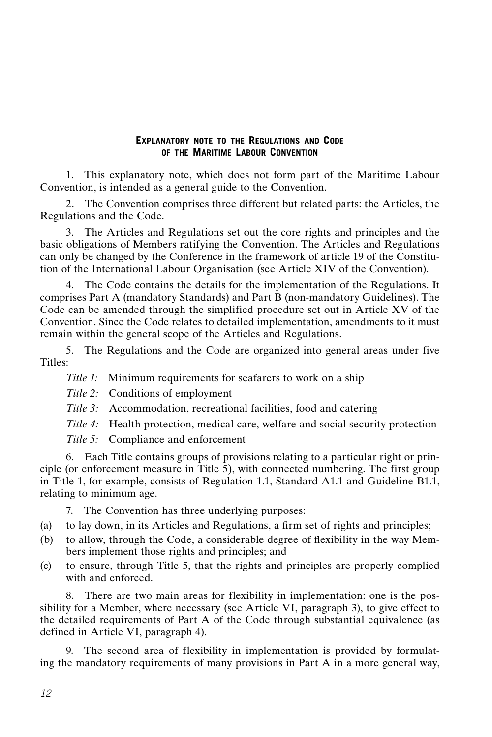#### **Explanatory note to the Regulations and Code of the Maritime Labour Convention**

<span id="page-15-0"></span>1. This explanatory note, which does not form part of the Maritime Labour Convention, is intended as a general guide to the Convention.

2. The Convention comprises three different but related parts: the Articles, the Regulations and the Code.

3. The Articles and Regulations set out the core rights and principles and the basic obligations of Members ratifying the Convention. The Articles and Regulations can only be changed by the Conference in the framework of article 19 of the Constitution of the International Labour Organisation (see Article XIV of the Convention).

4. The Code contains the details for the implementation of the Regulations. It comprises Part A (mandatory Standards) and Part B (non-mandatory Guidelines). The Code can be amended through the simplified procedure set out in Article XV of the Convention. Since the Code relates to detailed implementation, amendments to it must remain within the general scope of the Articles and Regulations.

5. The Regulations and the Code are organized into general areas under five Titles:

*Title 1:* Minimum requirements for seafarers to work on a ship

*Title 2:* Conditions of employment

*Title 3:* Accommodation, recreational facilities, food and catering

*Title 4:* Health protection, medical care, welfare and social security protection

*Title 5:* Compliance and enforcement

6. Each Title contains groups of provisions relating to a particular right or principle (or enforcement measure in Title 5), with connected numbering. The first group in Title 1, for example, consists of Regulation 1.1, Standard A1.1 and Guideline B1.1, relating to minimum age.

7. The Convention has three underlying purposes:

- (a) to lay down, in its Articles and Regulations, a firm set of rights and principles;
- (b) to allow, through the Code, a considerable degree of flexibility in the way Members implement those rights and principles; and
- (c) to ensure, through Title 5, that the rights and principles are properly complied with and enforced.

8. There are two main areas for flexibility in implementation: one is the possibility for a Member, where necessary (see Article VI, paragraph 3), to give effect to the detailed requirements of Part A of the Code through substantial equivalence (as defined in Article VI, paragraph 4).

9. The second area of flexibility in implementation is provided by formulating the mandatory requirements of many provisions in Part A in a more general way,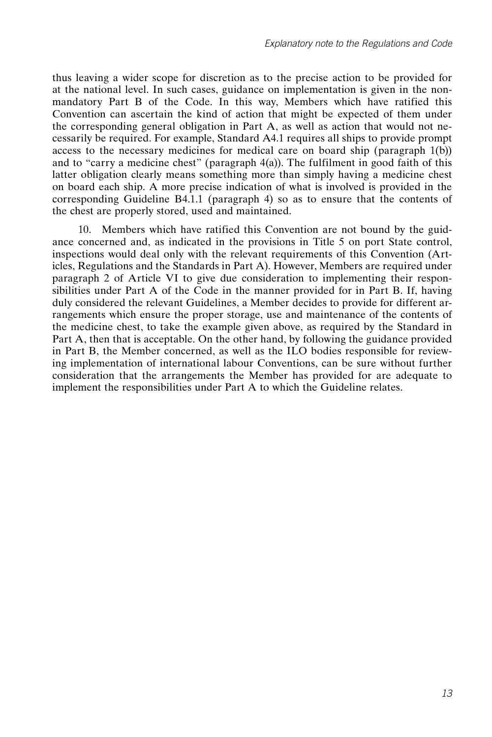thus leaving a wider scope for discretion as to the precise action to be provided for at the national level. In such cases, guidance on implementation is given in the nonmandatory Part B of the Code. In this way, Members which have ratified this Convention can ascertain the kind of action that might be expected of them under the corresponding general obligation in Part A, as well as action that would not necessarily be required. For example, Standard A4.1 requires all ships to provide prompt access to the necessary medicines for medical care on board ship (paragraph 1(b)) and to "carry a medicine chest" (paragraph  $4(a)$ ). The fulfilment in good faith of this latter obligation clearly means something more than simply having a medicine chest on board each ship. A more precise indication of what is involved is provided in the corresponding Guideline B4.1.1 (paragraph 4) so as to ensure that the contents of the chest are properly stored, used and maintained.

10. Members which have ratified this Convention are not bound by the guidance concerned and, as indicated in the provisions in Title 5 on port State control, inspections would deal only with the relevant requirements of this Convention (Articles, Regulations and the Standards in Part A). However, Members are required under paragraph 2 of Article VI to give due consideration to implementing their responsibilities under Part A of the Code in the manner provided for in Part B. If, having duly considered the relevant Guidelines, a Member decides to provide for different arrangements which ensure the proper storage, use and maintenance of the contents of the medicine chest, to take the example given above, as required by the Standard in Part A, then that is acceptable. On the other hand, by following the guidance provided in Part B, the Member concerned, as well as the ILO bodies responsible for reviewing implementation of international labour Conventions, can be sure without further consideration that the arrangements the Member has provided for are adequate to implement the responsibilities under Part A to which the Guideline relates.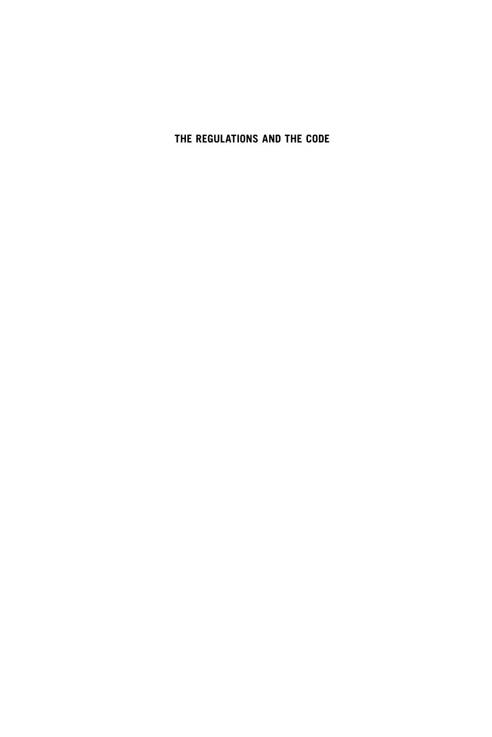<span id="page-17-0"></span>**THE REGULATIONS AND THE CODE**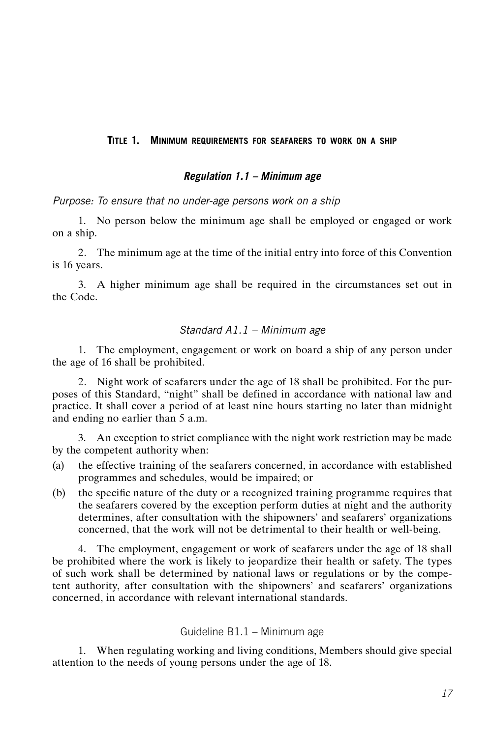## <span id="page-18-0"></span>**Title 1. Minimum requirements for seafarers to work on a ship**

### *Regulation 1.1 – Minimum age*

*Purpose: To ensure that no under-age persons work on a ship*

1. No person below the minimum age shall be employed or engaged or work on a ship.

2. The minimum age at the time of the initial entry into force of this Convention is 16 years.

3. A higher minimum age shall be required in the circumstances set out in the Code.

#### *Standard A1.1 – Minimum age*

1. The employment, engagement or work on board a ship of any person under the age of 16 shall be prohibited.

2. Night work of seafarers under the age of 18 shall be prohibited. For the purposes of this Standard, "night" shall be defined in accordance with national law and practice. It shall cover a period of at least nine hours starting no later than midnight and ending no earlier than 5 a.m.

3. An exception to strict compliance with the night work restriction may be made by the competent authority when:

- (a) the effective training of the seafarers concerned, in accordance with established programmes and schedules, would be impaired; or
- (b) the specific nature of the duty or a recognized training programme requires that the seafarers covered by the exception perform duties at night and the authority determines, after consultation with the shipowners' and seafarers' organizations concerned, that the work will not be detrimental to their health or well-being.

4. The employment, engagement or work of seafarers under the age of 18 shall be prohibited where the work is likely to jeopardize their health or safety. The types of such work shall be determined by national laws or regulations or by the competent authority, after consultation with the shipowners' and seafarers' organizations concerned, in accordance with relevant international standards.

#### Guideline B1.1 – Minimum age

1. When regulating working and living conditions, Members should give special attention to the needs of young persons under the age of 18.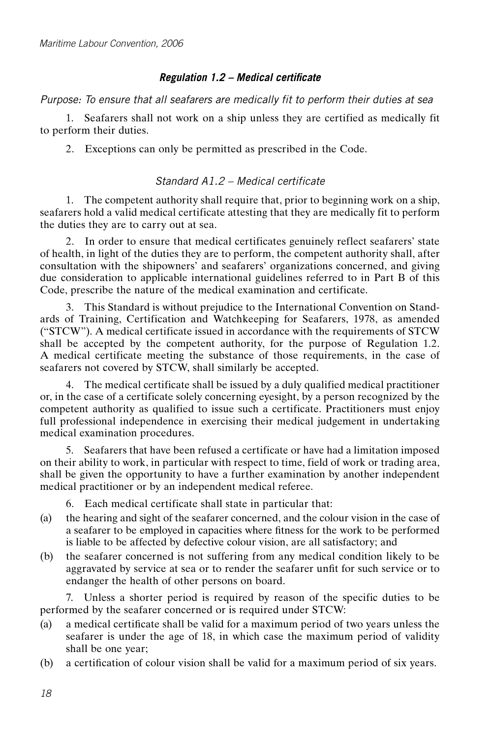## *Regulation 1.2 – Medical certificate*

<span id="page-19-0"></span>*Purpose: To ensure that all seafarers are medically fit to perform their duties at sea*

1. Seafarers shall not work on a ship unless they are certified as medically fit to perform their duties.

2. Exceptions can only be permitted as prescribed in the Code.

## *Standard A1.2 – Medical certificate*

1. The competent authority shall require that, prior to beginning work on a ship, seafarers hold a valid medical certificate attesting that they are medically fit to perform the duties they are to carry out at sea.

2. In order to ensure that medical certificates genuinely reflect seafarers' state of health, in light of the duties they are to perform, the competent authority shall, after consultation with the shipowners' and seafarers' organizations concerned, and giving due consideration to applicable international guidelines referred to in Part B of this Code, prescribe the nature of the medical examination and certificate.

3. This Standard is without prejudice to the International Convention on Standards of Training, Certification and Watchkeeping for Seafarers, 1978, as amended ("STCW"). A medical certificate issued in accordance with the requirements of STCW shall be accepted by the competent authority, for the purpose of Regulation 1.2. A medical certificate meeting the substance of those requirements, in the case of seafarers not covered by STCW, shall similarly be accepted.

4. The medical certificate shall be issued by a duly qualified medical practitioner or, in the case of a certificate solely concerning eyesight, by a person recognized by the competent authority as qualified to issue such a certificate. Practitioners must enjoy full professional independence in exercising their medical judgement in undertaking medical examination procedures.

5. Seafarers that have been refused a certificate or have had a limitation imposed on their ability to work, in particular with respect to time, field of work or trading area, shall be given the opportunity to have a further examination by another independent medical practitioner or by an independent medical referee.

6. Each medical certificate shall state in particular that:

- (a) the hearing and sight of the seafarer concerned, and the colour vision in the case of a seafarer to be employed in capacities where fitness for the work to be performed is liable to be affected by defective colour vision, are all satisfactory; and
- (b) the seafarer concerned is not suffering from any medical condition likely to be aggravated by service at sea or to render the seafarer unfit for such service or to endanger the health of other persons on board.

7. Unless a shorter period is required by reason of the specific duties to be performed by the seafarer concerned or is required under STCW:

- (a) a medical certificate shall be valid for a maximum period of two years unless the seafarer is under the age of 18, in which case the maximum period of validity shall be one year;
- (b) a certification of colour vision shall be valid for a maximum period of six years.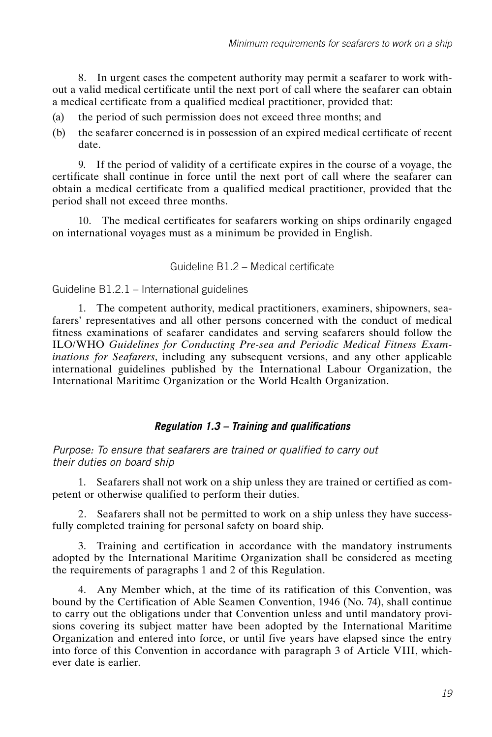<span id="page-20-0"></span>8. In urgent cases the competent authority may permit a seafarer to work without a valid medical certificate until the next port of call where the seafarer can obtain a medical certificate from a qualified medical practitioner, provided that:

- (a) the period of such permission does not exceed three months; and
- (b) the seafarer concerned is in possession of an expired medical certificate of recent date.

9. If the period of validity of a certificate expires in the course of a voyage, the certificate shall continue in force until the next port of call where the seafarer can obtain a medical certificate from a qualified medical practitioner, provided that the period shall not exceed three months.

10. The medical certificates for seafarers working on ships ordinarily engaged on international voyages must as a minimum be provided in English.

Guideline B1.2 – Medical certificate

Guideline B1.2.1 – International guidelines

1. The competent authority, medical practitioners, examiners, shipowners, seafarers' representatives and all other persons concerned with the conduct of medical fitness examinations of seafarer candidates and serving seafarers should follow the ILO/WHO *Guidelines for Conducting Pre-sea and Periodic Medical Fitness Examinations for Seafarers*, including any subsequent versions, and any other applicable international guidelines published by the International Labour Organization, the International Maritime Organization or the World Health Organization.

## *Regulation 1.3 – Training and qualifications*

## *Purpose: To ensure that seafarers are trained or qualified to carry out their duties on board ship*

1. Seafarers shall not work on a ship unless they are trained or certified as competent or otherwise qualified to perform their duties.

2. Seafarers shall not be permitted to work on a ship unless they have successfully completed training for personal safety on board ship.

3. Training and certification in accordance with the mandatory instruments adopted by the International Maritime Organization shall be considered as meeting the requirements of paragraphs 1 and 2 of this Regulation.

4. Any Member which, at the time of its ratification of this Convention, was bound by the Certification of Able Seamen Convention, 1946 (No. 74), shall continue to carry out the obligations under that Convention unless and until mandatory provisions covering its subject matter have been adopted by the International Maritime Organization and entered into force, or until five years have elapsed since the entry into force of this Convention in accordance with paragraph 3 of Article VIII, whichever date is earlier.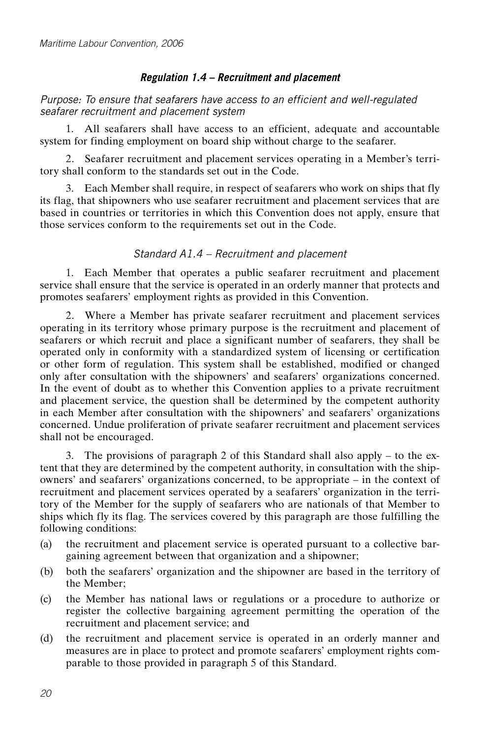## *Regulation 1.4 – Recruitment and placement*

<span id="page-21-0"></span>*Purpose: To ensure that seafarers have access to an efficient and well-regulated seafarer recruitment and placement system*

1. All seafarers shall have access to an efficient, adequate and accountable system for finding employment on board ship without charge to the seafarer.

2. Seafarer recruitment and placement services operating in a Member's territory shall conform to the standards set out in the Code.

3. Each Member shall require, in respect of seafarers who work on ships that fly its flag, that shipowners who use seafarer recruitment and placement services that are based in countries or territories in which this Convention does not apply, ensure that those services conform to the requirements set out in the Code.

## *Standard A1.4 – Recruitment and placement*

1. Each Member that operates a public seafarer recruitment and placement service shall ensure that the service is operated in an orderly manner that protects and promotes seafarers' employment rights as provided in this Convention.

2. Where a Member has private seafarer recruitment and placement services operating in its territory whose primary purpose is the recruitment and placement of seafarers or which recruit and place a significant number of seafarers, they shall be operated only in conformity with a standardized system of licensing or certification or other form of regulation. This system shall be established, modified or changed only after consultation with the shipowners' and seafarers' organizations concerned. In the event of doubt as to whether this Convention applies to a private recruitment and placement service, the question shall be determined by the competent authority in each Member after consultation with the shipowners' and seafarers' organizations concerned. Undue proliferation of private seafarer recruitment and placement services shall not be encouraged.

3. The provisions of paragraph 2 of this Standard shall also apply – to the extent that they are determined by the competent authority, in consultation with the shipowners' and seafarers' organizations concerned, to be appropriate – in the context of recruitment and placement services operated by a seafarers' organization in the territory of the Member for the supply of seafarers who are nationals of that Member to ships which fly its flag. The services covered by this paragraph are those fulfilling the following conditions:

- (a) the recruitment and placement service is operated pursuant to a collective bargaining agreement between that organization and a shipowner;
- (b) both the seafarers' organization and the shipowner are based in the territory of the Member;
- (c) the Member has national laws or regulations or a procedure to authorize or register the collective bargaining agreement permitting the operation of the recruitment and placement service; and
- (d) the recruitment and placement service is operated in an orderly manner and measures are in place to protect and promote seafarers' employment rights comparable to those provided in paragraph 5 of this Standard.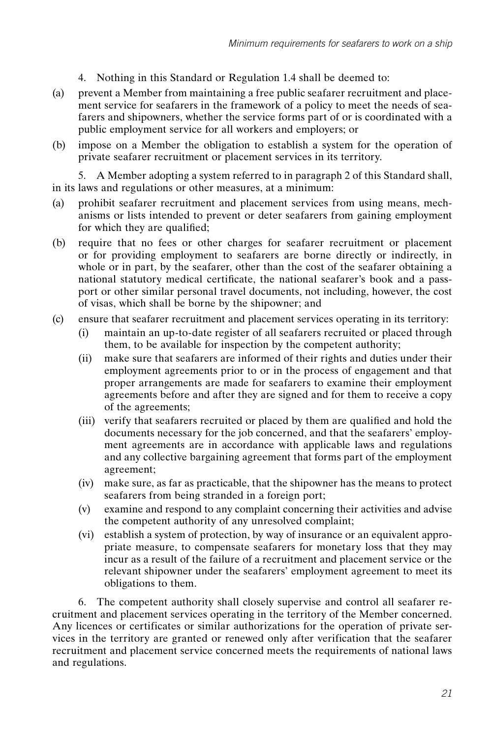- 4. Nothing in this Standard or Regulation 1.4 shall be deemed to:
- (a) prevent a Member from maintaining a free public seafarer recruitment and placement service for seafarers in the framework of a policy to meet the needs of seafarers and shipowners, whether the service forms part of or is coordinated with a public employment service for all workers and employers; or
- (b) impose on a Member the obligation to establish a system for the operation of private seafarer recruitment or placement services in its territory.

5. A Member adopting a system referred to in paragraph 2 of this Standard shall, in its laws and regulations or other measures, at a minimum:

- (a) prohibit seafarer recruitment and placement services from using means, mechanisms or lists intended to prevent or deter seafarers from gaining employment for which they are qualified;
- (b) require that no fees or other charges for seafarer recruitment or placement or for providing employment to seafarers are borne directly or indirectly, in whole or in part, by the seafarer, other than the cost of the seafarer obtaining a national statutory medical certificate, the national seafarer's book and a passport or other similar personal travel documents, not including, however, the cost of visas, which shall be borne by the shipowner; and
- (c) ensure that seafarer recruitment and placement services operating in its territory:
	- (i) maintain an up-to-date register of all seafarers recruited or placed through them, to be available for inspection by the competent authority;
	- (ii) make sure that seafarers are informed of their rights and duties under their employment agreements prior to or in the process of engagement and that proper arrangements are made for seafarers to examine their employment agreements before and after they are signed and for them to receive a copy of the agreements;
	- (iii) verify that seafarers recruited or placed by them are qualified and hold the documents necessary for the job concerned, and that the seafarers' employment agreements are in accordance with applicable laws and regulations and any collective bargaining agreement that forms part of the employment agreement;
	- (iv) make sure, as far as practicable, that the shipowner has the means to protect seafarers from being stranded in a foreign port;
	- (v) examine and respond to any complaint concerning their activities and advise the competent authority of any unresolved complaint;
	- (vi) establish a system of protection, by way of insurance or an equivalent appropriate measure, to compensate seafarers for monetary loss that they may incur as a result of the failure of a recruitment and placement service or the relevant shipowner under the seafarers' employment agreement to meet its obligations to them.

6. The competent authority shall closely supervise and control all seafarer recruitment and placement services operating in the territory of the Member concerned. Any licences or certificates or similar authorizations for the operation of private services in the territory are granted or renewed only after verification that the seafarer recruitment and placement service concerned meets the requirements of national laws and regulations.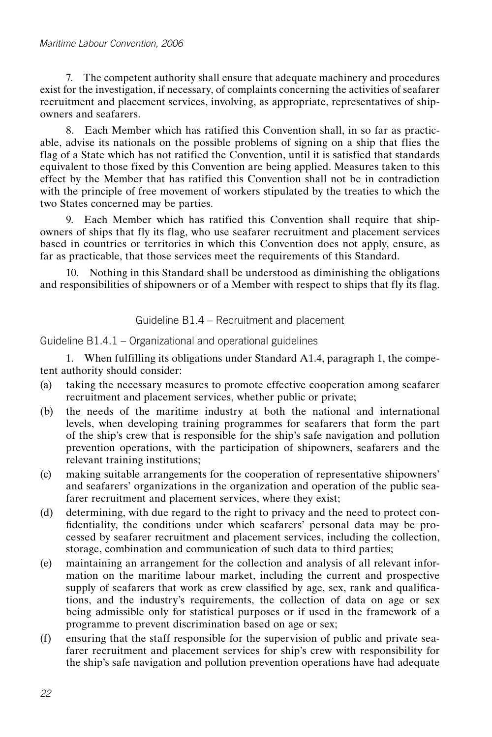7. The competent authority shall ensure that adequate machinery and procedures exist for the investigation, if necessary, of complaints concerning the activities of seafarer recruitment and placement services, involving, as appropriate, representatives of shipowners and seafarers.

8. Each Member which has ratified this Convention shall, in so far as practicable, advise its nationals on the possible problems of signing on a ship that flies the flag of a State which has not ratified the Convention, until it is satisfied that standards equivalent to those fixed by this Convention are being applied. Measures taken to this effect by the Member that has ratified this Convention shall not be in contradiction with the principle of free movement of workers stipulated by the treaties to which the two States concerned may be parties.

9. Each Member which has ratified this Convention shall require that shipowners of ships that fly its flag, who use seafarer recruitment and placement services based in countries or territories in which this Convention does not apply, ensure, as far as practicable, that those services meet the requirements of this Standard.

10. Nothing in this Standard shall be understood as diminishing the obligations and responsibilities of shipowners or of a Member with respect to ships that fly its flag.

Guideline B1.4 – Recruitment and placement

Guideline B1.4.1 – Organizational and operational guidelines

1. When fulfilling its obligations under Standard A1.4, paragraph 1, the competent authority should consider:

- (a) taking the necessary measures to promote effective cooperation among seafarer recruitment and placement services, whether public or private;
- (b) the needs of the maritime industry at both the national and international levels, when developing training programmes for seafarers that form the part of the ship's crew that is responsible for the ship's safe navigation and pollution prevention operations, with the participation of shipowners, seafarers and the relevant training institutions;
- (c) making suitable arrangements for the cooperation of representative shipowners' and seafarers' organizations in the organization and operation of the public seafarer recruitment and placement services, where they exist;
- (d) determining, with due regard to the right to privacy and the need to protect confidentiality, the conditions under which seafarers' personal data may be processed by seafarer recruitment and placement services, including the collection, storage, combination and communication of such data to third parties;
- (e) maintaining an arrangement for the collection and analysis of all relevant information on the maritime labour market, including the current and prospective supply of seafarers that work as crew classified by age, sex, rank and qualifications, and the industry's requirements, the collection of data on age or sex being admissible only for statistical purposes or if used in the framework of a programme to prevent discrimination based on age or sex;
- (f) ensuring that the staff responsible for the supervision of public and private seafarer recruitment and placement services for ship's crew with responsibility for the ship's safe navigation and pollution prevention operations have had adequate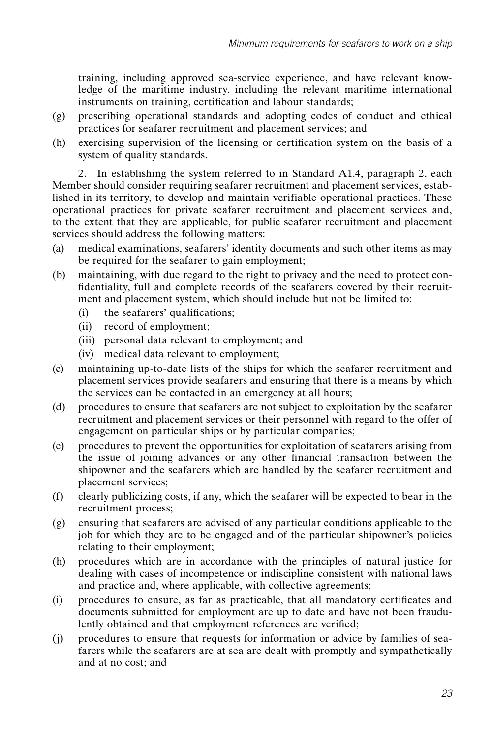training, including approved sea-service experience, and have relevant knowledge of the maritime industry, including the relevant maritime international instruments on training, certification and labour standards;

- (g) prescribing operational standards and adopting codes of conduct and ethical practices for seafarer recruitment and placement services; and
- (h) exercising supervision of the licensing or certification system on the basis of a system of quality standards.

2. In establishing the system referred to in Standard A1.4, paragraph 2, each Member should consider requiring seafarer recruitment and placement services, established in its territory, to develop and maintain verifiable operational practices. These operational practices for private seafarer recruitment and placement services and, to the extent that they are applicable, for public seafarer recruitment and placement services should address the following matters:

- (a) medical examinations, seafarers' identity documents and such other items as may be required for the seafarer to gain employment;
- (b) maintaining, with due regard to the right to privacy and the need to protect confidentiality, full and complete records of the seafarers covered by their recruitment and placement system, which should include but not be limited to:
	- (i) the seafarers' qualifications;
	- (ii) record of employment;
	- (iii) personal data relevant to employment; and
	- (iv) medical data relevant to employment;
- (c) maintaining up-to-date lists of the ships for which the seafarer recruitment and placement services provide seafarers and ensuring that there is a means by which the services can be contacted in an emergency at all hours;
- (d) procedures to ensure that seafarers are not subject to exploitation by the seafarer recruitment and placement services or their personnel with regard to the offer of engagement on particular ships or by particular companies;
- (e) procedures to prevent the opportunities for exploitation of seafarers arising from the issue of joining advances or any other financial transaction between the shipowner and the seafarers which are handled by the seafarer recruitment and placement services;
- (f) clearly publicizing costs, if any, which the seafarer will be expected to bear in the recruitment process;
- (g) ensuring that seafarers are advised of any particular conditions applicable to the job for which they are to be engaged and of the particular shipowner's policies relating to their employment;
- (h) procedures which are in accordance with the principles of natural justice for dealing with cases of incompetence or indiscipline consistent with national laws and practice and, where applicable, with collective agreements;
- (i) procedures to ensure, as far as practicable, that all mandatory certificates and documents submitted for employment are up to date and have not been fraudulently obtained and that employment references are verified;
- (j) procedures to ensure that requests for information or advice by families of seafarers while the seafarers are at sea are dealt with promptly and sympathetically and at no cost; and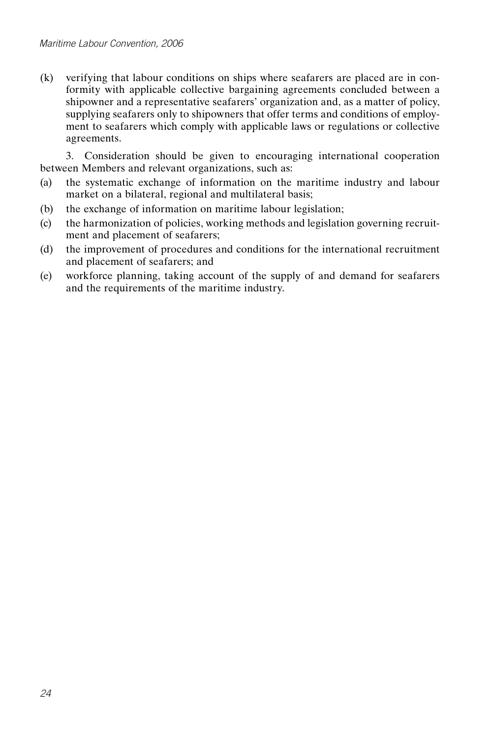(k) verifying that labour conditions on ships where seafarers are placed are in conformity with applicable collective bargaining agreements concluded between a shipowner and a representative seafarers' organization and, as a matter of policy, supplying seafarers only to shipowners that offer terms and conditions of employment to seafarers which comply with applicable laws or regulations or collective agreements.

3. Consideration should be given to encouraging international cooperation between Members and relevant organizations, such as:

- (a) the systematic exchange of information on the maritime industry and labour market on a bilateral, regional and multilateral basis;
- (b) the exchange of information on maritime labour legislation;
- (c) the harmonization of policies, working methods and legislation governing recruitment and placement of seafarers;
- (d) the improvement of procedures and conditions for the international recruitment and placement of seafarers; and
- (e) workforce planning, taking account of the supply of and demand for seafarers and the requirements of the maritime industry.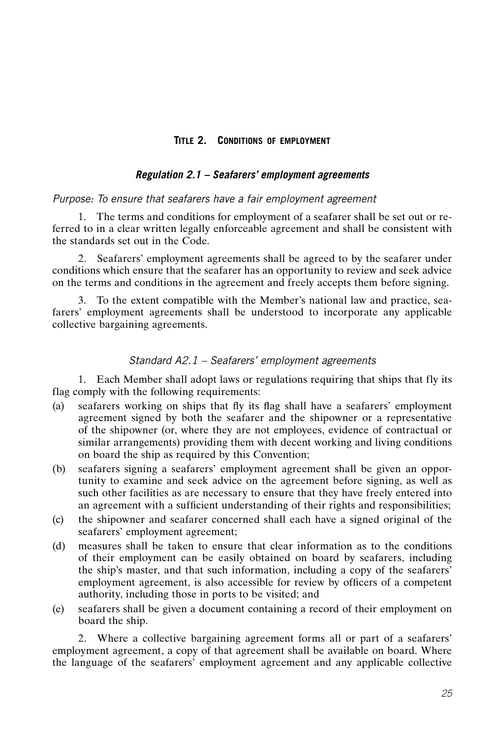## **Title 2. Conditions of employment**

#### *Regulation 2.1 – Seafarers' employment agreements*

#### <span id="page-26-0"></span>*Purpose: To ensure that seafarers have a fair employment agreement*

1. The terms and conditions for employment of a seafarer shall be set out or referred to in a clear written legally enforceable agreement and shall be consistent with the standards set out in the Code.

2. Seafarers' employment agreements shall be agreed to by the seafarer under conditions which ensure that the seafarer has an opportunity to review and seek advice on the terms and conditions in the agreement and freely accepts them before signing.

3. To the extent compatible with the Member's national law and practice, seafarers' employment agreements shall be understood to incorporate any applicable collective bargaining agreements.

#### *Standard A2.1 – Seafarers' employment agreements*

1. Each Member shall adopt laws or regulations requiring that ships that fly its flag comply with the following requirements:

- (a) seafarers working on ships that fly its flag shall have a seafarers' employment agreement signed by both the seafarer and the shipowner or a representative of the shipowner (or, where they are not employees, evidence of contractual or similar arrangements) providing them with decent working and living conditions on board the ship as required by this Convention;
- (b) seafarers signing a seafarers' employment agreement shall be given an opportunity to examine and seek advice on the agreement before signing, as well as such other facilities as are necessary to ensure that they have freely entered into an agreement with a sufficient understanding of their rights and responsibilities;
- (c) the shipowner and seafarer concerned shall each have a signed original of the seafarers' employment agreement;
- (d) measures shall be taken to ensure that clear information as to the conditions of their employment can be easily obtained on board by seafarers, including the ship's master, and that such information, including a copy of the seafarers' employment agreement, is also accessible for review by officers of a competent authority, including those in ports to be visited; and
- (e) seafarers shall be given a document containing a record of their employment on board the ship.

2. Where a collective bargaining agreement forms all or part of a seafarers' employment agreement, a copy of that agreement shall be available on board. Where the language of the seafarers' employment agreement and any applicable collective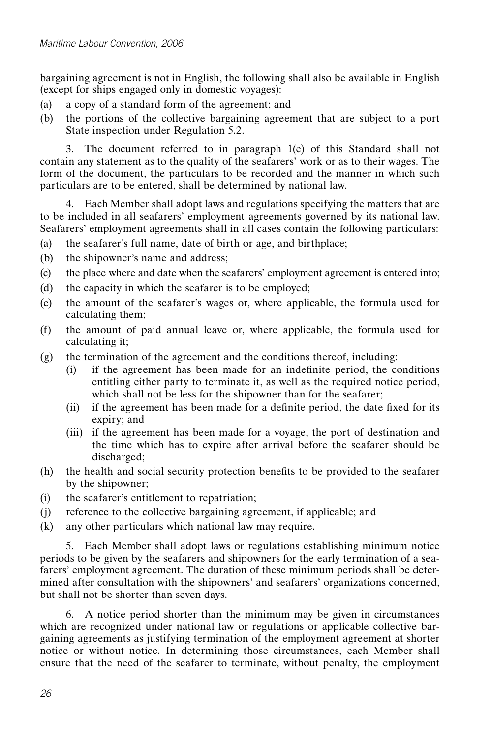bargaining agreement is not in English, the following shall also be available in English (except for ships engaged only in domestic voyages):

- (a) a copy of a standard form of the agreement; and
- (b) the portions of the collective bargaining agreement that are subject to a port State inspection under Regulation 5.2.

3. The document referred to in paragraph 1(e) of this Standard shall not contain any statement as to the quality of the seafarers' work or as to their wages. The form of the document, the particulars to be recorded and the manner in which such particulars are to be entered, shall be determined by national law.

4. Each Member shall adopt laws and regulations specifying the matters that are to be included in all seafarers' employment agreements governed by its national law. Seafarers' employment agreements shall in all cases contain the following particulars:

- (a) the seafarer's full name, date of birth or age, and birthplace;
- (b) the shipowner's name and address;
- (c) the place where and date when the seafarers' employment agreement is entered into;
- (d) the capacity in which the seafarer is to be employed;
- (e) the amount of the seafarer's wages or, where applicable, the formula used for calculating them;
- (f) the amount of paid annual leave or, where applicable, the formula used for calculating it;
- (g) the termination of the agreement and the conditions thereof, including:
	- (i) if the agreement has been made for an indefinite period, the conditions entitling either party to terminate it, as well as the required notice period, which shall not be less for the shipowner than for the seafarer;
	- (ii) if the agreement has been made for a definite period, the date fixed for its expiry; and
	- (iii) if the agreement has been made for a voyage, the port of destination and the time which has to expire after arrival before the seafarer should be discharged;
- (h) the health and social security protection benefits to be provided to the seafarer by the shipowner;
- (i) the seafarer's entitlement to repatriation;
- (j) reference to the collective bargaining agreement, if applicable; and
- (k) any other particulars which national law may require.

5. Each Member shall adopt laws or regulations establishing minimum notice periods to be given by the seafarers and shipowners for the early termination of a seafarers' employment agreement. The duration of these minimum periods shall be determined after consultation with the shipowners' and seafarers' organizations concerned, but shall not be shorter than seven days.

6. A notice period shorter than the minimum may be given in circumstances which are recognized under national law or regulations or applicable collective bargaining agreements as justifying termination of the employment agreement at shorter notice or without notice. In determining those circumstances, each Member shall ensure that the need of the seafarer to terminate, without penalty, the employment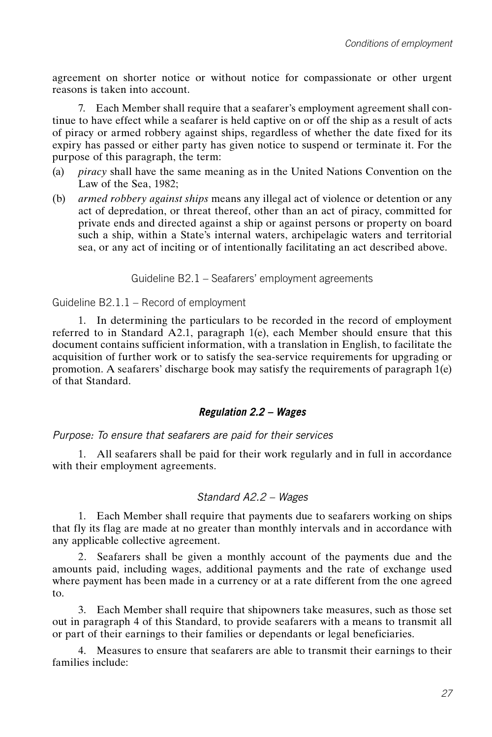<span id="page-28-0"></span>agreement on shorter notice or without notice for compassionate or other urgent reasons is taken into account.

7. Each Member shall require that a seafarer's employment agreement shall continue to have effect while a seafarer is held captive on or off the ship as a result of acts of piracy or armed robbery against ships, regardless of whether the date fixed for its expiry has passed or either party has given notice to suspend or terminate it. For the purpose of this paragraph, the term:

- (a) *piracy* shall have the same meaning as in the United Nations Convention on the Law of the Sea, 1982;
- (b) *armed robbery against ships* means any illegal act of violence or detention or any act of depredation, or threat thereof, other than an act of piracy, committed for private ends and directed against a ship or against persons or property on board such a ship, within a State's internal waters, archipelagic waters and territorial sea, or any act of inciting or of intentionally facilitating an act described above.

Guideline B2.1 – Seafarers' employment agreements

Guideline B2.1.1 – Record of employment

1. In determining the particulars to be recorded in the record of employment referred to in Standard A2.1, paragraph  $1(e)$ , each Member should ensure that this document contains sufficient information, with a translation in English, to facilitate the acquisition of further work or to satisfy the sea-service requirements for upgrading or promotion. A seafarers' discharge book may satisfy the requirements of paragraph 1(e) of that Standard.

## *Regulation 2.2 – Wages*

*Purpose: To ensure that seafarers are paid for their services*

1. All seafarers shall be paid for their work regularly and in full in accordance with their employment agreements.

## *Standard A2.2 – Wages*

1. Each Member shall require that payments due to seafarers working on ships that fly its flag are made at no greater than monthly intervals and in accordance with any applicable collective agreement.

2. Seafarers shall be given a monthly account of the payments due and the amounts paid, including wages, additional payments and the rate of exchange used where payment has been made in a currency or at a rate different from the one agreed to.

3. Each Member shall require that shipowners take measures, such as those set out in paragraph 4 of this Standard, to provide seafarers with a means to transmit all or part of their earnings to their families or dependants or legal beneficiaries.

4. Measures to ensure that seafarers are able to transmit their earnings to their families include: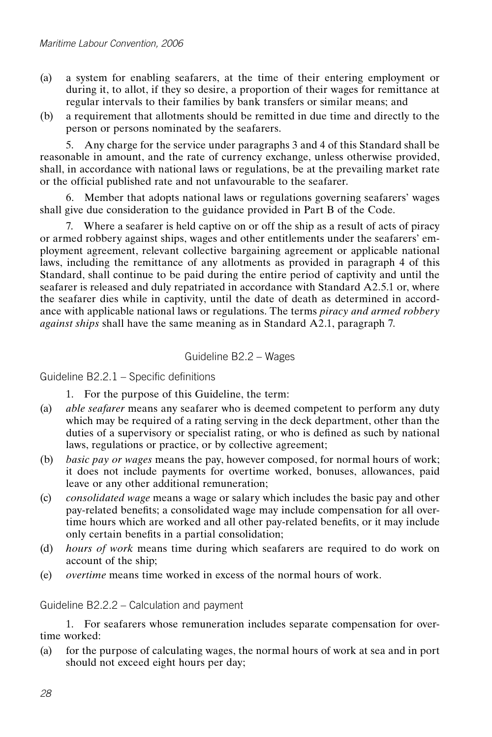- (a) a system for enabling seafarers, at the time of their entering employment or during it, to allot, if they so desire, a proportion of their wages for remittance at regular intervals to their families by bank transfers or similar means; and
- (b) a requirement that allotments should be remitted in due time and directly to the person or persons nominated by the seafarers.

5. Any charge for the service under paragraphs 3 and 4 of this Standard shall be reasonable in amount, and the rate of currency exchange, unless otherwise provided, shall, in accordance with national laws or regulations, be at the prevailing market rate or the official published rate and not unfavourable to the seafarer.

6. Member that adopts national laws or regulations governing seafarers' wages shall give due consideration to the guidance provided in Part B of the Code.

7. Where a seafarer is held captive on or off the ship as a result of acts of piracy or armed robbery against ships, wages and other entitlements under the seafarers' employment agreement, relevant collective bargaining agreement or applicable national laws, including the remittance of any allotments as provided in paragraph 4 of this Standard, shall continue to be paid during the entire period of captivity and until the seafarer is released and duly repatriated in accordance with Standard A2.5.1 or, where the seafarer dies while in captivity, until the date of death as determined in accordance with applicable national laws or regulations. The terms *piracy and armed robbery against ships* shall have the same meaning as in Standard A2.1, paragraph 7.

Guideline B2.2 – Wages

Guideline B2.2.1 – Specific definitions

- 1. For the purpose of this Guideline, the term:
- (a) *able seafarer* means any seafarer who is deemed competent to perform any duty which may be required of a rating serving in the deck department, other than the duties of a supervisory or specialist rating, or who is defined as such by national laws, regulations or practice, or by collective agreement;
- (b) *basic pay or wages* means the pay, however composed, for normal hours of work; it does not include payments for overtime worked, bonuses, allowances, paid leave or any other additional remuneration;
- (c) *consolidated wage* means a wage or salary which includes the basic pay and other pay-related benefits; a consolidated wage may include compensation for all overtime hours which are worked and all other pay-related benefits, or it may include only certain benefits in a partial consolidation;
- (d) *hours of work* means time during which seafarers are required to do work on account of the ship;
- (e) *overtime* means time worked in excess of the normal hours of work.

Guideline B2.2.2 – Calculation and payment

1. For seafarers whose remuneration includes separate compensation for overtime worked:

(a) for the purpose of calculating wages, the normal hours of work at sea and in port should not exceed eight hours per day;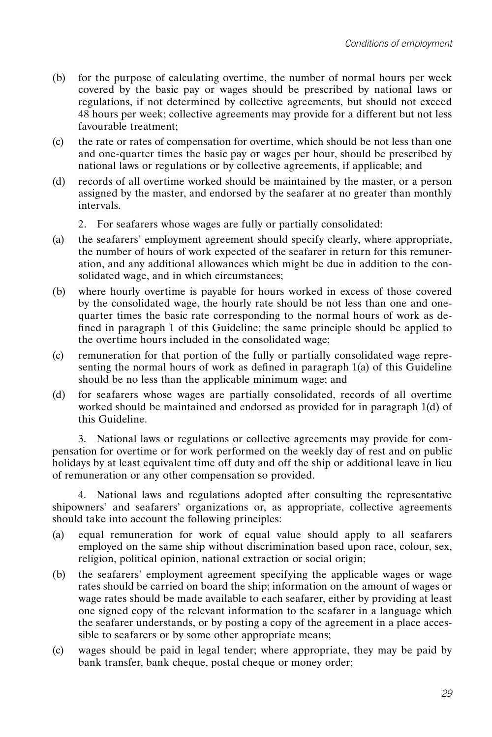- (b) for the purpose of calculating overtime, the number of normal hours per week covered by the basic pay or wages should be prescribed by national laws or regulations, if not determined by collective agreements, but should not exceed 48 hours per week; collective agreements may provide for a different but not less favourable treatment;
- (c) the rate or rates of compensation for overtime, which should be not less than one and one-quarter times the basic pay or wages per hour, should be prescribed by national laws or regulations or by collective agreements, if applicable; and
- (d) records of all overtime worked should be maintained by the master, or a person assigned by the master, and endorsed by the seafarer at no greater than monthly intervals.
	- 2. For seafarers whose wages are fully or partially consolidated:
- (a) the seafarers' employment agreement should specify clearly, where appropriate, the number of hours of work expected of the seafarer in return for this remuneration, and any additional allowances which might be due in addition to the consolidated wage, and in which circumstances;
- (b) where hourly overtime is payable for hours worked in excess of those covered by the consolidated wage, the hourly rate should be not less than one and onequarter times the basic rate corresponding to the normal hours of work as defined in paragraph 1 of this Guideline; the same principle should be applied to the overtime hours included in the consolidated wage;
- (c) remuneration for that portion of the fully or partially consolidated wage representing the normal hours of work as defined in paragraph 1(a) of this Guideline should be no less than the applicable minimum wage; and
- (d) for seafarers whose wages are partially consolidated, records of all overtime worked should be maintained and endorsed as provided for in paragraph 1(d) of this Guideline.

3. National laws or regulations or collective agreements may provide for compensation for overtime or for work performed on the weekly day of rest and on public holidays by at least equivalent time off duty and off the ship or additional leave in lieu of remuneration or any other compensation so provided.

4. National laws and regulations adopted after consulting the representative shipowners' and seafarers' organizations or, as appropriate, collective agreements should take into account the following principles:

- (a) equal remuneration for work of equal value should apply to all seafarers employed on the same ship without discrimination based upon race, colour, sex, religion, political opinion, national extraction or social origin;
- (b) the seafarers' employment agreement specifying the applicable wages or wage rates should be carried on board the ship; information on the amount of wages or wage rates should be made available to each seafarer, either by providing at least one signed copy of the relevant information to the seafarer in a language which the seafarer understands, or by posting a copy of the agreement in a place accessible to seafarers or by some other appropriate means;
- (c) wages should be paid in legal tender; where appropriate, they may be paid by bank transfer, bank cheque, postal cheque or money order;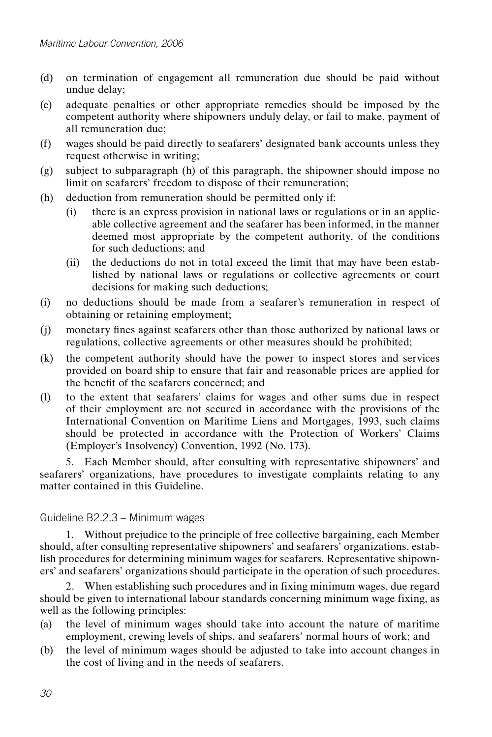- <span id="page-31-0"></span>(d) on termination of engagement all remuneration due should be paid without undue delay;
- (e) adequate penalties or other appropriate remedies should be imposed by the competent authority where shipowners unduly delay, or fail to make, payment of all remuneration due;
- (f) wages should be paid directly to seafarers' designated bank accounts unless they request otherwise in writing;
- (g) subject to subparagraph (h) of this paragraph, the shipowner should impose no limit on seafarers' freedom to dispose of their remuneration;
- (h) deduction from remuneration should be permitted only if:
	- (i) there is an express provision in national laws or regulations or in an applicable collective agreement and the seafarer has been informed, in the manner deemed most appropriate by the competent authority, of the conditions for such deductions; and
	- (ii) the deductions do not in total exceed the limit that may have been established by national laws or regulations or collective agreements or court decisions for making such deductions;
- (i) no deductions should be made from a seafarer's remuneration in respect of obtaining or retaining employment;
- (j) monetary fines against seafarers other than those authorized by national laws or regulations, collective agreements or other measures should be prohibited;
- (k) the competent authority should have the power to inspect stores and services provided on board ship to ensure that fair and reasonable prices are applied for the benefit of the seafarers concerned; and
- (l) to the extent that seafarers' claims for wages and other sums due in respect of their employment are not secured in accordance with the provisions of the International Convention on Maritime Liens and Mortgages, 1993, such claims should be protected in accordance with the Protection of Workers' Claims (Employer's Insolvency) Convention, 1992 (No. 173).

5. Each Member should, after consulting with representative shipowners' and seafarers' organizations, have procedures to investigate complaints relating to any matter contained in this Guideline.

## Guideline B2.2.3 – Minimum wages

1. Without prejudice to the principle of free collective bargaining, each Member should, after consulting representative shipowners' and seafarers' organizations, establish procedures for determining minimum wages for seafarers. Representative shipowners' and seafarers' organizations should participate in the operation of such procedures.

2. When establishing such procedures and in fixing minimum wages, due regard should be given to international labour standards concerning minimum wage fixing, as well as the following principles:

- (a) the level of minimum wages should take into account the nature of maritime employment, crewing levels of ships, and seafarers' normal hours of work; and
- (b) the level of minimum wages should be adjusted to take into account changes in the cost of living and in the needs of seafarers.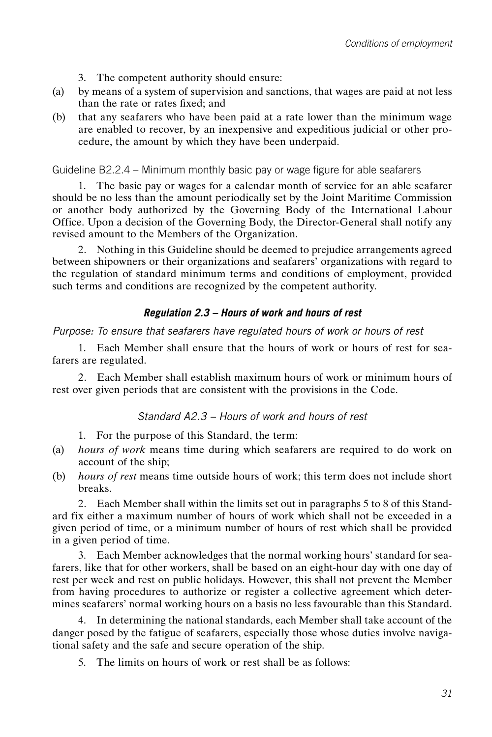- 3. The competent authority should ensure:
- (a) by means of a system of supervision and sanctions, that wages are paid at not less than the rate or rates fixed; and
- (b) that any seafarers who have been paid at a rate lower than the minimum wage are enabled to recover, by an inexpensive and expeditious judicial or other procedure, the amount by which they have been underpaid.

Guideline B2.2.4 – Minimum monthly basic pay or wage figure for able seafarers

1. The basic pay or wages for a calendar month of service for an able seafarer should be no less than the amount periodically set by the Joint Maritime Commission or another body authorized by the Governing Body of the International Labour Office. Upon a decision of the Governing Body, the Director-General shall notify any revised amount to the Members of the Organization.

2. Nothing in this Guideline should be deemed to prejudice arrangements agreed between shipowners or their organizations and seafarers' organizations with regard to the regulation of standard minimum terms and conditions of employment, provided such terms and conditions are recognized by the competent authority.

### *Regulation 2.3 – Hours of work and hours of rest*

*Purpose: To ensure that seafarers have regulated hours of work or hours of rest*

1. Each Member shall ensure that the hours of work or hours of rest for seafarers are regulated.

2. Each Member shall establish maximum hours of work or minimum hours of rest over given periods that are consistent with the provisions in the Code.

## *Standard A2.3 – Hours of work and hours of rest*

1. For the purpose of this Standard, the term:

- (a) *hours of work* means time during which seafarers are required to do work on account of the ship;
- (b) *hours of rest* means time outside hours of work; this term does not include short breaks.

2. Each Member shall within the limits set out in paragraphs 5 to 8 of this Standard fix either a maximum number of hours of work which shall not be exceeded in a given period of time, or a minimum number of hours of rest which shall be provided in a given period of time.

3. Each Member acknowledges that the normal working hours' standard for seafarers, like that for other workers, shall be based on an eight-hour day with one day of rest per week and rest on public holidays. However, this shall not prevent the Member from having procedures to authorize or register a collective agreement which determines seafarers' normal working hours on a basis no less favourable than this Standard.

4. In determining the national standards, each Member shall take account of the danger posed by the fatigue of seafarers, especially those whose duties involve navigational safety and the safe and secure operation of the ship.

5. The limits on hours of work or rest shall be as follows: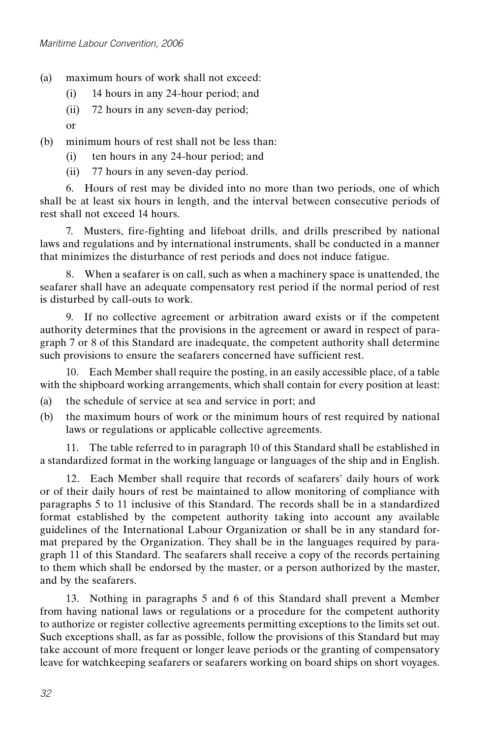- (a) maximum hours of work shall not exceed:
	- (i) 14 hours in any 24-hour period; and
	- (ii) 72 hours in any seven-day period;
	- or

(b) minimum hours of rest shall not be less than:

- (i) ten hours in any 24-hour period; and
- (ii) 77 hours in any seven-day period.

6. Hours of rest may be divided into no more than two periods, one of which shall be at least six hours in length, and the interval between consecutive periods of rest shall not exceed 14 hours.

7. Musters, fire-fighting and lifeboat drills, and drills prescribed by national laws and regulations and by international instruments, shall be conducted in a manner that minimizes the disturbance of rest periods and does not induce fatigue.

8. When a seafarer is on call, such as when a machinery space is unattended, the seafarer shall have an adequate compensatory rest period if the normal period of rest is disturbed by call-outs to work.

9. If no collective agreement or arbitration award exists or if the competent authority determines that the provisions in the agreement or award in respect of paragraph 7 or 8 of this Standard are inadequate, the competent authority shall determine such provisions to ensure the seafarers concerned have sufficient rest.

10. Each Member shall require the posting, in an easily accessible place, of a table with the shipboard working arrangements, which shall contain for every position at least:

- (a) the schedule of service at sea and service in port; and
- (b) the maximum hours of work or the minimum hours of rest required by national laws or regulations or applicable collective agreements.

11. The table referred to in paragraph 10 of this Standard shall be established in a standardized format in the working language or languages of the ship and in English.

12. Each Member shall require that records of seafarers' daily hours of work or of their daily hours of rest be maintained to allow monitoring of compliance with paragraphs 5 to 11 inclusive of this Standard. The records shall be in a standardized format established by the competent authority taking into account any available guidelines of the International Labour Organization or shall be in any standard format prepared by the Organization. They shall be in the languages required by paragraph 11 of this Standard. The seafarers shall receive a copy of the records pertaining to them which shall be endorsed by the master, or a person authorized by the master, and by the seafarers.

13. Nothing in paragraphs 5 and 6 of this Standard shall prevent a Member from having national laws or regulations or a procedure for the competent authority to authorize or register collective agreements permitting exceptions to the limits set out. Such exceptions shall, as far as possible, follow the provisions of this Standard but may take account of more frequent or longer leave periods or the granting of compensatory leave for watchkeeping seafarers or seafarers working on board ships on short voyages.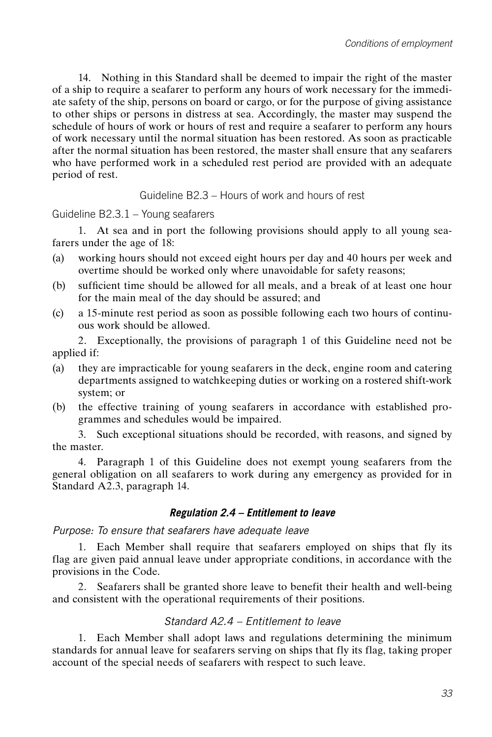<span id="page-34-0"></span>14. Nothing in this Standard shall be deemed to impair the right of the master of a ship to require a seafarer to perform any hours of work necessary for the immediate safety of the ship, persons on board or cargo, or for the purpose of giving assistance to other ships or persons in distress at sea. Accordingly, the master may suspend the schedule of hours of work or hours of rest and require a seafarer to perform any hours of work necessary until the normal situation has been restored. As soon as practicable after the normal situation has been restored, the master shall ensure that any seafarers who have performed work in a scheduled rest period are provided with an adequate period of rest.

Guideline B2.3 – Hours of work and hours of rest

Guideline B2.3.1 – Young seafarers

1. At sea and in port the following provisions should apply to all young seafarers under the age of 18:

- (a) working hours should not exceed eight hours per day and 40 hours per week and overtime should be worked only where unavoidable for safety reasons;
- (b) sufficient time should be allowed for all meals, and a break of at least one hour for the main meal of the day should be assured; and
- (c) a 15-minute rest period as soon as possible following each two hours of continuous work should be allowed.

2. Exceptionally, the provisions of paragraph 1 of this Guideline need not be applied if:

- (a) they are impracticable for young seafarers in the deck, engine room and catering departments assigned to watchkeeping duties or working on a rostered shift-work system; or
- (b) the effective training of young seafarers in accordance with established programmes and schedules would be impaired.

3. Such exceptional situations should be recorded, with reasons, and signed by the master.

4. Paragraph 1 of this Guideline does not exempt young seafarers from the general obligation on all seafarers to work during any emergency as provided for in Standard A2.3, paragraph 14.

## *Regulation 2.4 – Entitlement to leave*

*Purpose: To ensure that seafarers have adequate leave*

1. Each Member shall require that seafarers employed on ships that fly its flag are given paid annual leave under appropriate conditions, in accordance with the provisions in the Code.

2. Seafarers shall be granted shore leave to benefit their health and well-being and consistent with the operational requirements of their positions.

## *Standard A2.4 – Entitlement to leave*

1. Each Member shall adopt laws and regulations determining the minimum standards for annual leave for seafarers serving on ships that fly its flag, taking proper account of the special needs of seafarers with respect to such leave.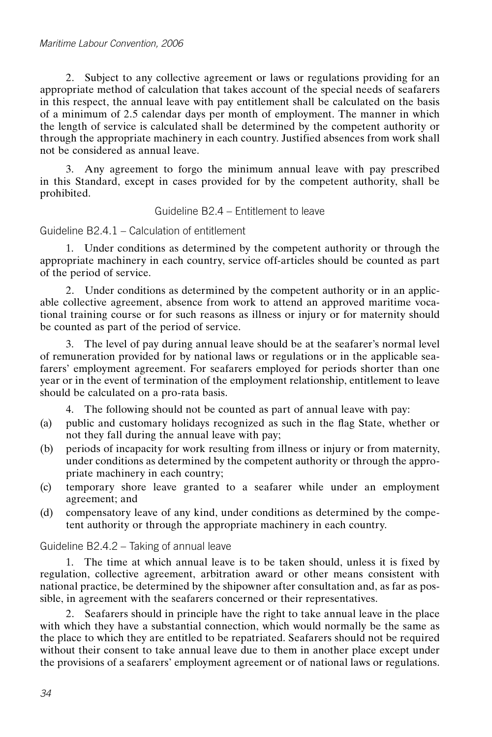2. Subject to any collective agreement or laws or regulations providing for an appropriate method of calculation that takes account of the special needs of seafarers in this respect, the annual leave with pay entitlement shall be calculated on the basis of a minimum of 2.5 calendar days per month of employment. The manner in which the length of service is calculated shall be determined by the competent authority or through the appropriate machinery in each country. Justified absences from work shall not be considered as annual leave.

3. Any agreement to forgo the minimum annual leave with pay prescribed in this Standard, except in cases provided for by the competent authority, shall be prohibited.

Guideline B2.4 – Entitlement to leave

Guideline B2.4.1 – Calculation of entitlement

1. Under conditions as determined by the competent authority or through the appropriate machinery in each country, service off-articles should be counted as part of the period of service.

2. Under conditions as determined by the competent authority or in an applicable collective agreement, absence from work to attend an approved maritime vocational training course or for such reasons as illness or injury or for maternity should be counted as part of the period of service.

3. The level of pay during annual leave should be at the seafarer's normal level of remuneration provided for by national laws or regulations or in the applicable seafarers' employment agreement. For seafarers employed for periods shorter than one year or in the event of termination of the employment relationship, entitlement to leave should be calculated on a pro-rata basis.

4. The following should not be counted as part of annual leave with pay:

- (a) public and customary holidays recognized as such in the flag State, whether or not they fall during the annual leave with pay;
- (b) periods of incapacity for work resulting from illness or injury or from maternity, under conditions as determined by the competent authority or through the appropriate machinery in each country;
- (c) temporary shore leave granted to a seafarer while under an employment agreement; and
- (d) compensatory leave of any kind, under conditions as determined by the competent authority or through the appropriate machinery in each country.

Guideline B2.4.2 – Taking of annual leave

1. The time at which annual leave is to be taken should, unless it is fixed by regulation, collective agreement, arbitration award or other means consistent with national practice, be determined by the shipowner after consultation and, as far as possible, in agreement with the seafarers concerned or their representatives.

2. Seafarers should in principle have the right to take annual leave in the place with which they have a substantial connection, which would normally be the same as the place to which they are entitled to be repatriated. Seafarers should not be required without their consent to take annual leave due to them in another place except under the provisions of a seafarers' employment agreement or of national laws or regulations.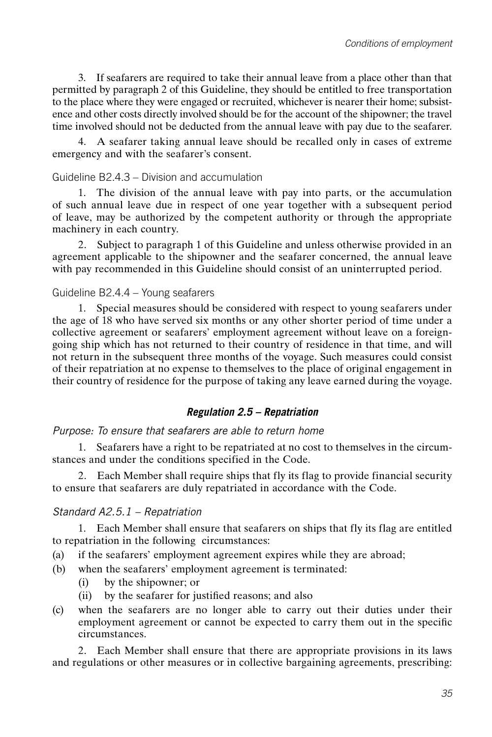3. If seafarers are required to take their annual leave from a place other than that permitted by paragraph 2 of this Guideline, they should be entitled to free transportation to the place where they were engaged or recruited, whichever is nearer their home; subsistence and other costs directly involved should be for the account of the shipowner; the travel time involved should not be deducted from the annual leave with pay due to the seafarer.

4. A seafarer taking annual leave should be recalled only in cases of extreme emergency and with the seafarer's consent.

### Guideline B2.4.3 – Division and accumulation

1. The division of the annual leave with pay into parts, or the accumulation of such annual leave due in respect of one year together with a subsequent period of leave, may be authorized by the competent authority or through the appropriate machinery in each country.

2. Subject to paragraph 1 of this Guideline and unless otherwise provided in an agreement applicable to the shipowner and the seafarer concerned, the annual leave with pay recommended in this Guideline should consist of an uninterrupted period.

#### Guideline B2.4.4 – Young seafarers

1. Special measures should be considered with respect to young seafarers under the age of 18 who have served six months or any other shorter period of time under a collective agreement or seafarers' employment agreement without leave on a foreigngoing ship which has not returned to their country of residence in that time, and will not return in the subsequent three months of the voyage. Such measures could consist of their repatriation at no expense to themselves to the place of original engagement in their country of residence for the purpose of taking any leave earned during the voyage.

#### *Regulation 2.5 – Repatriation*

### *Purpose: To ensure that seafarers are able to return home*

1. Seafarers have a right to be repatriated at no cost to themselves in the circumstances and under the conditions specified in the Code.

2. Each Member shall require ships that fly its flag to provide financial security to ensure that seafarers are duly repatriated in accordance with the Code.

#### *Standard A2.5.1 – Repatriation*

1. Each Member shall ensure that seafarers on ships that fly its flag are entitled to repatriation in the following circumstances:

(a) if the seafarers' employment agreement expires while they are abroad;

- (b) when the seafarers' employment agreement is terminated:
	- (i) by the shipowner; or
	- (ii) by the seafarer for justified reasons; and also
- (c) when the seafarers are no longer able to carry out their duties under their employment agreement or cannot be expected to carry them out in the specific circumstances.

2. Each Member shall ensure that there are appropriate provisions in its laws and regulations or other measures or in collective bargaining agreements, prescribing: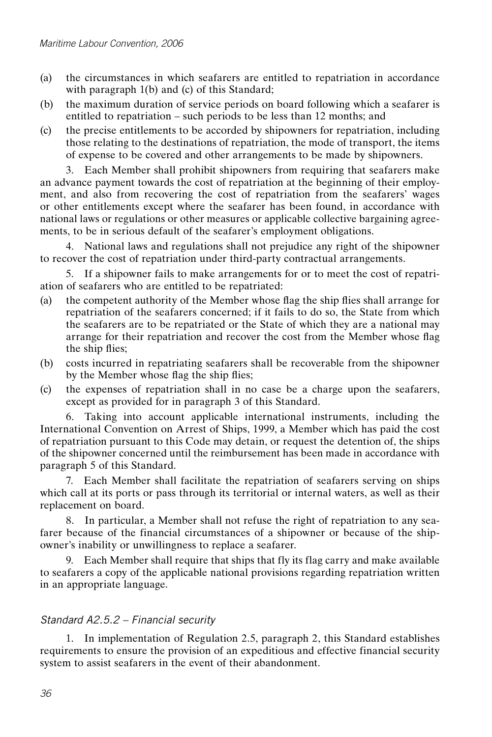- (a) the circumstances in which seafarers are entitled to repatriation in accordance with paragraph 1(b) and (c) of this Standard;
- (b) the maximum duration of service periods on board following which a seafarer is entitled to repatriation – such periods to be less than 12 months; and
- (c) the precise entitlements to be accorded by shipowners for repatriation, including those relating to the destinations of repatriation, the mode of transport, the items of expense to be covered and other arrangements to be made by shipowners.

3. Each Member shall prohibit shipowners from requiring that seafarers make an advance payment towards the cost of repatriation at the beginning of their employment, and also from recovering the cost of repatriation from the seafarers' wages or other entitlements except where the seafarer has been found, in accordance with national laws or regulations or other measures or applicable collective bargaining agreements, to be in serious default of the seafarer's employment obligations.

4. National laws and regulations shall not prejudice any right of the shipowner to recover the cost of repatriation under third-party contractual arrangements.

5. If a shipowner fails to make arrangements for or to meet the cost of repatriation of seafarers who are entitled to be repatriated:

- (a) the competent authority of the Member whose flag the ship flies shall arrange for repatriation of the seafarers concerned; if it fails to do so, the State from which the seafarers are to be repatriated or the State of which they are a national may arrange for their repatriation and recover the cost from the Member whose flag the ship flies;
- (b) costs incurred in repatriating seafarers shall be recoverable from the shipowner by the Member whose flag the ship flies;
- (c) the expenses of repatriation shall in no case be a charge upon the seafarers, except as provided for in paragraph 3 of this Standard.

6. Taking into account applicable international instruments, including the International Convention on Arrest of Ships, 1999, a Member which has paid the cost of repatriation pursuant to this Code may detain, or request the detention of, the ships of the shipowner concerned until the reimbursement has been made in accordance with paragraph 5 of this Standard.

7. Each Member shall facilitate the repatriation of seafarers serving on ships which call at its ports or pass through its territorial or internal waters, as well as their replacement on board.

8. In particular, a Member shall not refuse the right of repatriation to any seafarer because of the financial circumstances of a shipowner or because of the shipowner's inability or unwillingness to replace a seafarer.

9. Each Member shall require that ships that fly its flag carry and make available to seafarers a copy of the applicable national provisions regarding repatriation written in an appropriate language.

# *Standard A2.5.2 – Financial security*

1. In implementation of Regulation 2.5, paragraph 2, this Standard establishes requirements to ensure the provision of an expeditious and effective financial security system to assist seafarers in the event of their abandonment.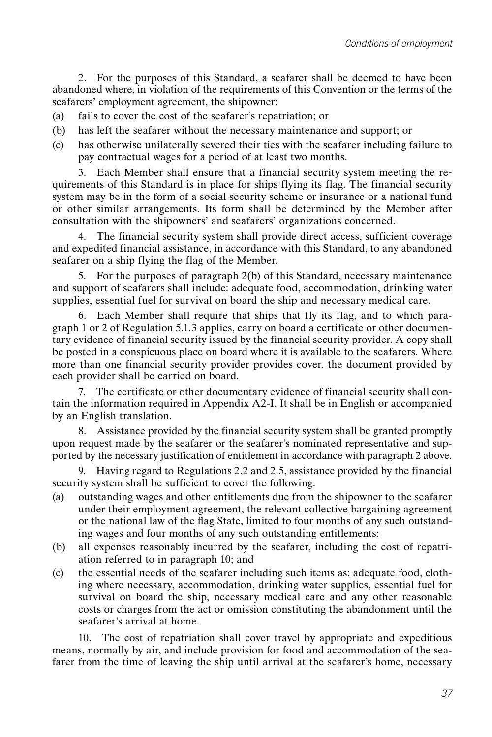2. For the purposes of this Standard, a seafarer shall be deemed to have been abandoned where, in violation of the requirements of this Convention or the terms of the seafarers' employment agreement, the shipowner:

- (a) fails to cover the cost of the seafarer's repatriation; or
- (b) has left the seafarer without the necessary maintenance and support; or
- (c) has otherwise unilaterally severed their ties with the seafarer including failure to pay contractual wages for a period of at least two months.

3. Each Member shall ensure that a financial security system meeting the requirements of this Standard is in place for ships flying its flag. The financial security system may be in the form of a social security scheme or insurance or a national fund or other similar arrangements. Its form shall be determined by the Member after consultation with the shipowners' and seafarers' organizations concerned.

4. The financial security system shall provide direct access, sufficient coverage and expedited financial assistance, in accordance with this Standard, to any abandoned seafarer on a ship flying the flag of the Member.

5. For the purposes of paragraph 2(b) of this Standard, necessary maintenance and support of seafarers shall include: adequate food, accommodation, drinking water supplies, essential fuel for survival on board the ship and necessary medical care.

6. Each Member shall require that ships that fly its flag, and to which paragraph 1 or 2 of Regulation 5.1.3 applies, carry on board a certificate or other documentary evidence of financial security issued by the financial security provider. A copy shall be posted in a conspicuous place on board where it is available to the seafarers. Where more than one financial security provider provides cover, the document provided by each provider shall be carried on board.

7. The certificate or other documentary evidence of financial security shall contain the information required in Appendix A2-I. It shall be in English or accompanied by an English translation.

8. Assistance provided by the financial security system shall be granted promptly upon request made by the seafarer or the seafarer's nominated representative and supported by the necessary justification of entitlement in accordance with paragraph 2 above.

9. Having regard to Regulations 2.2 and 2.5, assistance provided by the financial security system shall be sufficient to cover the following:

- (a) outstanding wages and other entitlements due from the shipowner to the seafarer under their employment agreement, the relevant collective bargaining agreement or the national law of the flag State, limited to four months of any such outstanding wages and four months of any such outstanding entitlements;
- (b) all expenses reasonably incurred by the seafarer, including the cost of repatriation referred to in paragraph 10; and
- (c) the essential needs of the seafarer including such items as: adequate food, clothing where necessary, accommodation, drinking water supplies, essential fuel for survival on board the ship, necessary medical care and any other reasonable costs or charges from the act or omission constituting the abandonment until the seafarer's arrival at home.

10. The cost of repatriation shall cover travel by appropriate and expeditious means, normally by air, and include provision for food and accommodation of the seafarer from the time of leaving the ship until arrival at the seafarer's home, necessary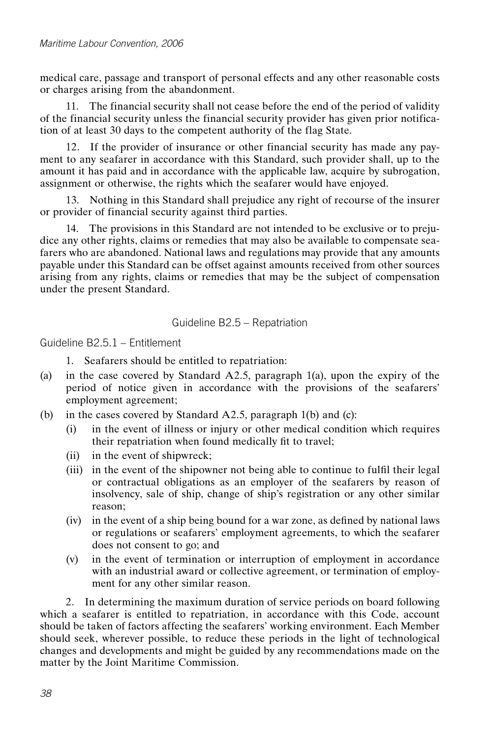medical care, passage and transport of personal effects and any other reasonable costs or charges arising from the abandonment.

11. The financial security shall not cease before the end of the period of validity of the financial security unless the financial security provider has given prior notification of at least 30 days to the competent authority of the flag State.

12. If the provider of insurance or other financial security has made any payment to any seafarer in accordance with this Standard, such provider shall, up to the amount it has paid and in accordance with the applicable law, acquire by subrogation, assignment or otherwise, the rights which the seafarer would have enjoyed.

13. Nothing in this Standard shall prejudice any right of recourse of the insurer or provider of financial security against third parties.

14. The provisions in this Standard are not intended to be exclusive or to prejudice any other rights, claims or remedies that may also be available to compensate seafarers who are abandoned. National laws and regulations may provide that any amounts payable under this Standard can be offset against amounts received from other sources arising from any rights, claims or remedies that may be the subject of compensation under the present Standard.

## Guideline B2.5 – Repatriation

Guideline B2.5.1 – Entitlement

- 1. Seafarers should be entitled to repatriation:
- (a) in the case covered by Standard A2.5, paragraph 1(a), upon the expiry of the period of notice given in accordance with the provisions of the seafarers' employment agreement;
- (b) in the cases covered by Standard A2.5, paragraph 1(b) and (c):
	- (i) in the event of illness or injury or other medical condition which requires their repatriation when found medically fit to travel;
	- (ii) in the event of shipwreck;
	- (iii) in the event of the shipowner not being able to continue to fulfil their legal or contractual obligations as an employer of the seafarers by reason of insolvency, sale of ship, change of ship's registration or any other similar reason;
	- (iv) in the event of a ship being bound for a war zone, as defined by national laws or regulations or seafarers' employment agreements, to which the seafarer does not consent to go; and
	- (v) in the event of termination or interruption of employment in accordance with an industrial award or collective agreement, or termination of employment for any other similar reason.

2. In determining the maximum duration of service periods on board following which a seafarer is entitled to repatriation, in accordance with this Code, account should be taken of factors affecting the seafarers' working environment. Each Member should seek, wherever possible, to reduce these periods in the light of technological changes and developments and might be guided by any recommendations made on the matter by the Joint Maritime Commission.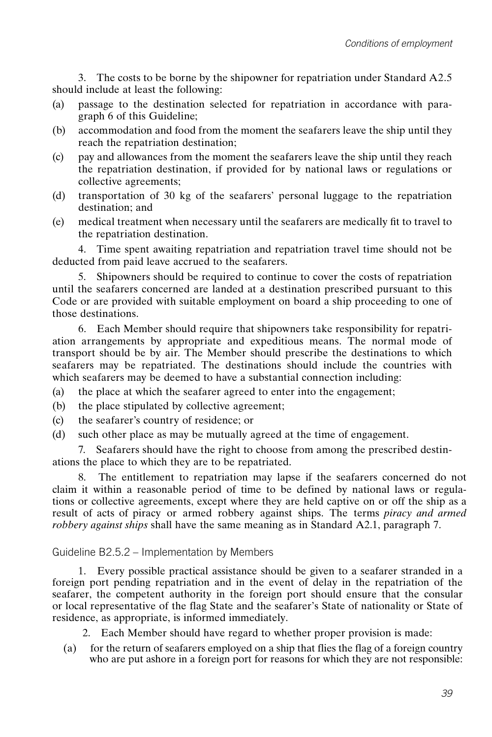3. The costs to be borne by the shipowner for repatriation under Standard A2.5 should include at least the following:

- (a) passage to the destination selected for repatriation in accordance with paragraph 6 of this Guideline;
- (b) accommodation and food from the moment the seafarers leave the ship until they reach the repatriation destination;
- (c) pay and allowances from the moment the seafarers leave the ship until they reach the repatriation destination, if provided for by national laws or regulations or collective agreements;
- (d) transportation of 30 kg of the seafarers' personal luggage to the repatriation destination; and
- (e) medical treatment when necessary until the seafarers are medically fit to travel to the repatriation destination.

4. Time spent awaiting repatriation and repatriation travel time should not be deducted from paid leave accrued to the seafarers.

5. Shipowners should be required to continue to cover the costs of repatriation until the seafarers concerned are landed at a destination prescribed pursuant to this Code or are provided with suitable employment on board a ship proceeding to one of those destinations.

6. Each Member should require that shipowners take responsibility for repatriation arrangements by appropriate and expeditious means. The normal mode of transport should be by air. The Member should prescribe the destinations to which seafarers may be repatriated. The destinations should include the countries with which seafarers may be deemed to have a substantial connection including:

- (a) the place at which the seafarer agreed to enter into the engagement;
- (b) the place stipulated by collective agreement;
- (c) the seafarer's country of residence; or
- (d) such other place as may be mutually agreed at the time of engagement.

7. Seafarers should have the right to choose from among the prescribed destinations the place to which they are to be repatriated.

8. The entitlement to repatriation may lapse if the seafarers concerned do not claim it within a reasonable period of time to be defined by national laws or regulations or collective agreements, except where they are held captive on or off the ship as a result of acts of piracy or armed robbery against ships. The terms *piracy and armed robbery against ships* shall have the same meaning as in Standard A2.1, paragraph 7.

#### Guideline B2.5.2 – Implementation by Members

1. Every possible practical assistance should be given to a seafarer stranded in a foreign port pending repatriation and in the event of delay in the repatriation of the seafarer, the competent authority in the foreign port should ensure that the consular or local representative of the flag State and the seafarer's State of nationality or State of residence, as appropriate, is informed immediately.

2. Each Member should have regard to whether proper provision is made:

(a) for the return of seafarers employed on a ship that flies the flag of a foreign country who are put ashore in a foreign port for reasons for which they are not responsible: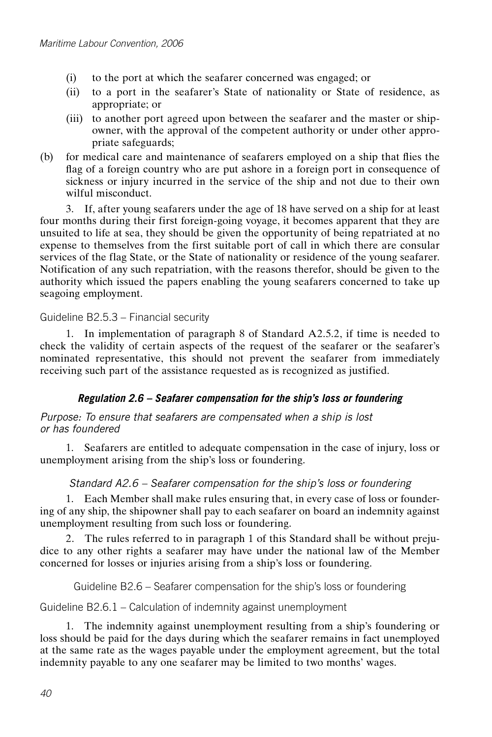- (i) to the port at which the seafarer concerned was engaged; or
- (ii) to a port in the seafarer's State of nationality or State of residence, as appropriate; or
- (iii) to another port agreed upon between the seafarer and the master or shipowner, with the approval of the competent authority or under other appropriate safeguards;
- (b) for medical care and maintenance of seafarers employed on a ship that flies the flag of a foreign country who are put ashore in a foreign port in consequence of sickness or injury incurred in the service of the ship and not due to their own wilful misconduct.

3. If, after young seafarers under the age of 18 have served on a ship for at least four months during their first foreign-going voyage, it becomes apparent that they are unsuited to life at sea, they should be given the opportunity of being repatriated at no expense to themselves from the first suitable port of call in which there are consular services of the flag State, or the State of nationality or residence of the young seafarer. Notification of any such repatriation, with the reasons therefor, should be given to the authority which issued the papers enabling the young seafarers concerned to take up seagoing employment.

## Guideline B2.5.3 – Financial security

1. In implementation of paragraph 8 of Standard A2.5.2, if time is needed to check the validity of certain aspects of the request of the seafarer or the seafarer's nominated representative, this should not prevent the seafarer from immediately receiving such part of the assistance requested as is recognized as justified.

## *Regulation 2.6 – Seafarer compensation for the ship's loss or foundering*

*Purpose: To ensure that seafarers are compensated when a ship is lost or has foundered*

1. Seafarers are entitled to adequate compensation in the case of injury, loss or unemployment arising from the ship's loss or foundering.

## *Standard A2.6 – Seafarer compensation for the ship's loss or foundering*

1. Each Member shall make rules ensuring that, in every case of loss or foundering of any ship, the shipowner shall pay to each seafarer on board an indemnity against unemployment resulting from such loss or foundering.

2. The rules referred to in paragraph 1 of this Standard shall be without prejudice to any other rights a seafarer may have under the national law of the Member concerned for losses or injuries arising from a ship's loss or foundering.

Guideline B2.6 – Seafarer compensation for the ship's loss or foundering

Guideline B2.6.1 – Calculation of indemnity against unemployment

1. The indemnity against unemployment resulting from a ship's foundering or loss should be paid for the days during which the seafarer remains in fact unemployed at the same rate as the wages payable under the employment agreement, but the total indemnity payable to any one seafarer may be limited to two months' wages.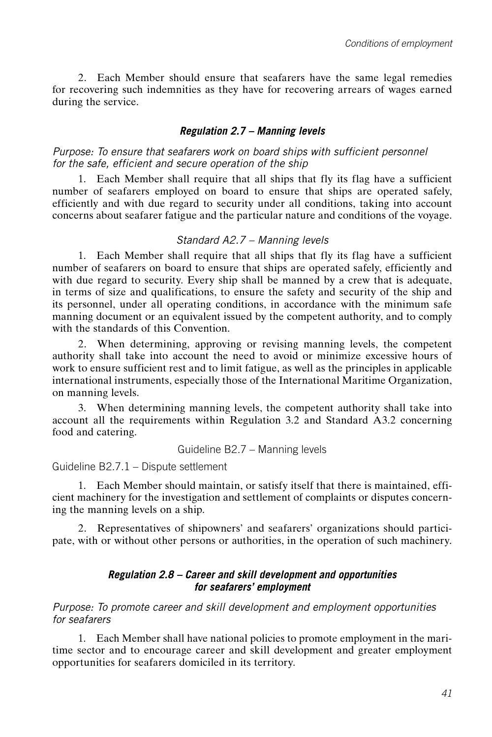2. Each Member should ensure that seafarers have the same legal remedies for recovering such indemnities as they have for recovering arrears of wages earned during the service.

# *Regulation 2.7 – Manning levels*

*Purpose: To ensure that seafarers work on board ships with sufficient personnel for the safe, efficient and secure operation of the ship*

1. Each Member shall require that all ships that fly its flag have a sufficient number of seafarers employed on board to ensure that ships are operated safely, efficiently and with due regard to security under all conditions, taking into account concerns about seafarer fatigue and the particular nature and conditions of the voyage.

## *Standard A2.7 – Manning levels*

1. Each Member shall require that all ships that fly its flag have a sufficient number of seafarers on board to ensure that ships are operated safely, efficiently and with due regard to security. Every ship shall be manned by a crew that is adequate, in terms of size and qualifications, to ensure the safety and security of the ship and its personnel, under all operating conditions, in accordance with the minimum safe manning document or an equivalent issued by the competent authority, and to comply with the standards of this Convention.

2. When determining, approving or revising manning levels, the competent authority shall take into account the need to avoid or minimize excessive hours of work to ensure sufficient rest and to limit fatigue, as well as the principles in applicable international instruments, especially those of the International Maritime Organization, on manning levels.

3. When determining manning levels, the competent authority shall take into account all the requirements within Regulation 3.2 and Standard A3.2 concerning food and catering.

Guideline B2.7 – Manning levels

Guideline B2.7.1 – Dispute settlement

1. Each Member should maintain, or satisfy itself that there is maintained, efficient machinery for the investigation and settlement of complaints or disputes concerning the manning levels on a ship.

2. Representatives of shipowners' and seafarers' organizations should participate, with or without other persons or authorities, in the operation of such machinery.

## *Regulation 2.8 – Career and skill development and opportunities for seafarers' employment*

*Purpose: To promote career and skill development and employment opportunities for seafarers*

1. Each Member shall have national policies to promote employment in the maritime sector and to encourage career and skill development and greater employment opportunities for seafarers domiciled in its territory.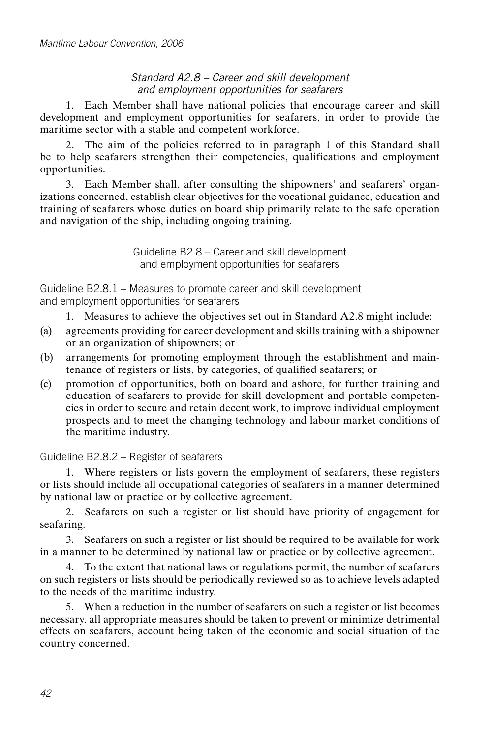# *Standard A2.8 – Career and skill development and employment opportunities for seafarers*

1. Each Member shall have national policies that encourage career and skill development and employment opportunities for seafarers, in order to provide the maritime sector with a stable and competent workforce.

The aim of the policies referred to in paragraph 1 of this Standard shall be to help seafarers strengthen their competencies, qualifications and employment opportunities.

3. Each Member shall, after consulting the shipowners' and seafarers' organizations concerned, establish clear objectives for the vocational guidance, education and training of seafarers whose duties on board ship primarily relate to the safe operation and navigation of the ship, including ongoing training.

> Guideline B2.8 – Career and skill development and employment opportunities for seafarers

Guideline B2.8.1 – Measures to promote career and skill development and employment opportunities for seafarers

- 1. Measures to achieve the objectives set out in Standard A2.8 might include:
- (a) agreements providing for career development and skills training with a shipowner or an organization of shipowners; or
- (b) arrangements for promoting employment through the establishment and maintenance of registers or lists, by categories, of qualified seafarers; or
- (c) promotion of opportunities, both on board and ashore, for further training and education of seafarers to provide for skill development and portable competencies in order to secure and retain decent work, to improve individual employment prospects and to meet the changing technology and labour market conditions of the maritime industry.

# Guideline B2.8.2 – Register of seafarers

1. Where registers or lists govern the employment of seafarers, these registers or lists should include all occupational categories of seafarers in a manner determined by national law or practice or by collective agreement.

2. Seafarers on such a register or list should have priority of engagement for seafaring.

3. Seafarers on such a register or list should be required to be available for work in a manner to be determined by national law or practice or by collective agreement.

4. To the extent that national laws or regulations permit, the number of seafarers on such registers or lists should be periodically reviewed so as to achieve levels adapted to the needs of the maritime industry.

When a reduction in the number of seafarers on such a register or list becomes necessary, all appropriate measures should be taken to prevent or minimize detrimental effects on seafarers, account being taken of the economic and social situation of the country concerned.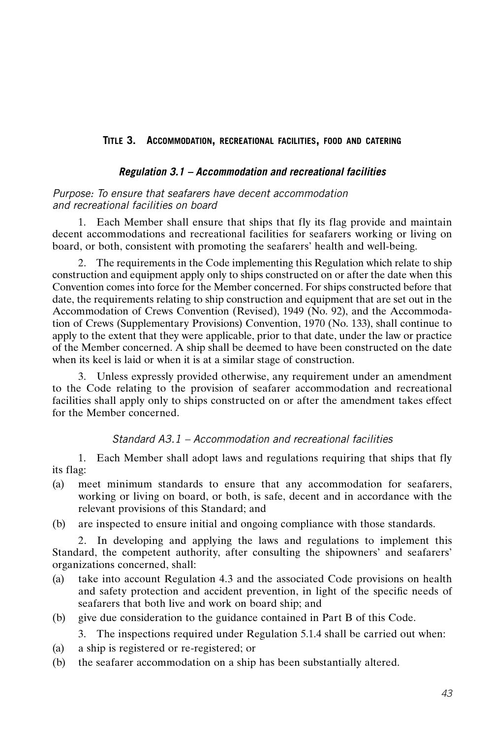# **Title 3. Accommodation, recreational facilities, food and catering**

### *Regulation 3.1 – Accommodation and recreational facilities*

#### *Purpose: To ensure that seafarers have decent accommodation and recreational facilities on board*

1. Each Member shall ensure that ships that fly its flag provide and maintain decent accommodations and recreational facilities for seafarers working or living on board, or both, consistent with promoting the seafarers' health and well-being.

2. The requirements in the Code implementing this Regulation which relate to ship construction and equipment apply only to ships constructed on or after the date when this Convention comes into force for the Member concerned. For ships constructed before that date, the requirements relating to ship construction and equipment that are set out in the Accommodation of Crews Convention (Revised), 1949 (No. 92), and the Accommodation of Crews (Supplementary Provisions) Convention, 1970 (No. 133), shall continue to apply to the extent that they were applicable, prior to that date, under the law or practice of the Member concerned. A ship shall be deemed to have been constructed on the date when its keel is laid or when it is at a similar stage of construction.

3. Unless expressly provided otherwise, any requirement under an amendment to the Code relating to the provision of seafarer accommodation and recreational facilities shall apply only to ships constructed on or after the amendment takes effect for the Member concerned.

## *Standard A3.1 – Accommodation and recreational facilities*

1. Each Member shall adopt laws and regulations requiring that ships that fly its flag:

- (a) meet minimum standards to ensure that any accommodation for seafarers, working or living on board, or both, is safe, decent and in accordance with the relevant provisions of this Standard; and
- (b) are inspected to ensure initial and ongoing compliance with those standards.

2. In developing and applying the laws and regulations to implement this Standard, the competent authority, after consulting the shipowners' and seafarers' organizations concerned, shall:

- (a) take into account Regulation 4.3 and the associated Code provisions on health and safety protection and accident prevention, in light of the specific needs of seafarers that both live and work on board ship; and
- (b) give due consideration to the guidance contained in Part B of this Code.

3. The inspections required under Regulation 5.1.4 shall be carried out when:

- (a) a ship is registered or re-registered; or
- (b) the seafarer accommodation on a ship has been substantially altered.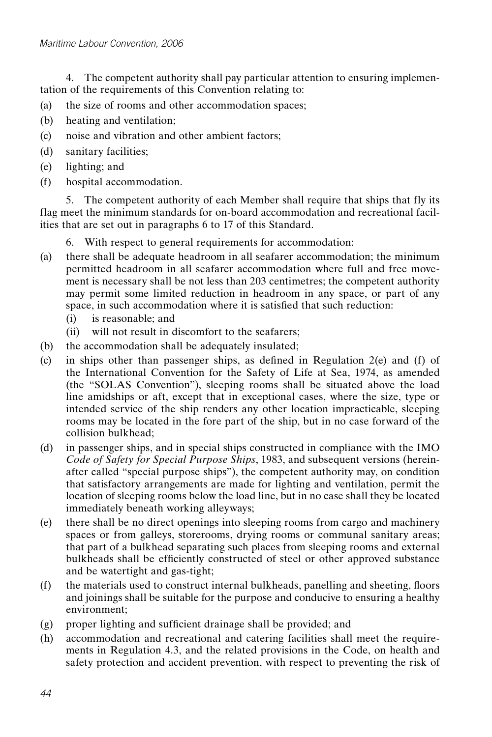4. The competent authority shall pay particular attention to ensuring implementation of the requirements of this Convention relating to:

- (a) the size of rooms and other accommodation spaces;
- (b) heating and ventilation;
- (c) noise and vibration and other ambient factors;
- (d) sanitary facilities;
- (e) lighting; and
- (f) hospital accommodation.

5. The competent authority of each Member shall require that ships that fly its flag meet the minimum standards for on-board accommodation and recreational facilities that are set out in paragraphs 6 to 17 of this Standard.

6. With respect to general requirements for accommodation:

- (a) there shall be adequate headroom in all seafarer accommodation; the minimum permitted headroom in all seafarer accommodation where full and free movement is necessary shall be not less than 203 centimetres; the competent authority may permit some limited reduction in headroom in any space, or part of any space, in such accommodation where it is satisfied that such reduction:
	- (i) is reasonable; and
	- (ii) will not result in discomfort to the seafarers;
- (b) the accommodation shall be adequately insulated;
- (c) in ships other than passenger ships, as defined in Regulation 2(e) and (f) of the International Convention for the Safety of Life at Sea, 1974, as amended (the "SOLAS Convention"), sleeping rooms shall be situated above the load line amidships or aft, except that in exceptional cases, where the size, type or intended service of the ship renders any other location impracticable, sleeping rooms may be located in the fore part of the ship, but in no case forward of the collision bulkhead;
- (d) in passenger ships, and in special ships constructed in compliance with the IMO *Code of Safety for Special Purpose Ships*, 1983, and subsequent versions (hereinafter called "special purpose ships"), the competent authority may, on condition that satisfactory arrangements are made for lighting and ventilation, permit the location of sleeping rooms below the load line, but in no case shall they be located immediately beneath working alleyways;
- (e) there shall be no direct openings into sleeping rooms from cargo and machinery spaces or from galleys, storerooms, drying rooms or communal sanitary areas; that part of a bulkhead separating such places from sleeping rooms and external bulkheads shall be efficiently constructed of steel or other approved substance and be watertight and gas-tight;
- (f) the materials used to construct internal bulkheads, panelling and sheeting, floors and joinings shall be suitable for the purpose and conducive to ensuring a healthy environment;
- (g) proper lighting and sufficient drainage shall be provided; and
- (h) accommodation and recreational and catering facilities shall meet the requirements in Regulation 4.3, and the related provisions in the Code, on health and safety protection and accident prevention, with respect to preventing the risk of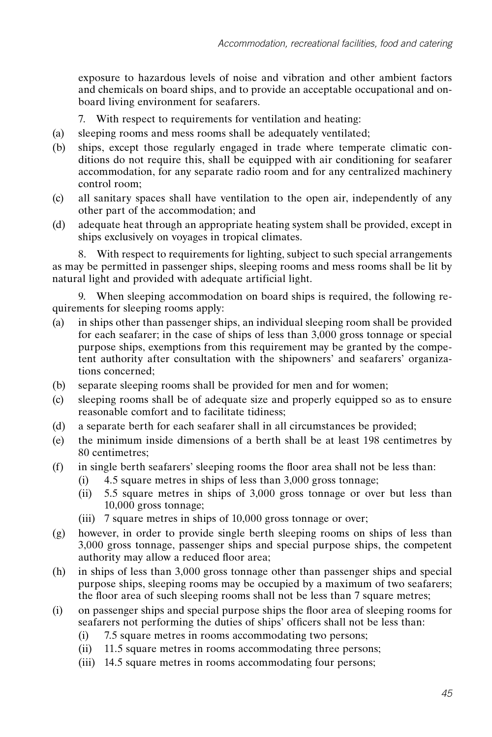exposure to hazardous levels of noise and vibration and other ambient factors and chemicals on board ships, and to provide an acceptable occupational and onboard living environment for seafarers.

7. With respect to requirements for ventilation and heating:

- (a) sleeping rooms and mess rooms shall be adequately ventilated;
- (b) ships, except those regularly engaged in trade where temperate climatic conditions do not require this, shall be equipped with air conditioning for seafarer accommodation, for any separate radio room and for any centralized machinery control room;
- (c) all sanitary spaces shall have ventilation to the open air, independently of any other part of the accommodation; and
- (d) adequate heat through an appropriate heating system shall be provided, except in ships exclusively on voyages in tropical climates.

8. With respect to requirements for lighting, subject to such special arrangements as may be permitted in passenger ships, sleeping rooms and mess rooms shall be lit by natural light and provided with adequate artificial light.

9. When sleeping accommodation on board ships is required, the following requirements for sleeping rooms apply:

- (a) in ships other than passenger ships, an individual sleeping room shall be provided for each seafarer; in the case of ships of less than 3,000 gross tonnage or special purpose ships, exemptions from this requirement may be granted by the competent authority after consultation with the shipowners' and seafarers' organizations concerned;
- (b) separate sleeping rooms shall be provided for men and for women;
- (c) sleeping rooms shall be of adequate size and properly equipped so as to ensure reasonable comfort and to facilitate tidiness;
- (d) a separate berth for each seafarer shall in all circumstances be provided;
- (e) the minimum inside dimensions of a berth shall be at least 198 centimetres by 80 centimetres;
- (f) in single berth seafarers' sleeping rooms the floor area shall not be less than:
	- (i) 4.5 square metres in ships of less than 3,000 gross tonnage;
	- (ii) 5.5 square metres in ships of 3,000 gross tonnage or over but less than 10,000 gross tonnage;
	- (iii) 7 square metres in ships of 10,000 gross tonnage or over;
- (g) however, in order to provide single berth sleeping rooms on ships of less than 3,000 gross tonnage, passenger ships and special purpose ships, the competent authority may allow a reduced floor area;
- (h) in ships of less than 3,000 gross tonnage other than passenger ships and special purpose ships, sleeping rooms may be occupied by a maximum of two seafarers; the floor area of such sleeping rooms shall not be less than 7 square metres;
- (i) on passenger ships and special purpose ships the floor area of sleeping rooms for seafarers not performing the duties of ships' officers shall not be less than:
	- (i) 7.5 square metres in rooms accommodating two persons;
	- (ii) 11.5 square metres in rooms accommodating three persons;
	- (iii) 14.5 square metres in rooms accommodating four persons;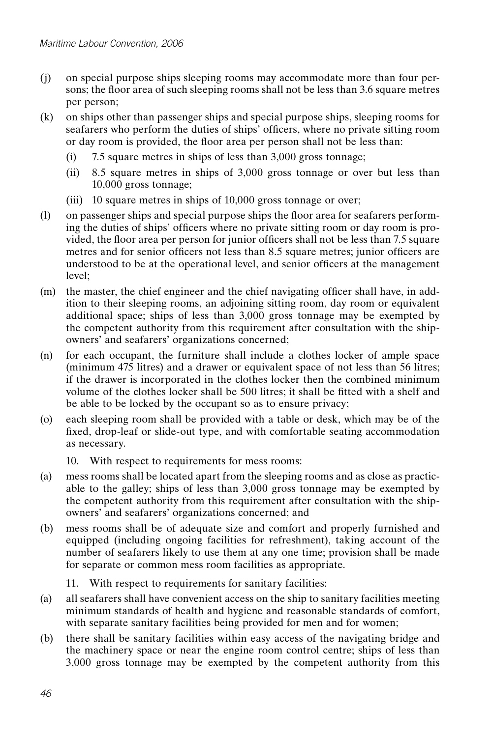- (j) on special purpose ships sleeping rooms may accommodate more than four persons; the floor area of such sleeping rooms shall not be less than 3.6 square metres per person;
- (k) on ships other than passenger ships and special purpose ships, sleeping rooms for seafarers who perform the duties of ships' officers, where no private sitting room or day room is provided, the floor area per person shall not be less than:
	- (i) 7.5 square metres in ships of less than 3,000 gross tonnage;
	- (ii) 8.5 square metres in ships of 3,000 gross tonnage or over but less than 10,000 gross tonnage;
	- (iii) 10 square metres in ships of 10,000 gross tonnage or over;
- (l) on passenger ships and special purpose ships the floor area for seafarers performing the duties of ships' officers where no private sitting room or day room is provided, the floor area per person for junior officers shall not be less than 7.5 square metres and for senior officers not less than 8.5 square metres; junior officers are understood to be at the operational level, and senior officers at the management level;
- (m) the master, the chief engineer and the chief navigating officer shall have, in addition to their sleeping rooms, an adjoining sitting room, day room or equivalent additional space; ships of less than 3,000 gross tonnage may be exempted by the competent authority from this requirement after consultation with the shipowners' and seafarers' organizations concerned;
- (n) for each occupant, the furniture shall include a clothes locker of ample space (minimum 475 litres) and a drawer or equivalent space of not less than 56 litres; if the drawer is incorporated in the clothes locker then the combined minimum volume of the clothes locker shall be 500 litres; it shall be fitted with a shelf and be able to be locked by the occupant so as to ensure privacy;
- (o) each sleeping room shall be provided with a table or desk, which may be of the fixed, drop-leaf or slide-out type, and with comfortable seating accommodation as necessary.
	- 10. With respect to requirements for mess rooms:
- (a) mess rooms shall be located apart from the sleeping rooms and as close as practicable to the galley; ships of less than 3,000 gross tonnage may be exempted by the competent authority from this requirement after consultation with the shipowners' and seafarers' organizations concerned; and
- (b) mess rooms shall be of adequate size and comfort and properly furnished and equipped (including ongoing facilities for refreshment), taking account of the number of seafarers likely to use them at any one time; provision shall be made for separate or common mess room facilities as appropriate.
	- 11. With respect to requirements for sanitary facilities:
- (a) all seafarers shall have convenient access on the ship to sanitary facilities meeting minimum standards of health and hygiene and reasonable standards of comfort, with separate sanitary facilities being provided for men and for women;
- (b) there shall be sanitary facilities within easy access of the navigating bridge and the machinery space or near the engine room control centre; ships of less than 3,000 gross tonnage may be exempted by the competent authority from this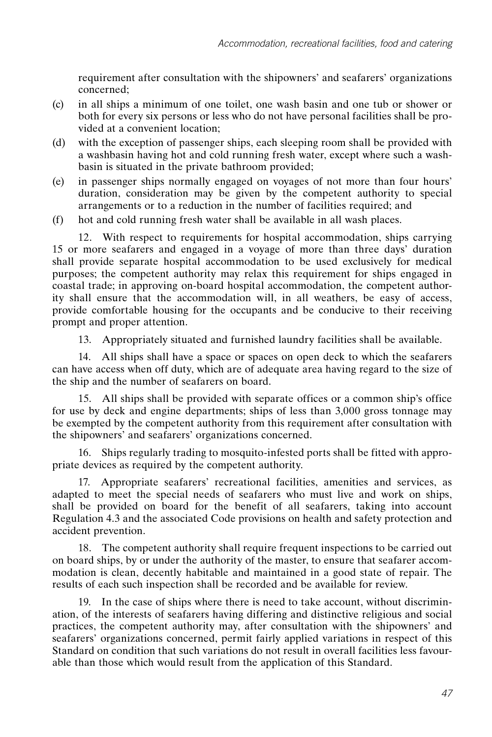requirement after consultation with the shipowners' and seafarers' organizations concerned;

- (c) in all ships a minimum of one toilet, one wash basin and one tub or shower or both for every six persons or less who do not have personal facilities shall be provided at a convenient location;
- (d) with the exception of passenger ships, each sleeping room shall be provided with a washbasin having hot and cold running fresh water, except where such a washbasin is situated in the private bathroom provided;
- (e) in passenger ships normally engaged on voyages of not more than four hours' duration, consideration may be given by the competent authority to special arrangements or to a reduction in the number of facilities required; and
- (f) hot and cold running fresh water shall be available in all wash places.

12. With respect to requirements for hospital accommodation, ships carrying 15 or more seafarers and engaged in a voyage of more than three days' duration shall provide separate hospital accommodation to be used exclusively for medical purposes; the competent authority may relax this requirement for ships engaged in coastal trade; in approving on-board hospital accommodation, the competent authority shall ensure that the accommodation will, in all weathers, be easy of access, provide comfortable housing for the occupants and be conducive to their receiving prompt and proper attention.

13. Appropriately situated and furnished laundry facilities shall be available.

14. All ships shall have a space or spaces on open deck to which the seafarers can have access when off duty, which are of adequate area having regard to the size of the ship and the number of seafarers on board.

15. All ships shall be provided with separate offices or a common ship's office for use by deck and engine departments; ships of less than 3,000 gross tonnage may be exempted by the competent authority from this requirement after consultation with the shipowners' and seafarers' organizations concerned.

16. Ships regularly trading to mosquito-infested ports shall be fitted with appropriate devices as required by the competent authority.

17. Appropriate seafarers' recreational facilities, amenities and services, as adapted to meet the special needs of seafarers who must live and work on ships, shall be provided on board for the benefit of all seafarers, taking into account Regulation 4.3 and the associated Code provisions on health and safety protection and accident prevention.

18. The competent authority shall require frequent inspections to be carried out on board ships, by or under the authority of the master, to ensure that seafarer accommodation is clean, decently habitable and maintained in a good state of repair. The results of each such inspection shall be recorded and be available for review.

19. In the case of ships where there is need to take account, without discrimination, of the interests of seafarers having differing and distinctive religious and social practices, the competent authority may, after consultation with the shipowners' and seafarers' organizations concerned, permit fairly applied variations in respect of this Standard on condition that such variations do not result in overall facilities less favourable than those which would result from the application of this Standard.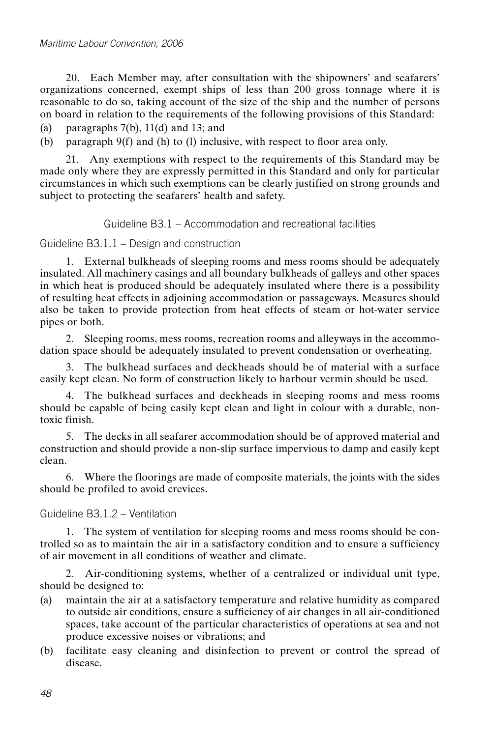20. Each Member may, after consultation with the shipowners' and seafarers' organizations concerned, exempt ships of less than 200 gross tonnage where it is reasonable to do so, taking account of the size of the ship and the number of persons on board in relation to the requirements of the following provisions of this Standard:

(a) paragraphs  $7(b)$ ,  $11(d)$  and  $13$ ; and

(b) paragraph 9(f) and (h) to (l) inclusive, with respect to floor area only.

21. Any exemptions with respect to the requirements of this Standard may be made only where they are expressly permitted in this Standard and only for particular circumstances in which such exemptions can be clearly justified on strong grounds and subject to protecting the seafarers' health and safety.

Guideline B3.1 – Accommodation and recreational facilities

Guideline B3.1.1 – Design and construction

1. External bulkheads of sleeping rooms and mess rooms should be adequately insulated. All machinery casings and all boundary bulkheads of galleys and other spaces in which heat is produced should be adequately insulated where there is a possibility of resulting heat effects in adjoining accommodation or passageways. Measures should also be taken to provide protection from heat effects of steam or hot-water service pipes or both.

2. Sleeping rooms, mess rooms, recreation rooms and alleyways in the accommodation space should be adequately insulated to prevent condensation or overheating.

3. The bulkhead surfaces and deckheads should be of material with a surface easily kept clean. No form of construction likely to harbour vermin should be used.

4. The bulkhead surfaces and deckheads in sleeping rooms and mess rooms should be capable of being easily kept clean and light in colour with a durable, nontoxic finish.

5. The decks in all seafarer accommodation should be of approved material and construction and should provide a non-slip surface impervious to damp and easily kept clean.

6. Where the floorings are made of composite materials, the joints with the sides should be profiled to avoid crevices.

Guideline B3.1.2 – Ventilation

1. The system of ventilation for sleeping rooms and mess rooms should be controlled so as to maintain the air in a satisfactory condition and to ensure a sufficiency of air movement in all conditions of weather and climate.

2. Air-conditioning systems, whether of a centralized or individual unit type, should be designed to:

- (a) maintain the air at a satisfactory temperature and relative humidity as compared to outside air conditions, ensure a sufficiency of air changes in all air-conditioned spaces, take account of the particular characteristics of operations at sea and not produce excessive noises or vibrations; and
- (b) facilitate easy cleaning and disinfection to prevent or control the spread of disease.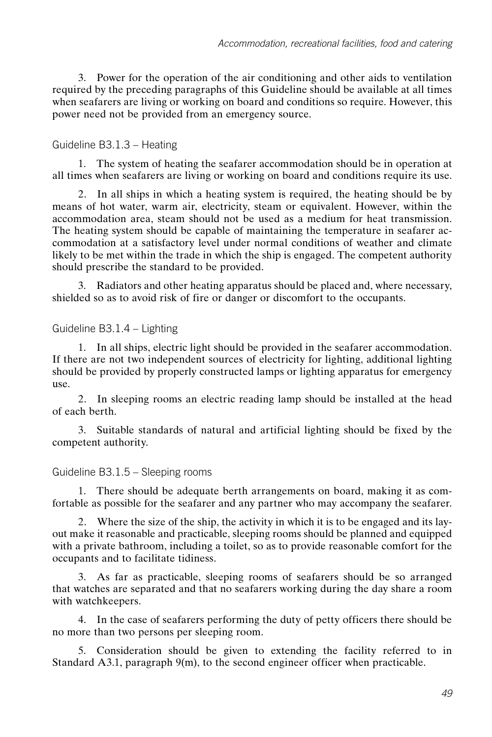3. Power for the operation of the air conditioning and other aids to ventilation required by the preceding paragraphs of this Guideline should be available at all times when seafarers are living or working on board and conditions so require. However, this power need not be provided from an emergency source.

Guideline B3.1.3 – Heating

1. The system of heating the seafarer accommodation should be in operation at all times when seafarers are living or working on board and conditions require its use.

2. In all ships in which a heating system is required, the heating should be by means of hot water, warm air, electricity, steam or equivalent. However, within the accommodation area, steam should not be used as a medium for heat transmission. The heating system should be capable of maintaining the temperature in seafarer accommodation at a satisfactory level under normal conditions of weather and climate likely to be met within the trade in which the ship is engaged. The competent authority should prescribe the standard to be provided.

3. Radiators and other heating apparatus should be placed and, where necessary, shielded so as to avoid risk of fire or danger or discomfort to the occupants.

Guideline B3.1.4 – Lighting

1. In all ships, electric light should be provided in the seafarer accommodation. If there are not two independent sources of electricity for lighting, additional lighting should be provided by properly constructed lamps or lighting apparatus for emergency use.

2. In sleeping rooms an electric reading lamp should be installed at the head of each berth.

3. Suitable standards of natural and artificial lighting should be fixed by the competent authority.

## Guideline B3.1.5 – Sleeping rooms

1. There should be adequate berth arrangements on board, making it as comfortable as possible for the seafarer and any partner who may accompany the seafarer.

2. Where the size of the ship, the activity in which it is to be engaged and its layout make it reasonable and practicable, sleeping rooms should be planned and equipped with a private bathroom, including a toilet, so as to provide reasonable comfort for the occupants and to facilitate tidiness.

3. As far as practicable, sleeping rooms of seafarers should be so arranged that watches are separated and that no seafarers working during the day share a room with watchkeepers.

4. In the case of seafarers performing the duty of petty officers there should be no more than two persons per sleeping room.

5. Consideration should be given to extending the facility referred to in Standard A3.1, paragraph 9(m), to the second engineer officer when practicable.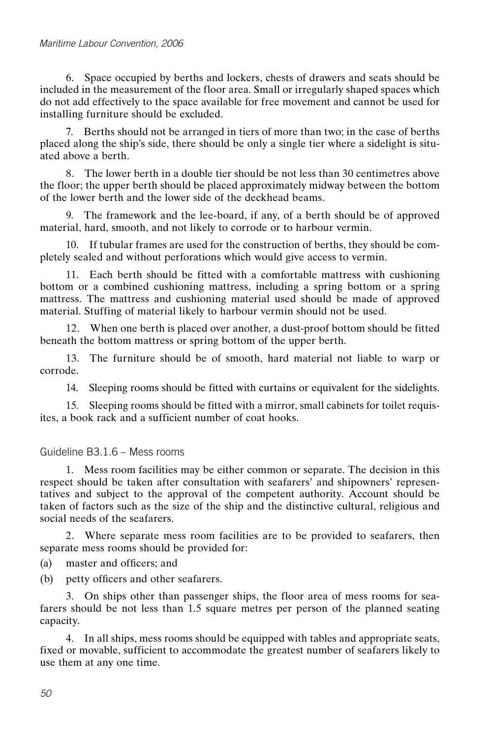#### *Maritime Labour Convention, 2006*

6. Space occupied by berths and lockers, chests of drawers and seats should be included in the measurement of the floor area. Small or irregularly shaped spaces which do not add effectively to the space available for free movement and cannot be used for installing furniture should be excluded.

7. Berths should not be arranged in tiers of more than two; in the case of berths placed along the ship's side, there should be only a single tier where a sidelight is situated above a berth.

8. The lower berth in a double tier should be not less than 30 centimetres above the floor; the upper berth should be placed approximately midway between the bottom of the lower berth and the lower side of the deckhead beams.

9. The framework and the lee-board, if any, of a berth should be of approved material, hard, smooth, and not likely to corrode or to harbour vermin.

10. If tubular frames are used for the construction of berths, they should be completely sealed and without perforations which would give access to vermin.

11. Each berth should be fitted with a comfortable mattress with cushioning bottom or a combined cushioning mattress, including a spring bottom or a spring mattress. The mattress and cushioning material used should be made of approved material. Stuffing of material likely to harbour vermin should not be used.

12. When one berth is placed over another, a dust-proof bottom should be fitted beneath the bottom mattress or spring bottom of the upper berth.

13. The furniture should be of smooth, hard material not liable to warp or corrode.

14. Sleeping rooms should be fitted with curtains or equivalent for the sidelights.

15. Sleeping rooms should be fitted with a mirror, small cabinets for toilet requisites, a book rack and a sufficient number of coat hooks.

Guideline B3.1.6 – Mess rooms

1. Mess room facilities may be either common or separate. The decision in this respect should be taken after consultation with seafarers' and shipowners' representatives and subject to the approval of the competent authority. Account should be taken of factors such as the size of the ship and the distinctive cultural, religious and social needs of the seafarers.

2. Where separate mess room facilities are to be provided to seafarers, then separate mess rooms should be provided for:

- (a) master and officers; and
- (b) petty officers and other seafarers.

3. On ships other than passenger ships, the floor area of mess rooms for seafarers should be not less than 1.5 square metres per person of the planned seating capacity.

4. In all ships, mess rooms should be equipped with tables and appropriate seats, fixed or movable, sufficient to accommodate the greatest number of seafarers likely to use them at any one time.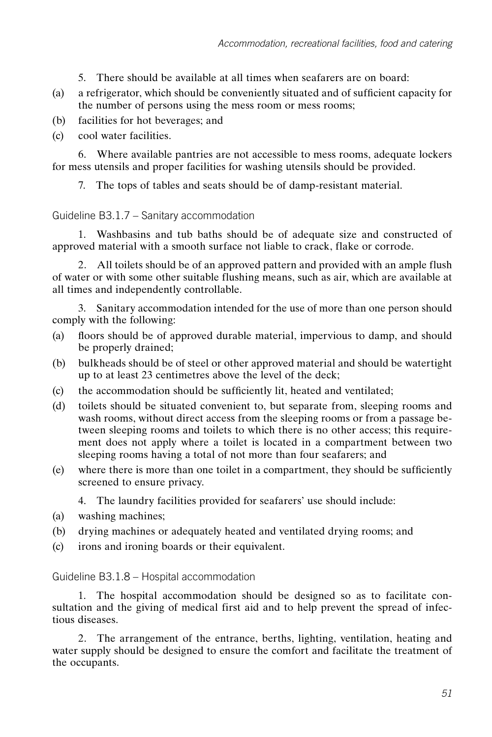- 5. There should be available at all times when seafarers are on board:
- (a) a refrigerator, which should be conveniently situated and of sufficient capacity for the number of persons using the mess room or mess rooms;
- (b) facilities for hot beverages; and
- (c) cool water facilities.

6. Where available pantries are not accessible to mess rooms, adequate lockers for mess utensils and proper facilities for washing utensils should be provided.

7. The tops of tables and seats should be of damp-resistant material.

## Guideline B3.1.7 – Sanitary accommodation

1. Washbasins and tub baths should be of adequate size and constructed of approved material with a smooth surface not liable to crack, flake or corrode.

2. All toilets should be of an approved pattern and provided with an ample flush of water or with some other suitable flushing means, such as air, which are available at all times and independently controllable.

3. Sanitary accommodation intended for the use of more than one person should comply with the following:

- (a) floors should be of approved durable material, impervious to damp, and should be properly drained;
- (b) bulkheads should be of steel or other approved material and should be watertight up to at least 23 centimetres above the level of the deck;
- (c) the accommodation should be sufficiently lit, heated and ventilated;
- (d) toilets should be situated convenient to, but separate from, sleeping rooms and wash rooms, without direct access from the sleeping rooms or from a passage between sleeping rooms and toilets to which there is no other access; this requirement does not apply where a toilet is located in a compartment between two sleeping rooms having a total of not more than four seafarers; and
- (e) where there is more than one toilet in a compartment, they should be sufficiently screened to ensure privacy.

4. The laundry facilities provided for seafarers' use should include:

- (a) washing machines;
- (b) drying machines or adequately heated and ventilated drying rooms; and
- (c) irons and ironing boards or their equivalent.

Guideline B3.1.8 – Hospital accommodation

1. The hospital accommodation should be designed so as to facilitate consultation and the giving of medical first aid and to help prevent the spread of infectious diseases.

2. The arrangement of the entrance, berths, lighting, ventilation, heating and water supply should be designed to ensure the comfort and facilitate the treatment of the occupants.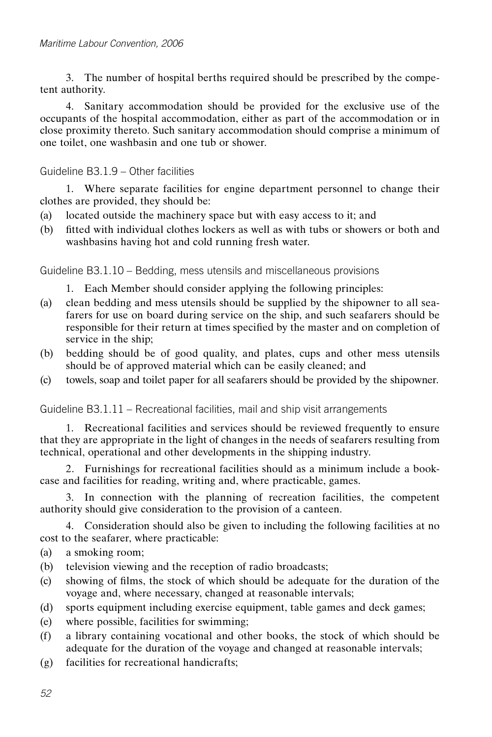3. The number of hospital berths required should be prescribed by the competent authority.

4. Sanitary accommodation should be provided for the exclusive use of the occupants of the hospital accommodation, either as part of the accommodation or in close proximity thereto. Such sanitary accommodation should comprise a minimum of one toilet, one washbasin and one tub or shower.

Guideline B3.1.9 – Other facilities

1. Where separate facilities for engine department personnel to change their clothes are provided, they should be:

- (a) located outside the machinery space but with easy access to it; and
- (b) fitted with individual clothes lockers as well as with tubs or showers or both and washbasins having hot and cold running fresh water.

Guideline B3.1.10 – Bedding, mess utensils and miscellaneous provisions

1. Each Member should consider applying the following principles:

- (a) clean bedding and mess utensils should be supplied by the shipowner to all seafarers for use on board during service on the ship, and such seafarers should be responsible for their return at times specified by the master and on completion of service in the ship;
- (b) bedding should be of good quality, and plates, cups and other mess utensils should be of approved material which can be easily cleaned; and
- (c) towels, soap and toilet paper for all seafarers should be provided by the shipowner.

Guideline B3.1.11 – Recreational facilities, mail and ship visit arrangements

1. Recreational facilities and services should be reviewed frequently to ensure that they are appropriate in the light of changes in the needs of seafarers resulting from technical, operational and other developments in the shipping industry.

2. Furnishings for recreational facilities should as a minimum include a bookcase and facilities for reading, writing and, where practicable, games.

3. In connection with the planning of recreation facilities, the competent authority should give consideration to the provision of a canteen.

4. Consideration should also be given to including the following facilities at no cost to the seafarer, where practicable:

- (a) a smoking room;
- (b) television viewing and the reception of radio broadcasts;
- (c) showing of films, the stock of which should be adequate for the duration of the voyage and, where necessary, changed at reasonable intervals;
- (d) sports equipment including exercise equipment, table games and deck games;
- (e) where possible, facilities for swimming;
- (f) a library containing vocational and other books, the stock of which should be adequate for the duration of the voyage and changed at reasonable intervals;
- (g) facilities for recreational handicrafts;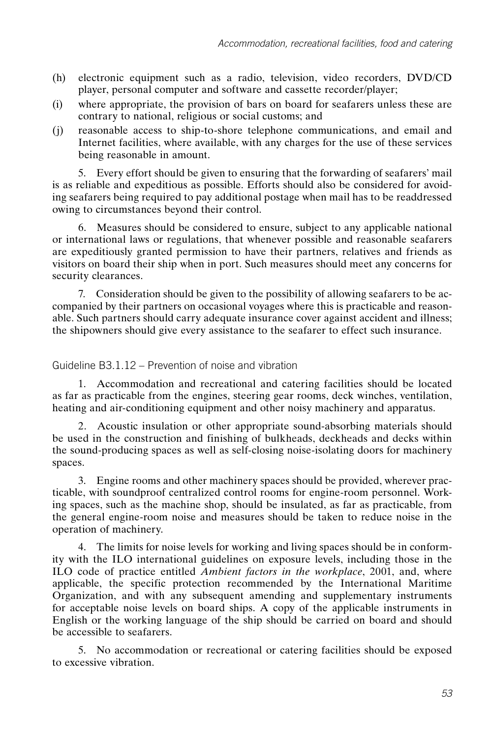- (h) electronic equipment such as a radio, television, video recorders, DVD/CD player, personal computer and software and cassette recorder/player;
- (i) where appropriate, the provision of bars on board for seafarers unless these are contrary to national, religious or social customs; and
- (j) reasonable access to ship-to-shore telephone communications, and email and Internet facilities, where available, with any charges for the use of these services being reasonable in amount.

5. Every effort should be given to ensuring that the forwarding of seafarers' mail is as reliable and expeditious as possible. Efforts should also be considered for avoiding seafarers being required to pay additional postage when mail has to be readdressed owing to circumstances beyond their control.

6. Measures should be considered to ensure, subject to any applicable national or international laws or regulations, that whenever possible and reasonable seafarers are expeditiously granted permission to have their partners, relatives and friends as visitors on board their ship when in port. Such measures should meet any concerns for security clearances.

7. Consideration should be given to the possibility of allowing seafarers to be accompanied by their partners on occasional voyages where this is practicable and reasonable. Such partners should carry adequate insurance cover against accident and illness; the shipowners should give every assistance to the seafarer to effect such insurance.

## Guideline B3.1.12 – Prevention of noise and vibration

1. Accommodation and recreational and catering facilities should be located as far as practicable from the engines, steering gear rooms, deck winches, ventilation, heating and air-conditioning equipment and other noisy machinery and apparatus.

2. Acoustic insulation or other appropriate sound-absorbing materials should be used in the construction and finishing of bulkheads, deckheads and decks within the sound-producing spaces as well as self-closing noise-isolating doors for machinery spaces.

3. Engine rooms and other machinery spaces should be provided, wherever practicable, with soundproof centralized control rooms for engine-room personnel. Working spaces, such as the machine shop, should be insulated, as far as practicable, from the general engine-room noise and measures should be taken to reduce noise in the operation of machinery.

The limits for noise levels for working and living spaces should be in conformity with the ILO international guidelines on exposure levels, including those in the ILO code of practice entitled *Ambient factors in the workplace*, 2001, and, where applicable, the specific protection recommended by the International Maritime Organization, and with any subsequent amending and supplementary instruments for acceptable noise levels on board ships. A copy of the applicable instruments in English or the working language of the ship should be carried on board and should be accessible to seafarers.

5. No accommodation or recreational or catering facilities should be exposed to excessive vibration.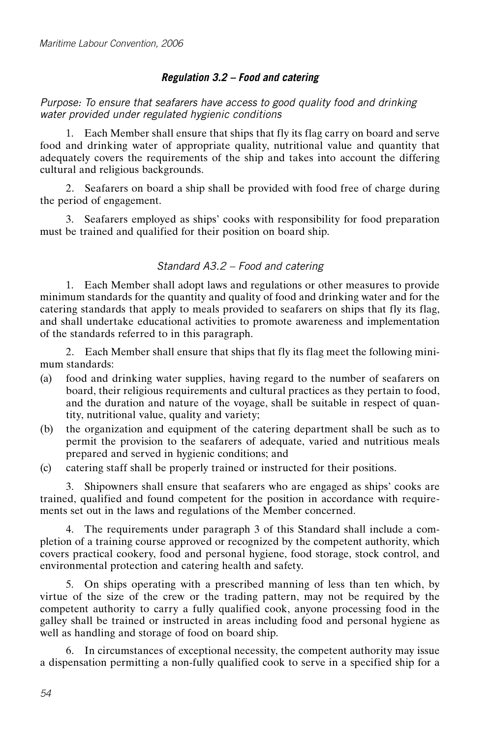## *Regulation 3.2 – Food and catering*

*Purpose: To ensure that seafarers have access to good quality food and drinking water provided under regulated hygienic conditions*

1. Each Member shall ensure that ships that fly its flag carry on board and serve food and drinking water of appropriate quality, nutritional value and quantity that adequately covers the requirements of the ship and takes into account the differing cultural and religious backgrounds.

2. Seafarers on board a ship shall be provided with food free of charge during the period of engagement.

3. Seafarers employed as ships' cooks with responsibility for food preparation must be trained and qualified for their position on board ship.

## *Standard A3.2 – Food and catering*

1. Each Member shall adopt laws and regulations or other measures to provide minimum standards for the quantity and quality of food and drinking water and for the catering standards that apply to meals provided to seafarers on ships that fly its flag, and shall undertake educational activities to promote awareness and implementation of the standards referred to in this paragraph.

2. Each Member shall ensure that ships that fly its flag meet the following minimum standards:

- (a) food and drinking water supplies, having regard to the number of seafarers on board, their religious requirements and cultural practices as they pertain to food, and the duration and nature of the voyage, shall be suitable in respect of quantity, nutritional value, quality and variety;
- (b) the organization and equipment of the catering department shall be such as to permit the provision to the seafarers of adequate, varied and nutritious meals prepared and served in hygienic conditions; and
- (c) catering staff shall be properly trained or instructed for their positions.

3. Shipowners shall ensure that seafarers who are engaged as ships' cooks are trained, qualified and found competent for the position in accordance with requirements set out in the laws and regulations of the Member concerned.

4. The requirements under paragraph 3 of this Standard shall include a completion of a training course approved or recognized by the competent authority, which covers practical cookery, food and personal hygiene, food storage, stock control, and environmental protection and catering health and safety.

5. On ships operating with a prescribed manning of less than ten which, by virtue of the size of the crew or the trading pattern, may not be required by the competent authority to carry a fully qualified cook, anyone processing food in the galley shall be trained or instructed in areas including food and personal hygiene as well as handling and storage of food on board ship.

In circumstances of exceptional necessity, the competent authority may issue a dispensation permitting a non-fully qualified cook to serve in a specified ship for a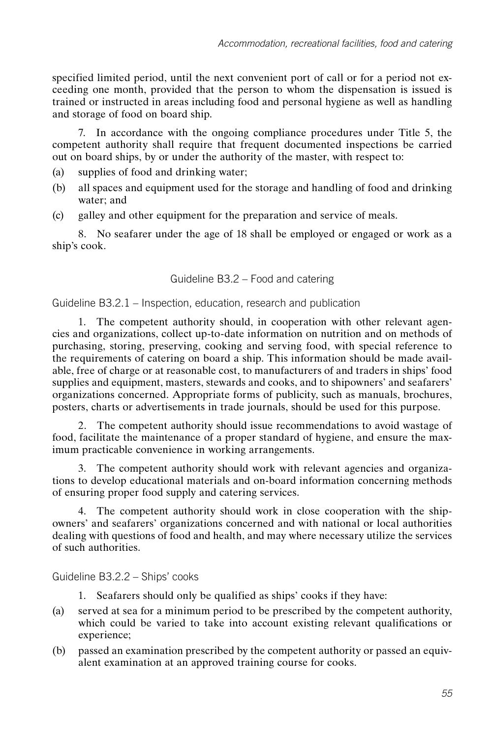specified limited period, until the next convenient port of call or for a period not exceeding one month, provided that the person to whom the dispensation is issued is trained or instructed in areas including food and personal hygiene as well as handling and storage of food on board ship.

7. In accordance with the ongoing compliance procedures under Title 5, the competent authority shall require that frequent documented inspections be carried out on board ships, by or under the authority of the master, with respect to:

- (a) supplies of food and drinking water;
- (b) all spaces and equipment used for the storage and handling of food and drinking water; and
- (c) galley and other equipment for the preparation and service of meals.

8. No seafarer under the age of 18 shall be employed or engaged or work as a ship's cook.

# Guideline B3.2 – Food and catering

Guideline B3.2.1 – Inspection, education, research and publication

1. The competent authority should, in cooperation with other relevant agencies and organizations, collect up-to-date information on nutrition and on methods of purchasing, storing, preserving, cooking and serving food, with special reference to the requirements of catering on board a ship. This information should be made available, free of charge or at reasonable cost, to manufacturers of and traders in ships' food supplies and equipment, masters, stewards and cooks, and to shipowners' and seafarers' organizations concerned. Appropriate forms of publicity, such as manuals, brochures, posters, charts or advertisements in trade journals, should be used for this purpose.

2. The competent authority should issue recommendations to avoid wastage of food, facilitate the maintenance of a proper standard of hygiene, and ensure the maximum practicable convenience in working arrangements.

3. The competent authority should work with relevant agencies and organizations to develop educational materials and on-board information concerning methods of ensuring proper food supply and catering services.

4. The competent authority should work in close cooperation with the shipowners' and seafarers' organizations concerned and with national or local authorities dealing with questions of food and health, and may where necessary utilize the services of such authorities.

Guideline B3.2.2 – Ships' cooks

- 1. Seafarers should only be qualified as ships' cooks if they have:
- (a) served at sea for a minimum period to be prescribed by the competent authority, which could be varied to take into account existing relevant qualifications or experience;
- (b) passed an examination prescribed by the competent authority or passed an equivalent examination at an approved training course for cooks.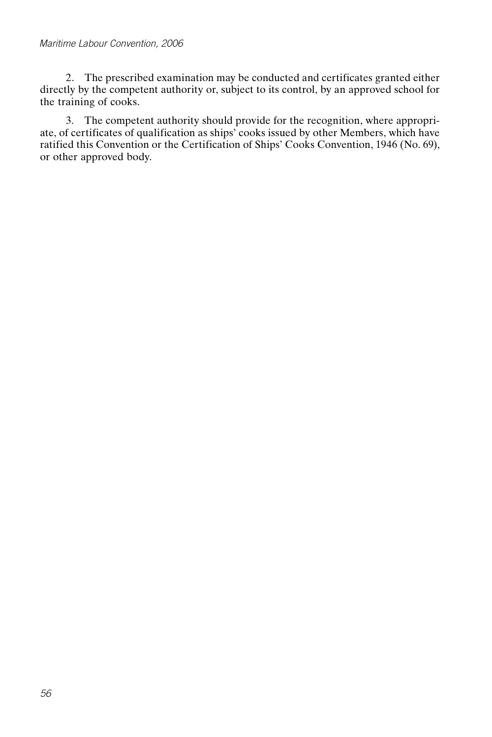2. The prescribed examination may be conducted and certificates granted either directly by the competent authority or, subject to its control, by an approved school for the training of cooks.

3. The competent authority should provide for the recognition, where appropriate, of certificates of qualification as ships' cooks issued by other Members, which have ratified this Convention or the Certification of Ships' Cooks Convention, 1946 (No. 69), or other approved body.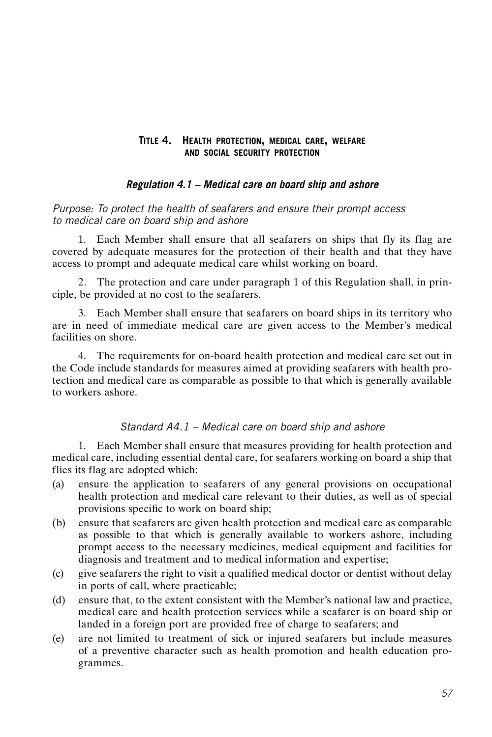#### **Title 4. Health protection, medical care, welfare and social security protection**

## *Regulation 4.1 – Medical care on board ship and ashore*

*Purpose: To protect the health of seafarers and ensure their prompt access to medical care on board ship and ashore*

1. Each Member shall ensure that all seafarers on ships that fly its flag are covered by adequate measures for the protection of their health and that they have access to prompt and adequate medical care whilst working on board.

2. The protection and care under paragraph 1 of this Regulation shall, in principle, be provided at no cost to the seafarers.

3. Each Member shall ensure that seafarers on board ships in its territory who are in need of immediate medical care are given access to the Member's medical facilities on shore.

4. The requirements for on-board health protection and medical care set out in the Code include standards for measures aimed at providing seafarers with health protection and medical care as comparable as possible to that which is generally available to workers ashore.

## *Standard A4.1 – Medical care on board ship and ashore*

1. Each Member shall ensure that measures providing for health protection and medical care, including essential dental care, for seafarers working on board a ship that flies its flag are adopted which:

- (a) ensure the application to seafarers of any general provisions on occupational health protection and medical care relevant to their duties, as well as of special provisions specific to work on board ship;
- (b) ensure that seafarers are given health protection and medical care as comparable as possible to that which is generally available to workers ashore, including prompt access to the necessary medicines, medical equipment and facilities for diagnosis and treatment and to medical information and expertise;
- (c) give seafarers the right to visit a qualified medical doctor or dentist without delay in ports of call, where practicable;
- (d) ensure that, to the extent consistent with the Member's national law and practice, medical care and health protection services while a seafarer is on board ship or landed in a foreign port are provided free of charge to seafarers; and
- (e) are not limited to treatment of sick or injured seafarers but include measures of a preventive character such as health promotion and health education programmes.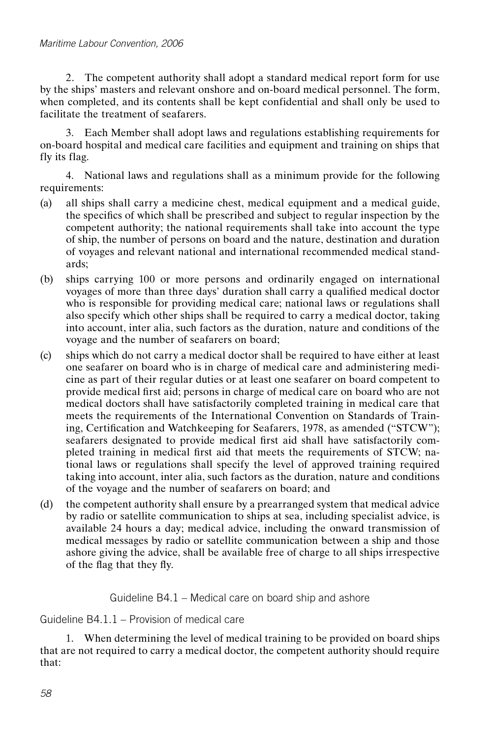#### *Maritime Labour Convention, 2006*

2. The competent authority shall adopt a standard medical report form for use by the ships' masters and relevant onshore and on-board medical personnel. The form, when completed, and its contents shall be kept confidential and shall only be used to facilitate the treatment of seafarers.

3. Each Member shall adopt laws and regulations establishing requirements for on-board hospital and medical care facilities and equipment and training on ships that fly its flag.

4. National laws and regulations shall as a minimum provide for the following requirements:

- (a) all ships shall carry a medicine chest, medical equipment and a medical guide, the specifics of which shall be prescribed and subject to regular inspection by the competent authority; the national requirements shall take into account the type of ship, the number of persons on board and the nature, destination and duration of voyages and relevant national and international recommended medical standards;
- (b) ships carrying 100 or more persons and ordinarily engaged on international voyages of more than three days' duration shall carry a qualified medical doctor who is responsible for providing medical care; national laws or regulations shall also specify which other ships shall be required to carry a medical doctor, taking into account, inter alia, such factors as the duration, nature and conditions of the voyage and the number of seafarers on board;
- (c) ships which do not carry a medical doctor shall be required to have either at least one seafarer on board who is in charge of medical care and administering medicine as part of their regular duties or at least one seafarer on board competent to provide medical first aid; persons in charge of medical care on board who are not medical doctors shall have satisfactorily completed training in medical care that meets the requirements of the International Convention on Standards of Training, Certification and Watchkeeping for Seafarers, 1978, as amended ("STCW"); seafarers designated to provide medical first aid shall have satisfactorily completed training in medical first aid that meets the requirements of STCW; national laws or regulations shall specify the level of approved training required taking into account, inter alia, such factors as the duration, nature and conditions of the voyage and the number of seafarers on board; and
- (d) the competent authority shall ensure by a prearranged system that medical advice by radio or satellite communication to ships at sea, including specialist advice, is available 24 hours a day; medical advice, including the onward transmission of medical messages by radio or satellite communication between a ship and those ashore giving the advice, shall be available free of charge to all ships irrespective of the flag that they fly.

Guideline B4.1 – Medical care on board ship and ashore

Guideline B4.1.1 – Provision of medical care

1. When determining the level of medical training to be provided on board ships that are not required to carry a medical doctor, the competent authority should require that: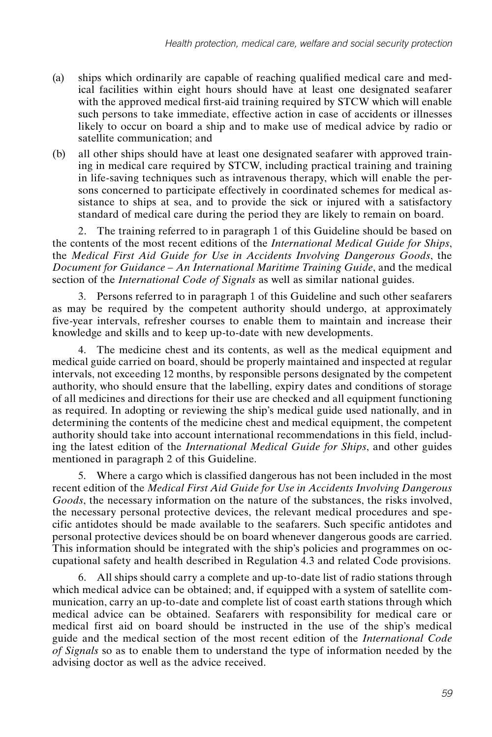- (a) ships which ordinarily are capable of reaching qualified medical care and medical facilities within eight hours should have at least one designated seafarer with the approved medical first-aid training required by STCW which will enable such persons to take immediate, effective action in case of accidents or illnesses likely to occur on board a ship and to make use of medical advice by radio or satellite communication; and
- (b) all other ships should have at least one designated seafarer with approved training in medical care required by STCW, including practical training and training in life-saving techniques such as intravenous therapy, which will enable the persons concerned to participate effectively in coordinated schemes for medical assistance to ships at sea, and to provide the sick or injured with a satisfactory standard of medical care during the period they are likely to remain on board.

2. The training referred to in paragraph 1 of this Guideline should be based on the contents of the most recent editions of the *International Medical Guide for Ships*, the *Medical First Aid Guide for Use in Accidents Involving Dangerous Goods*, the *Document for Guidance – An International Maritime Training Guide*, and the medical section of the *International Code of Signals* as well as similar national guides.

3. Persons referred to in paragraph 1 of this Guideline and such other seafarers as may be required by the competent authority should undergo, at approximately five-year intervals, refresher courses to enable them to maintain and increase their knowledge and skills and to keep up-to-date with new developments.

The medicine chest and its contents, as well as the medical equipment and medical guide carried on board, should be properly maintained and inspected at regular intervals, not exceeding 12 months, by responsible persons designated by the competent authority, who should ensure that the labelling, expiry dates and conditions of storage of all medicines and directions for their use are checked and all equipment functioning as required. In adopting or reviewing the ship's medical guide used nationally, and in determining the contents of the medicine chest and medical equipment, the competent authority should take into account international recommendations in this field, including the latest edition of the *International Medical Guide for Ships*, and other guides mentioned in paragraph 2 of this Guideline.

5. Where a cargo which is classified dangerous has not been included in the most recent edition of the *Medical First Aid Guide for Use in Accidents Involving Dangerous Goods*, the necessary information on the nature of the substances, the risks involved, the necessary personal protective devices, the relevant medical procedures and specific antidotes should be made available to the seafarers. Such specific antidotes and personal protective devices should be on board whenever dangerous goods are carried. This information should be integrated with the ship's policies and programmes on occupational safety and health described in Regulation 4.3 and related Code provisions.

6. All ships should carry a complete and up-to-date list of radio stations through which medical advice can be obtained; and, if equipped with a system of satellite communication, carry an up-to-date and complete list of coast earth stations through which medical advice can be obtained. Seafarers with responsibility for medical care or medical first aid on board should be instructed in the use of the ship's medical guide and the medical section of the most recent edition of the *International Code of Signals* so as to enable them to understand the type of information needed by the advising doctor as well as the advice received.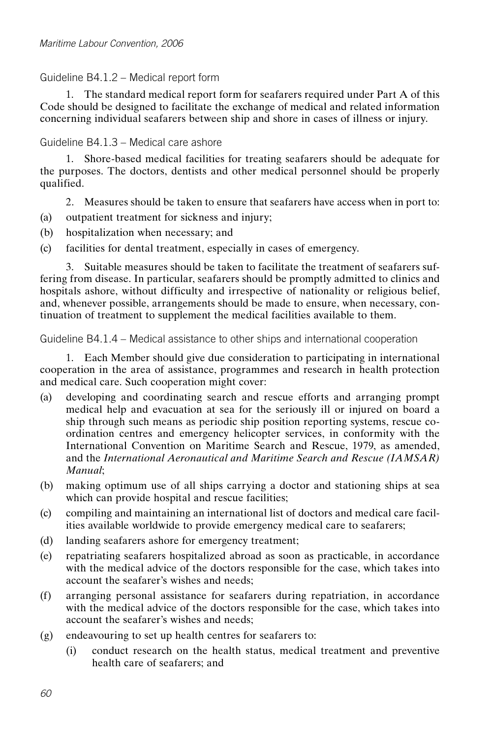## Guideline B4.1.2 – Medical report form

1. The standard medical report form for seafarers required under Part A of this Code should be designed to facilitate the exchange of medical and related information concerning individual seafarers between ship and shore in cases of illness or injury.

Guideline B4.1.3 – Medical care ashore

1. Shore-based medical facilities for treating seafarers should be adequate for the purposes. The doctors, dentists and other medical personnel should be properly qualified.

2. Measures should be taken to ensure that seafarers have access when in port to:

- (a) outpatient treatment for sickness and injury;
- (b) hospitalization when necessary; and
- (c) facilities for dental treatment, especially in cases of emergency.

3. Suitable measures should be taken to facilitate the treatment of seafarers suffering from disease. In particular, seafarers should be promptly admitted to clinics and hospitals ashore, without difficulty and irrespective of nationality or religious belief, and, whenever possible, arrangements should be made to ensure, when necessary, continuation of treatment to supplement the medical facilities available to them.

Guideline B4.1.4 – Medical assistance to other ships and international cooperation

1. Each Member should give due consideration to participating in international cooperation in the area of assistance, programmes and research in health protection and medical care. Such cooperation might cover:

- (a) developing and coordinating search and rescue efforts and arranging prompt medical help and evacuation at sea for the seriously ill or injured on board a ship through such means as periodic ship position reporting systems, rescue coordination centres and emergency helicopter services, in conformity with the International Convention on Maritime Search and Rescue, 1979, as amended, and the *International Aeronautical and Maritime Search and Rescue (IAMSAR) Manual*;
- (b) making optimum use of all ships carrying a doctor and stationing ships at sea which can provide hospital and rescue facilities;
- (c) compiling and maintaining an international list of doctors and medical care facilities available worldwide to provide emergency medical care to seafarers;
- (d) landing seafarers ashore for emergency treatment;
- (e) repatriating seafarers hospitalized abroad as soon as practicable, in accordance with the medical advice of the doctors responsible for the case, which takes into account the seafarer's wishes and needs;
- (f) arranging personal assistance for seafarers during repatriation, in accordance with the medical advice of the doctors responsible for the case, which takes into account the seafarer's wishes and needs;
- (g) endeavouring to set up health centres for seafarers to:
	- (i) conduct research on the health status, medical treatment and preventive health care of seafarers; and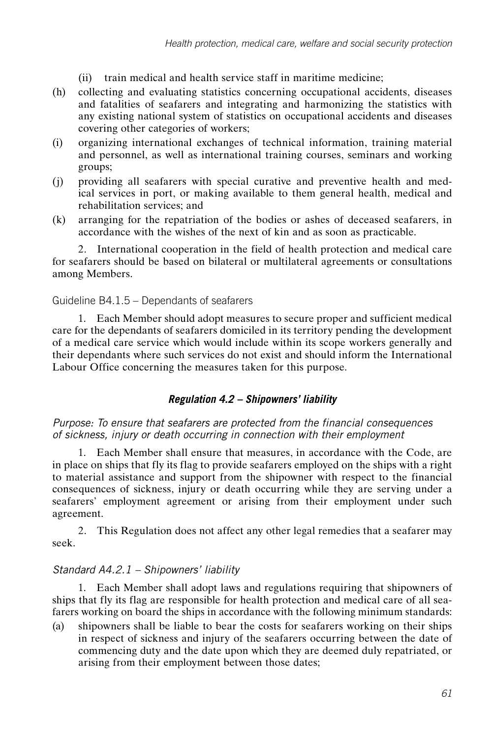- (ii) train medical and health service staff in maritime medicine;
- (h) collecting and evaluating statistics concerning occupational accidents, diseases and fatalities of seafarers and integrating and harmonizing the statistics with any existing national system of statistics on occupational accidents and diseases covering other categories of workers;
- (i) organizing international exchanges of technical information, training material and personnel, as well as international training courses, seminars and working groups;
- (j) providing all seafarers with special curative and preventive health and medical services in port, or making available to them general health, medical and rehabilitation services; and
- (k) arranging for the repatriation of the bodies or ashes of deceased seafarers, in accordance with the wishes of the next of kin and as soon as practicable.

2. International cooperation in the field of health protection and medical care for seafarers should be based on bilateral or multilateral agreements or consultations among Members.

## Guideline B4.1.5 – Dependants of seafarers

1. Each Member should adopt measures to secure proper and sufficient medical care for the dependants of seafarers domiciled in its territory pending the development of a medical care service which would include within its scope workers generally and their dependants where such services do not exist and should inform the International Labour Office concerning the measures taken for this purpose.

## *Regulation 4.2 – Shipowners' liability*

*Purpose: To ensure that seafarers are protected from the financial consequences of sickness, injury or death occurring in connection with their employment*

1. Each Member shall ensure that measures, in accordance with the Code, are in place on ships that fly its flag to provide seafarers employed on the ships with a right to material assistance and support from the shipowner with respect to the financial consequences of sickness, injury or death occurring while they are serving under a seafarers' employment agreement or arising from their employment under such agreement.

2. This Regulation does not affect any other legal remedies that a seafarer may seek.

# *Standard A4.2.1 – Shipowners' liability*

1. Each Member shall adopt laws and regulations requiring that shipowners of ships that fly its flag are responsible for health protection and medical care of all seafarers working on board the ships in accordance with the following minimum standards:

(a) shipowners shall be liable to bear the costs for seafarers working on their ships in respect of sickness and injury of the seafarers occurring between the date of commencing duty and the date upon which they are deemed duly repatriated, or arising from their employment between those dates;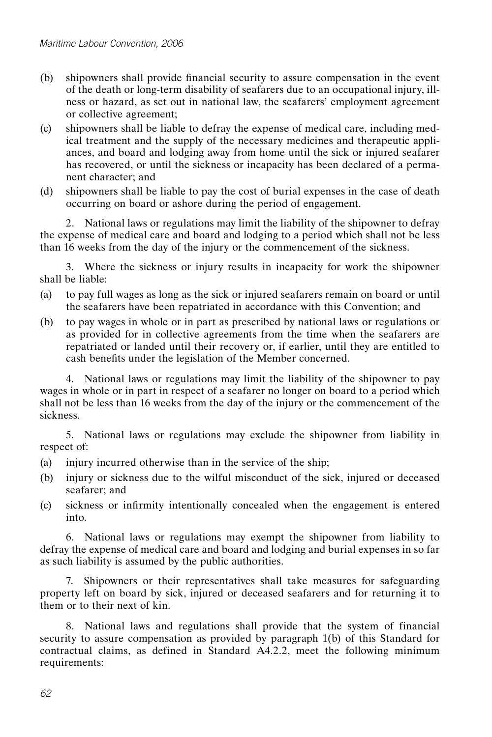- (b) shipowners shall provide financial security to assure compensation in the event of the death or long-term disability of seafarers due to an occupational injury, illness or hazard, as set out in national law, the seafarers' employment agreement or collective agreement;
- (c) shipowners shall be liable to defray the expense of medical care, including medical treatment and the supply of the necessary medicines and therapeutic appliances, and board and lodging away from home until the sick or injured seafarer has recovered, or until the sickness or incapacity has been declared of a permanent character; and
- (d) shipowners shall be liable to pay the cost of burial expenses in the case of death occurring on board or ashore during the period of engagement.

2. National laws or regulations may limit the liability of the shipowner to defray the expense of medical care and board and lodging to a period which shall not be less than 16 weeks from the day of the injury or the commencement of the sickness.

3. Where the sickness or injury results in incapacity for work the shipowner shall be liable:

- (a) to pay full wages as long as the sick or injured seafarers remain on board or until the seafarers have been repatriated in accordance with this Convention; and
- (b) to pay wages in whole or in part as prescribed by national laws or regulations or as provided for in collective agreements from the time when the seafarers are repatriated or landed until their recovery or, if earlier, until they are entitled to cash benefits under the legislation of the Member concerned.

4. National laws or regulations may limit the liability of the shipowner to pay wages in whole or in part in respect of a seafarer no longer on board to a period which shall not be less than 16 weeks from the day of the injury or the commencement of the sickness.

5. National laws or regulations may exclude the shipowner from liability in respect of:

- (a) injury incurred otherwise than in the service of the ship;
- (b) injury or sickness due to the wilful misconduct of the sick, injured or deceased seafarer; and
- (c) sickness or infirmity intentionally concealed when the engagement is entered into.

6. National laws or regulations may exempt the shipowner from liability to defray the expense of medical care and board and lodging and burial expenses in so far as such liability is assumed by the public authorities.

7. Shipowners or their representatives shall take measures for safeguarding property left on board by sick, injured or deceased seafarers and for returning it to them or to their next of kin.

8. National laws and regulations shall provide that the system of financial security to assure compensation as provided by paragraph 1(b) of this Standard for contractual claims, as defined in Standard A4.2.2, meet the following minimum requirements: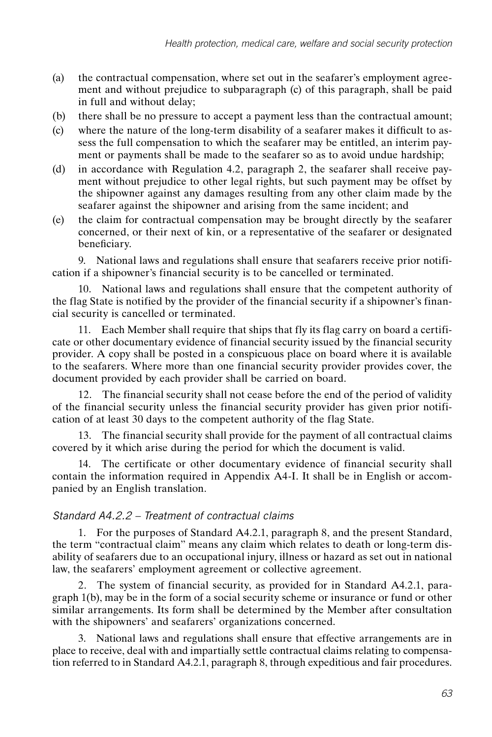- (a) the contractual compensation, where set out in the seafarer's employment agreement and without prejudice to subparagraph (c) of this paragraph, shall be paid in full and without delay;
- (b) there shall be no pressure to accept a payment less than the contractual amount;
- (c) where the nature of the long-term disability of a seafarer makes it difficult to assess the full compensation to which the seafarer may be entitled, an interim payment or payments shall be made to the seafarer so as to avoid undue hardship;
- (d) in accordance with Regulation 4.2, paragraph 2, the seafarer shall receive payment without prejudice to other legal rights, but such payment may be offset by the shipowner against any damages resulting from any other claim made by the seafarer against the shipowner and arising from the same incident; and
- (e) the claim for contractual compensation may be brought directly by the seafarer concerned, or their next of kin, or a representative of the seafarer or designated beneficiary.

9. National laws and regulations shall ensure that seafarers receive prior notification if a shipowner's financial security is to be cancelled or terminated.

10. National laws and regulations shall ensure that the competent authority of the flag State is notified by the provider of the financial security if a shipowner's financial security is cancelled or terminated.

11. Each Member shall require that ships that fly its flag carry on board a certificate or other documentary evidence of financial security issued by the financial security provider. A copy shall be posted in a conspicuous place on board where it is available to the seafarers. Where more than one financial security provider provides cover, the document provided by each provider shall be carried on board.

12. The financial security shall not cease before the end of the period of validity of the financial security unless the financial security provider has given prior notification of at least 30 days to the competent authority of the flag State.

13. The financial security shall provide for the payment of all contractual claims covered by it which arise during the period for which the document is valid.

14. The certificate or other documentary evidence of financial security shall contain the information required in Appendix A4-I. It shall be in English or accompanied by an English translation.

## *Standard A4.2.2 – Treatment of contractual claims*

1. For the purposes of Standard A4.2.1, paragraph 8, and the present Standard, the term "contractual claim" means any claim which relates to death or long-term disability of seafarers due to an occupational injury, illness or hazard as set out in national law, the seafarers' employment agreement or collective agreement.

2. The system of financial security, as provided for in Standard A4.2.1, paragraph 1(b), may be in the form of a social security scheme or insurance or fund or other similar arrangements. Its form shall be determined by the Member after consultation with the shipowners' and seafarers' organizations concerned.

3. National laws and regulations shall ensure that effective arrangements are in place to receive, deal with and impartially settle contractual claims relating to compensation referred to in Standard A4.2.1, paragraph 8, through expeditious and fair procedures.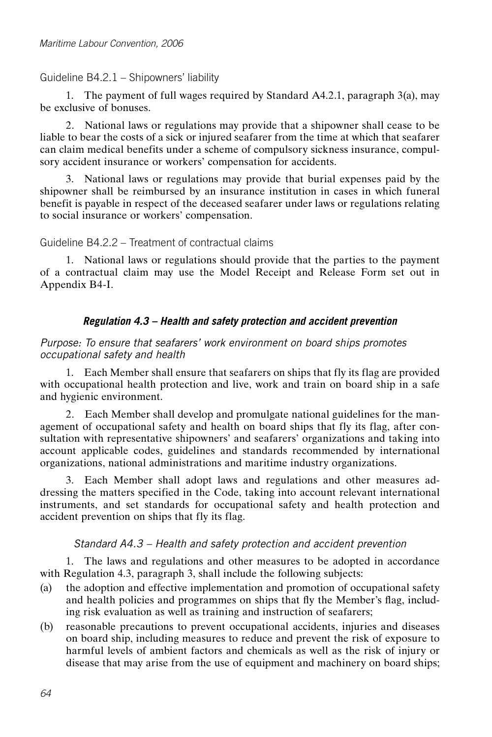## Guideline B4.2.1 – Shipowners' liability

1. The payment of full wages required by Standard A4.2.1, paragraph 3(a), may be exclusive of bonuses.

2. National laws or regulations may provide that a shipowner shall cease to be liable to bear the costs of a sick or injured seafarer from the time at which that seafarer can claim medical benefits under a scheme of compulsory sickness insurance, compulsory accident insurance or workers' compensation for accidents.

3. National laws or regulations may provide that burial expenses paid by the shipowner shall be reimbursed by an insurance institution in cases in which funeral benefit is payable in respect of the deceased seafarer under laws or regulations relating to social insurance or workers' compensation.

## Guideline B4.2.2 – Treatment of contractual claims

1. National laws or regulations should provide that the parties to the payment of a contractual claim may use the Model Receipt and Release Form set out in Appendix B4-I.

# *Regulation 4.3 – Health and safety protection and accident prevention*

## *Purpose: To ensure that seafarers' work environment on board ships promotes occupational safety and health*

1. Each Member shall ensure that seafarers on ships that fly its flag are provided with occupational health protection and live, work and train on board ship in a safe and hygienic environment.

2. Each Member shall develop and promulgate national guidelines for the management of occupational safety and health on board ships that fly its flag, after consultation with representative shipowners' and seafarers' organizations and taking into account applicable codes, guidelines and standards recommended by international organizations, national administrations and maritime industry organizations.

3. Each Member shall adopt laws and regulations and other measures addressing the matters specified in the Code, taking into account relevant international instruments, and set standards for occupational safety and health protection and accident prevention on ships that fly its flag.

# *Standard A4.3 – Health and safety protection and accident prevention*

1. The laws and regulations and other measures to be adopted in accordance with Regulation 4.3, paragraph 3, shall include the following subjects:

- (a) the adoption and effective implementation and promotion of occupational safety and health policies and programmes on ships that fly the Member's flag, including risk evaluation as well as training and instruction of seafarers;
- (b) reasonable precautions to prevent occupational accidents, injuries and diseases on board ship, including measures to reduce and prevent the risk of exposure to harmful levels of ambient factors and chemicals as well as the risk of injury or disease that may arise from the use of equipment and machinery on board ships;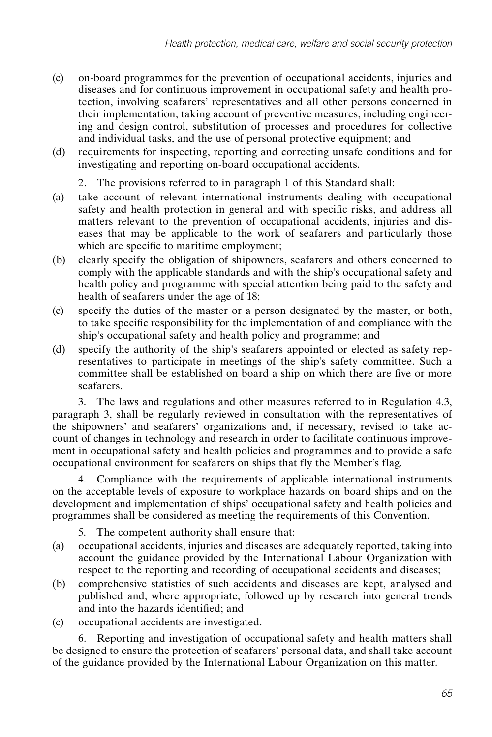- (c) on-board programmes for the prevention of occupational accidents, injuries and diseases and for continuous improvement in occupational safety and health protection, involving seafarers' representatives and all other persons concerned in their implementation, taking account of preventive measures, including engineering and design control, substitution of processes and procedures for collective and individual tasks, and the use of personal protective equipment; and
- (d) requirements for inspecting, reporting and correcting unsafe conditions and for investigating and reporting on-board occupational accidents.

2. The provisions referred to in paragraph 1 of this Standard shall:

- (a) take account of relevant international instruments dealing with occupational safety and health protection in general and with specific risks, and address all matters relevant to the prevention of occupational accidents, injuries and diseases that may be applicable to the work of seafarers and particularly those which are specific to maritime employment;
- (b) clearly specify the obligation of shipowners, seafarers and others concerned to comply with the applicable standards and with the ship's occupational safety and health policy and programme with special attention being paid to the safety and health of seafarers under the age of 18;
- (c) specify the duties of the master or a person designated by the master, or both, to take specific responsibility for the implementation of and compliance with the ship's occupational safety and health policy and programme; and
- (d) specify the authority of the ship's seafarers appointed or elected as safety representatives to participate in meetings of the ship's safety committee. Such a committee shall be established on board a ship on which there are five or more seafarers.

3. The laws and regulations and other measures referred to in Regulation 4.3, paragraph 3, shall be regularly reviewed in consultation with the representatives of the shipowners' and seafarers' organizations and, if necessary, revised to take account of changes in technology and research in order to facilitate continuous improvement in occupational safety and health policies and programmes and to provide a safe occupational environment for seafarers on ships that fly the Member's flag.

4. Compliance with the requirements of applicable international instruments on the acceptable levels of exposure to workplace hazards on board ships and on the development and implementation of ships' occupational safety and health policies and programmes shall be considered as meeting the requirements of this Convention.

5. The competent authority shall ensure that:

- (a) occupational accidents, injuries and diseases are adequately reported, taking into account the guidance provided by the International Labour Organization with respect to the reporting and recording of occupational accidents and diseases;
- (b) comprehensive statistics of such accidents and diseases are kept, analysed and published and, where appropriate, followed up by research into general trends and into the hazards identified; and
- (c) occupational accidents are investigated.

6. Reporting and investigation of occupational safety and health matters shall be designed to ensure the protection of seafarers' personal data, and shall take account of the guidance provided by the International Labour Organization on this matter.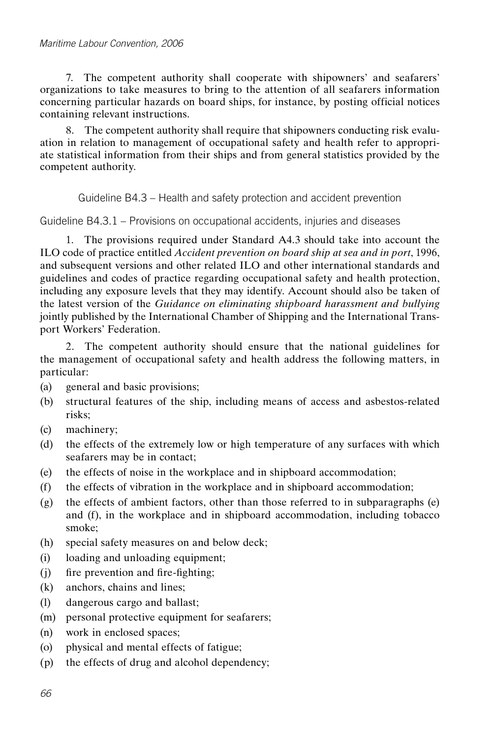7. The competent authority shall cooperate with shipowners' and seafarers' organizations to take measures to bring to the attention of all seafarers information concerning particular hazards on board ships, for instance, by posting official notices containing relevant instructions.

8. The competent authority shall require that shipowners conducting risk evaluation in relation to management of occupational safety and health refer to appropriate statistical information from their ships and from general statistics provided by the competent authority.

Guideline B4.3 – Health and safety protection and accident prevention

Guideline B4.3.1 – Provisions on occupational accidents, injuries and diseases

1. The provisions required under Standard A4.3 should take into account the ILO code of practice entitled *Accident prevention on board ship at sea and in port*, 1996, and subsequent versions and other related ILO and other international standards and guidelines and codes of practice regarding occupational safety and health protection, including any exposure levels that they may identify. Account should also be taken of the latest version of the *Guidance on eliminating shipboard harassment and bullying* jointly published by the International Chamber of Shipping and the International Transport Workers' Federation.

2. The competent authority should ensure that the national guidelines for the management of occupational safety and health address the following matters, in particular:

- (a) general and basic provisions;
- (b) structural features of the ship, including means of access and asbestos-related risks;
- (c) machinery;
- (d) the effects of the extremely low or high temperature of any surfaces with which seafarers may be in contact;
- (e) the effects of noise in the workplace and in shipboard accommodation;
- (f) the effects of vibration in the workplace and in shipboard accommodation;
- (g) the effects of ambient factors, other than those referred to in subparagraphs (e) and (f), in the workplace and in shipboard accommodation, including tobacco smoke;
- (h) special safety measures on and below deck;
- (i) loading and unloading equipment;
- (j) fire prevention and fire-fighting;
- (k) anchors, chains and lines;
- (l) dangerous cargo and ballast;
- (m) personal protective equipment for seafarers;
- (n) work in enclosed spaces;
- (o) physical and mental effects of fatigue;
- (p) the effects of drug and alcohol dependency;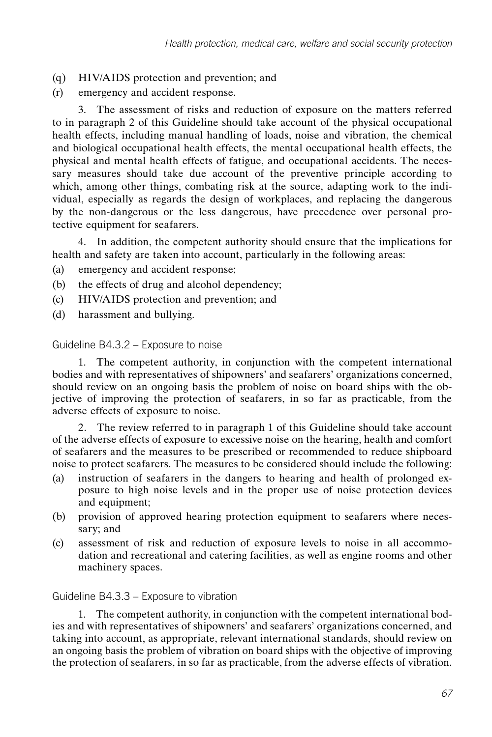- (q) HIV/AIDS protection and prevention; and
- (r) emergency and accident response.

3. The assessment of risks and reduction of exposure on the matters referred to in paragraph 2 of this Guideline should take account of the physical occupational health effects, including manual handling of loads, noise and vibration, the chemical and biological occupational health effects, the mental occupational health effects, the physical and mental health effects of fatigue, and occupational accidents. The necessary measures should take due account of the preventive principle according to which, among other things, combating risk at the source, adapting work to the individual, especially as regards the design of workplaces, and replacing the dangerous by the non-dangerous or the less dangerous, have precedence over personal protective equipment for seafarers.

4. In addition, the competent authority should ensure that the implications for health and safety are taken into account, particularly in the following areas:

- (a) emergency and accident response;
- (b) the effects of drug and alcohol dependency;
- (c) HIV/AIDS protection and prevention; and
- (d) harassment and bullying.

#### Guideline B4.3.2 – Exposure to noise

1. The competent authority, in conjunction with the competent international bodies and with representatives of shipowners' and seafarers' organizations concerned, should review on an ongoing basis the problem of noise on board ships with the objective of improving the protection of seafarers, in so far as practicable, from the adverse effects of exposure to noise.

2. The review referred to in paragraph 1 of this Guideline should take account of the adverse effects of exposure to excessive noise on the hearing, health and comfort of seafarers and the measures to be prescribed or recommended to reduce shipboard noise to protect seafarers. The measures to be considered should include the following:

- (a) instruction of seafarers in the dangers to hearing and health of prolonged exposure to high noise levels and in the proper use of noise protection devices and equipment;
- (b) provision of approved hearing protection equipment to seafarers where necessary; and
- (c) assessment of risk and reduction of exposure levels to noise in all accommodation and recreational and catering facilities, as well as engine rooms and other machinery spaces.

#### Guideline B4.3.3 – Exposure to vibration

1. The competent authority, in conjunction with the competent international bodies and with representatives of shipowners' and seafarers' organizations concerned, and taking into account, as appropriate, relevant international standards, should review on an ongoing basis the problem of vibration on board ships with the objective of improving the protection of seafarers, in so far as practicable, from the adverse effects of vibration.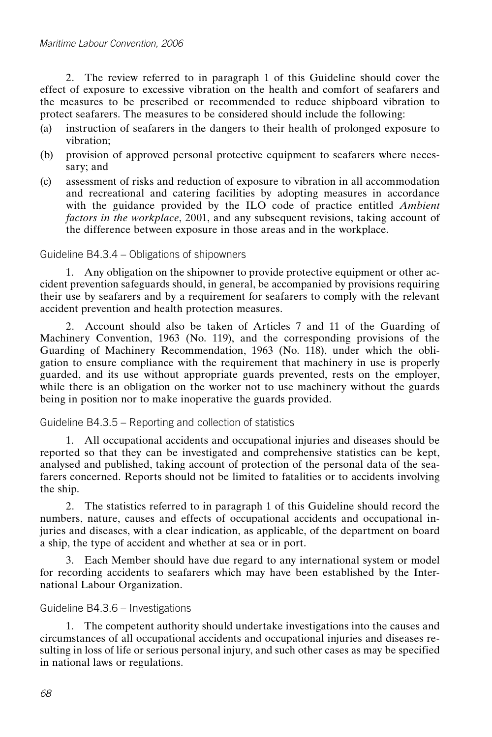2. The review referred to in paragraph 1 of this Guideline should cover the effect of exposure to excessive vibration on the health and comfort of seafarers and the measures to be prescribed or recommended to reduce shipboard vibration to protect seafarers. The measures to be considered should include the following:

- (a) instruction of seafarers in the dangers to their health of prolonged exposure to vibration;
- (b) provision of approved personal protective equipment to seafarers where necessary; and
- (c) assessment of risks and reduction of exposure to vibration in all accommodation and recreational and catering facilities by adopting measures in accordance with the guidance provided by the ILO code of practice entitled *Ambient factors in the workplace*, 2001, and any subsequent revisions, taking account of the difference between exposure in those areas and in the workplace.

## Guideline B4.3.4 – Obligations of shipowners

1. Any obligation on the shipowner to provide protective equipment or other accident prevention safeguards should, in general, be accompanied by provisions requiring their use by seafarers and by a requirement for seafarers to comply with the relevant accident prevention and health protection measures.

2. Account should also be taken of Articles 7 and 11 of the Guarding of Machinery Convention, 1963 (No. 119), and the corresponding provisions of the Guarding of Machinery Recommendation, 1963 (No. 118), under which the obligation to ensure compliance with the requirement that machinery in use is properly guarded, and its use without appropriate guards prevented, rests on the employer, while there is an obligation on the worker not to use machinery without the guards being in position nor to make inoperative the guards provided.

## Guideline B4.3.5 – Reporting and collection of statistics

1. All occupational accidents and occupational injuries and diseases should be reported so that they can be investigated and comprehensive statistics can be kept, analysed and published, taking account of protection of the personal data of the seafarers concerned. Reports should not be limited to fatalities or to accidents involving the ship.

2. The statistics referred to in paragraph 1 of this Guideline should record the numbers, nature, causes and effects of occupational accidents and occupational injuries and diseases, with a clear indication, as applicable, of the department on board a ship, the type of accident and whether at sea or in port.

3. Each Member should have due regard to any international system or model for recording accidents to seafarers which may have been established by the International Labour Organization.

## Guideline B4.3.6 – Investigations

1. The competent authority should undertake investigations into the causes and circumstances of all occupational accidents and occupational injuries and diseases resulting in loss of life or serious personal injury, and such other cases as may be specified in national laws or regulations.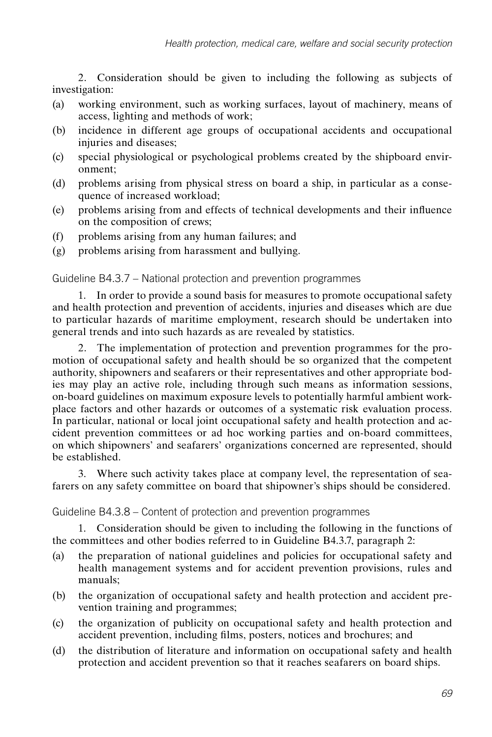2. Consideration should be given to including the following as subjects of investigation:

- (a) working environment, such as working surfaces, layout of machinery, means of access, lighting and methods of work;
- (b) incidence in different age groups of occupational accidents and occupational injuries and diseases;
- (c) special physiological or psychological problems created by the shipboard environment;
- (d) problems arising from physical stress on board a ship, in particular as a consequence of increased workload;
- (e) problems arising from and effects of technical developments and their influence on the composition of crews;
- (f) problems arising from any human failures; and
- (g) problems arising from harassment and bullying.

Guideline B4.3.7 – National protection and prevention programmes

1. In order to provide a sound basis for measures to promote occupational safety and health protection and prevention of accidents, injuries and diseases which are due to particular hazards of maritime employment, research should be undertaken into general trends and into such hazards as are revealed by statistics.

2. The implementation of protection and prevention programmes for the promotion of occupational safety and health should be so organized that the competent authority, shipowners and seafarers or their representatives and other appropriate bodies may play an active role, including through such means as information sessions, on-board guidelines on maximum exposure levels to potentially harmful ambient workplace factors and other hazards or outcomes of a systematic risk evaluation process. In particular, national or local joint occupational safety and health protection and accident prevention committees or ad hoc working parties and on-board committees, on which shipowners' and seafarers' organizations concerned are represented, should be established.

3. Where such activity takes place at company level, the representation of seafarers on any safety committee on board that shipowner's ships should be considered.

Guideline B4.3.8 – Content of protection and prevention programmes

1. Consideration should be given to including the following in the functions of the committees and other bodies referred to in Guideline B4.3.7, paragraph 2:

- (a) the preparation of national guidelines and policies for occupational safety and health management systems and for accident prevention provisions, rules and manuals;
- (b) the organization of occupational safety and health protection and accident prevention training and programmes;
- (c) the organization of publicity on occupational safety and health protection and accident prevention, including films, posters, notices and brochures; and
- (d) the distribution of literature and information on occupational safety and health protection and accident prevention so that it reaches seafarers on board ships.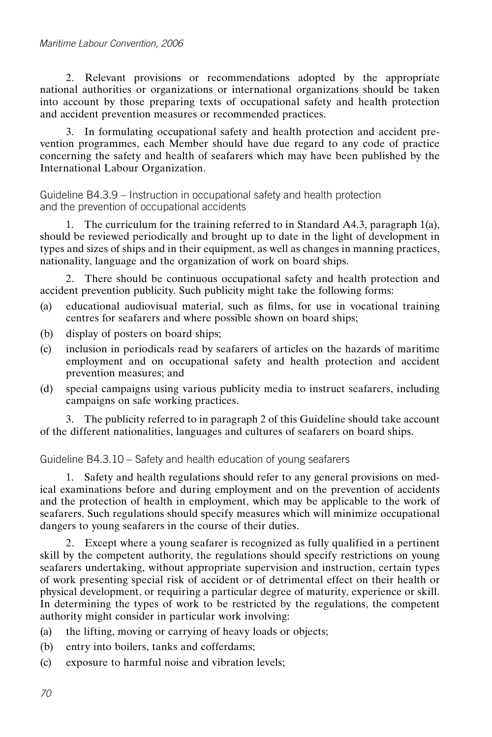#### *Maritime Labour Convention, 2006*

2. Relevant provisions or recommendations adopted by the appropriate national authorities or organizations or international organizations should be taken into account by those preparing texts of occupational safety and health protection and accident prevention measures or recommended practices.

3. In formulating occupational safety and health protection and accident prevention programmes, each Member should have due regard to any code of practice concerning the safety and health of seafarers which may have been published by the International Labour Organization.

Guideline B4.3.9 – Instruction in occupational safety and health protection and the prevention of occupational accidents

1. The curriculum for the training referred to in Standard A4.3, paragraph 1(a), should be reviewed periodically and brought up to date in the light of development in types and sizes of ships and in their equipment, as well as changes in manning practices, nationality, language and the organization of work on board ships.

2. There should be continuous occupational safety and health protection and accident prevention publicity. Such publicity might take the following forms:

- (a) educational audiovisual material, such as films, for use in vocational training centres for seafarers and where possible shown on board ships;
- (b) display of posters on board ships;
- (c) inclusion in periodicals read by seafarers of articles on the hazards of maritime employment and on occupational safety and health protection and accident prevention measures; and
- (d) special campaigns using various publicity media to instruct seafarers, including campaigns on safe working practices.

3. The publicity referred to in paragraph 2 of this Guideline should take account of the different nationalities, languages and cultures of seafarers on board ships.

Guideline B4.3.10 – Safety and health education of young seafarers

1. Safety and health regulations should refer to any general provisions on medical examinations before and during employment and on the prevention of accidents and the protection of health in employment, which may be applicable to the work of seafarers. Such regulations should specify measures which will minimize occupational dangers to young seafarers in the course of their duties.

2. Except where a young seafarer is recognized as fully qualified in a pertinent skill by the competent authority, the regulations should specify restrictions on young seafarers undertaking, without appropriate supervision and instruction, certain types of work presenting special risk of accident or of detrimental effect on their health or physical development, or requiring a particular degree of maturity, experience or skill. In determining the types of work to be restricted by the regulations, the competent authority might consider in particular work involving:

- (a) the lifting, moving or carrying of heavy loads or objects;
- (b) entry into boilers, tanks and cofferdams;
- (c) exposure to harmful noise and vibration levels;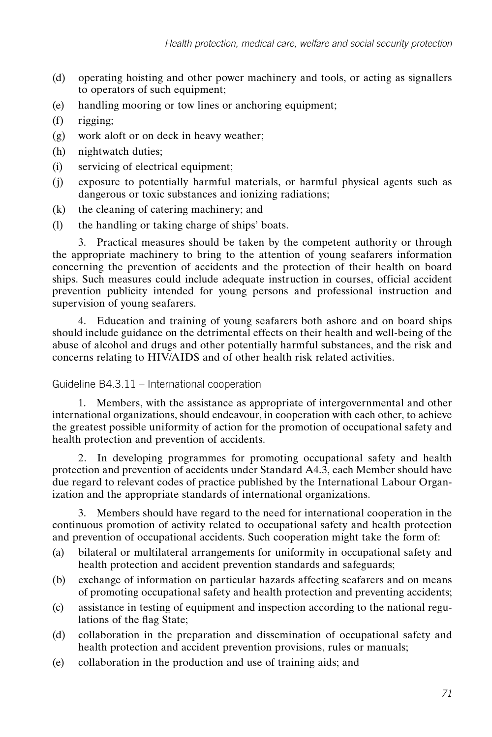- (d) operating hoisting and other power machinery and tools, or acting as signallers to operators of such equipment;
- (e) handling mooring or tow lines or anchoring equipment;
- (f) rigging;
- (g) work aloft or on deck in heavy weather;
- (h) nightwatch duties;
- (i) servicing of electrical equipment;
- (j) exposure to potentially harmful materials, or harmful physical agents such as dangerous or toxic substances and ionizing radiations;
- (k) the cleaning of catering machinery; and
- (l) the handling or taking charge of ships' boats.

3. Practical measures should be taken by the competent authority or through the appropriate machinery to bring to the attention of young seafarers information concerning the prevention of accidents and the protection of their health on board ships. Such measures could include adequate instruction in courses, official accident prevention publicity intended for young persons and professional instruction and supervision of young seafarers.

4. Education and training of young seafarers both ashore and on board ships should include guidance on the detrimental effects on their health and well-being of the abuse of alcohol and drugs and other potentially harmful substances, and the risk and concerns relating to HIV/AIDS and of other health risk related activities.

## Guideline B4.3.11 – International cooperation

1. Members, with the assistance as appropriate of intergovernmental and other international organizations, should endeavour, in cooperation with each other, to achieve the greatest possible uniformity of action for the promotion of occupational safety and health protection and prevention of accidents.

2. In developing programmes for promoting occupational safety and health protection and prevention of accidents under Standard A4.3, each Member should have due regard to relevant codes of practice published by the International Labour Organization and the appropriate standards of international organizations.

3. Members should have regard to the need for international cooperation in the continuous promotion of activity related to occupational safety and health protection and prevention of occupational accidents. Such cooperation might take the form of:

- (a) bilateral or multilateral arrangements for uniformity in occupational safety and health protection and accident prevention standards and safeguards;
- (b) exchange of information on particular hazards affecting seafarers and on means of promoting occupational safety and health protection and preventing accidents;
- (c) assistance in testing of equipment and inspection according to the national regulations of the flag State;
- (d) collaboration in the preparation and dissemination of occupational safety and health protection and accident prevention provisions, rules or manuals;
- (e) collaboration in the production and use of training aids; and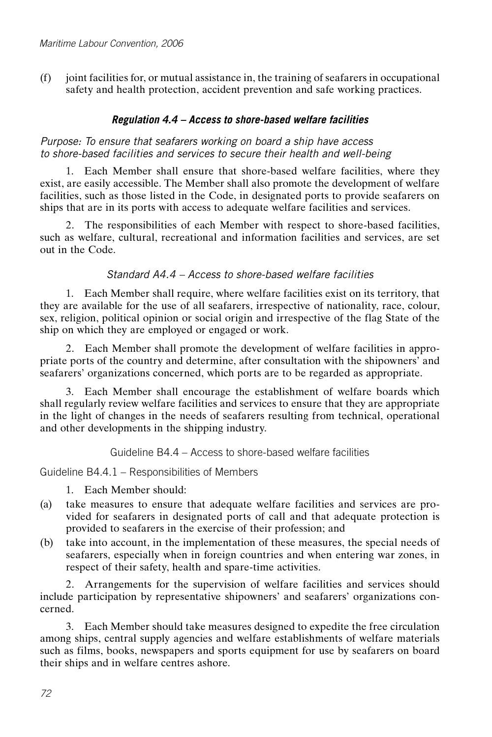(f) joint facilities for, or mutual assistance in, the training of seafarers in occupational safety and health protection, accident prevention and safe working practices.

## *Regulation 4.4 – Access to shore-based welfare facilities*

#### *Purpose: To ensure that seafarers working on board a ship have access to shore-based facilities and services to secure their health and well-being*

1. Each Member shall ensure that shore-based welfare facilities, where they exist, are easily accessible. The Member shall also promote the development of welfare facilities, such as those listed in the Code, in designated ports to provide seafarers on ships that are in its ports with access to adequate welfare facilities and services.

2. The responsibilities of each Member with respect to shore-based facilities, such as welfare, cultural, recreational and information facilities and services, are set out in the Code.

## *Standard A4.4 – Access to shore-based welfare facilities*

1. Each Member shall require, where welfare facilities exist on its territory, that they are available for the use of all seafarers, irrespective of nationality, race, colour, sex, religion, political opinion or social origin and irrespective of the flag State of the ship on which they are employed or engaged or work.

2. Each Member shall promote the development of welfare facilities in appropriate ports of the country and determine, after consultation with the shipowners' and seafarers' organizations concerned, which ports are to be regarded as appropriate.

3. Each Member shall encourage the establishment of welfare boards which shall regularly review welfare facilities and services to ensure that they are appropriate in the light of changes in the needs of seafarers resulting from technical, operational and other developments in the shipping industry.

## Guideline B4.4 – Access to shore-based welfare facilities

Guideline B4.4.1 – Responsibilities of Members

1. Each Member should:

- (a) take measures to ensure that adequate welfare facilities and services are provided for seafarers in designated ports of call and that adequate protection is provided to seafarers in the exercise of their profession; and
- (b) take into account, in the implementation of these measures, the special needs of seafarers, especially when in foreign countries and when entering war zones, in respect of their safety, health and spare-time activities.

2. Arrangements for the supervision of welfare facilities and services should include participation by representative shipowners' and seafarers' organizations concerned.

3. Each Member should take measures designed to expedite the free circulation among ships, central supply agencies and welfare establishments of welfare materials such as films, books, newspapers and sports equipment for use by seafarers on board their ships and in welfare centres ashore.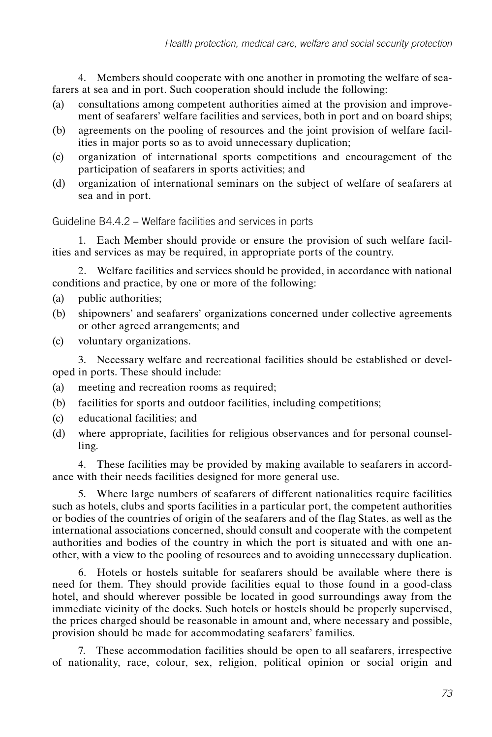4. Members should cooperate with one another in promoting the welfare of seafarers at sea and in port. Such cooperation should include the following:

- (a) consultations among competent authorities aimed at the provision and improvement of seafarers' welfare facilities and services, both in port and on board ships;
- (b) agreements on the pooling of resources and the joint provision of welfare facilities in major ports so as to avoid unnecessary duplication;
- (c) organization of international sports competitions and encouragement of the participation of seafarers in sports activities; and
- (d) organization of international seminars on the subject of welfare of seafarers at sea and in port.

Guideline B4.4.2 – Welfare facilities and services in ports

1. Each Member should provide or ensure the provision of such welfare facilities and services as may be required, in appropriate ports of the country.

2. Welfare facilities and services should be provided, in accordance with national conditions and practice, by one or more of the following:

- (a) public authorities;
- (b) shipowners' and seafarers' organizations concerned under collective agreements or other agreed arrangements; and
- (c) voluntary organizations.

3. Necessary welfare and recreational facilities should be established or developed in ports. These should include:

- (a) meeting and recreation rooms as required;
- (b) facilities for sports and outdoor facilities, including competitions;
- (c) educational facilities; and
- (d) where appropriate, facilities for religious observances and for personal counselling.

4. These facilities may be provided by making available to seafarers in accordance with their needs facilities designed for more general use.

5. Where large numbers of seafarers of different nationalities require facilities such as hotels, clubs and sports facilities in a particular port, the competent authorities or bodies of the countries of origin of the seafarers and of the flag States, as well as the international associations concerned, should consult and cooperate with the competent authorities and bodies of the country in which the port is situated and with one another, with a view to the pooling of resources and to avoiding unnecessary duplication.

6. Hotels or hostels suitable for seafarers should be available where there is need for them. They should provide facilities equal to those found in a good-class hotel, and should wherever possible be located in good surroundings away from the immediate vicinity of the docks. Such hotels or hostels should be properly supervised, the prices charged should be reasonable in amount and, where necessary and possible, provision should be made for accommodating seafarers' families.

7. These accommodation facilities should be open to all seafarers, irrespective of nationality, race, colour, sex, religion, political opinion or social origin and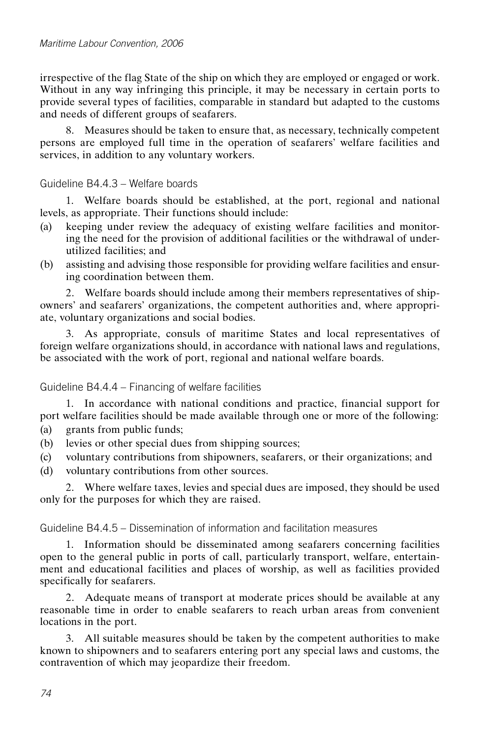irrespective of the flag State of the ship on which they are employed or engaged or work. Without in any way infringing this principle, it may be necessary in certain ports to provide several types of facilities, comparable in standard but adapted to the customs and needs of different groups of seafarers.

8. Measures should be taken to ensure that, as necessary, technically competent persons are employed full time in the operation of seafarers' welfare facilities and services, in addition to any voluntary workers.

Guideline B4.4.3 – Welfare boards

1. Welfare boards should be established, at the port, regional and national levels, as appropriate. Their functions should include:

- (a) keeping under review the adequacy of existing welfare facilities and monitoring the need for the provision of additional facilities or the withdrawal of underutilized facilities; and
- (b) assisting and advising those responsible for providing welfare facilities and ensuring coordination between them.

2. Welfare boards should include among their members representatives of shipowners' and seafarers' organizations, the competent authorities and, where appropriate, voluntary organizations and social bodies.

3. As appropriate, consuls of maritime States and local representatives of foreign welfare organizations should, in accordance with national laws and regulations, be associated with the work of port, regional and national welfare boards.

Guideline B4.4.4 – Financing of welfare facilities

1. In accordance with national conditions and practice, financial support for port welfare facilities should be made available through one or more of the following: (a) grants from public funds;

- (b) levies or other special dues from shipping sources;
- (c) voluntary contributions from shipowners, seafarers, or their organizations; and
- (d) voluntary contributions from other sources.

2. Where welfare taxes, levies and special dues are imposed, they should be used only for the purposes for which they are raised.

Guideline B4.4.5 – Dissemination of information and facilitation measures

1. Information should be disseminated among seafarers concerning facilities open to the general public in ports of call, particularly transport, welfare, entertainment and educational facilities and places of worship, as well as facilities provided specifically for seafarers.

2. Adequate means of transport at moderate prices should be available at any reasonable time in order to enable seafarers to reach urban areas from convenient locations in the port.

3. All suitable measures should be taken by the competent authorities to make known to shipowners and to seafarers entering port any special laws and customs, the contravention of which may jeopardize their freedom.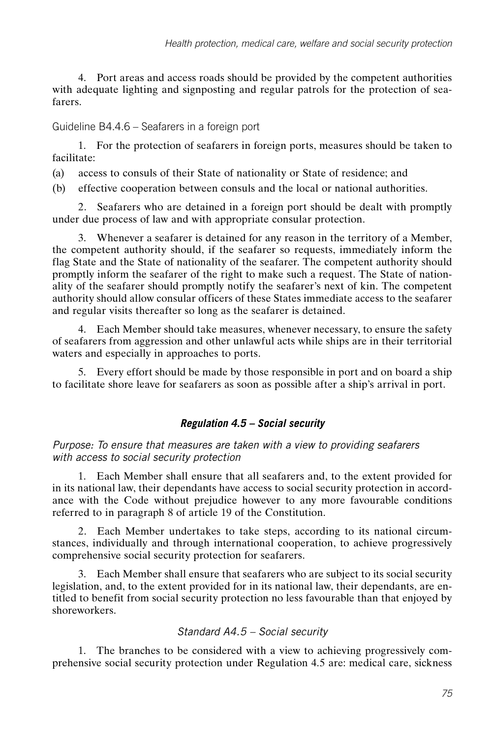4. Port areas and access roads should be provided by the competent authorities with adequate lighting and signposting and regular patrols for the protection of seafarers.

Guideline B4.4.6 – Seafarers in a foreign port

1. For the protection of seafarers in foreign ports, measures should be taken to facilitate:

(a) access to consuls of their State of nationality or State of residence; and

(b) effective cooperation between consuls and the local or national authorities.

2. Seafarers who are detained in a foreign port should be dealt with promptly under due process of law and with appropriate consular protection.

3. Whenever a seafarer is detained for any reason in the territory of a Member, the competent authority should, if the seafarer so requests, immediately inform the flag State and the State of nationality of the seafarer. The competent authority should promptly inform the seafarer of the right to make such a request. The State of nationality of the seafarer should promptly notify the seafarer's next of kin. The competent authority should allow consular officers of these States immediate access to the seafarer and regular visits thereafter so long as the seafarer is detained.

4. Each Member should take measures, whenever necessary, to ensure the safety of seafarers from aggression and other unlawful acts while ships are in their territorial waters and especially in approaches to ports.

5. Every effort should be made by those responsible in port and on board a ship to facilitate shore leave for seafarers as soon as possible after a ship's arrival in port.

# *Regulation 4.5 – Social security*

*Purpose: To ensure that measures are taken with a view to providing seafarers with access to social security protection*

1. Each Member shall ensure that all seafarers and, to the extent provided for in its national law, their dependants have access to social security protection in accordance with the Code without prejudice however to any more favourable conditions referred to in paragraph 8 of article 19 of the Constitution.

2. Each Member undertakes to take steps, according to its national circumstances, individually and through international cooperation, to achieve progressively comprehensive social security protection for seafarers.

3. Each Member shall ensure that seafarers who are subject to its social security legislation, and, to the extent provided for in its national law, their dependants, are entitled to benefit from social security protection no less favourable than that enjoyed by shoreworkers.

## *Standard A4.5 – Social security*

1. The branches to be considered with a view to achieving progressively comprehensive social security protection under Regulation 4.5 are: medical care, sickness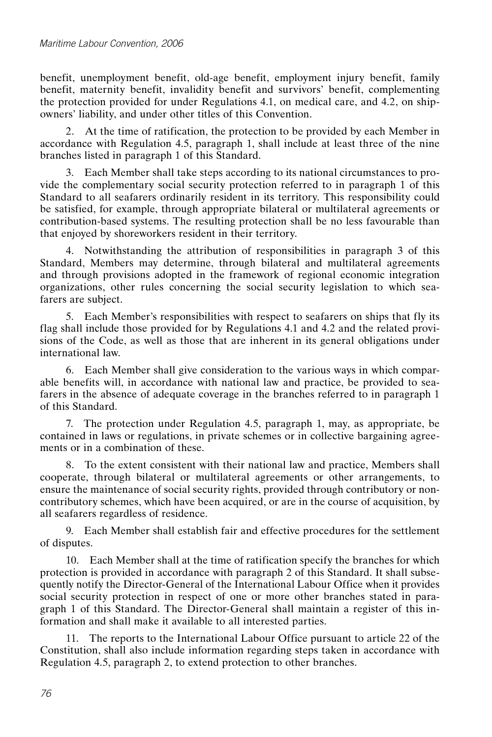benefit, unemployment benefit, old-age benefit, employment injury benefit, family benefit, maternity benefit, invalidity benefit and survivors' benefit, complementing the protection provided for under Regulations 4.1, on medical care, and 4.2, on shipowners' liability, and under other titles of this Convention.

2. At the time of ratification, the protection to be provided by each Member in accordance with Regulation 4.5, paragraph 1, shall include at least three of the nine branches listed in paragraph 1 of this Standard.

3. Each Member shall take steps according to its national circumstances to provide the complementary social security protection referred to in paragraph 1 of this Standard to all seafarers ordinarily resident in its territory. This responsibility could be satisfied, for example, through appropriate bilateral or multilateral agreements or contribution-based systems. The resulting protection shall be no less favourable than that enjoyed by shoreworkers resident in their territory.

4. Notwithstanding the attribution of responsibilities in paragraph 3 of this Standard, Members may determine, through bilateral and multilateral agreements and through provisions adopted in the framework of regional economic integration organizations, other rules concerning the social security legislation to which seafarers are subject.

5. Each Member's responsibilities with respect to seafarers on ships that fly its flag shall include those provided for by Regulations 4.1 and 4.2 and the related provisions of the Code, as well as those that are inherent in its general obligations under international law.

6. Each Member shall give consideration to the various ways in which comparable benefits will, in accordance with national law and practice, be provided to seafarers in the absence of adequate coverage in the branches referred to in paragraph 1 of this Standard.

7. The protection under Regulation 4.5, paragraph 1, may, as appropriate, be contained in laws or regulations, in private schemes or in collective bargaining agreements or in a combination of these.

8. To the extent consistent with their national law and practice, Members shall cooperate, through bilateral or multilateral agreements or other arrangements, to ensure the maintenance of social security rights, provided through contributory or noncontributory schemes, which have been acquired, or are in the course of acquisition, by all seafarers regardless of residence.

9. Each Member shall establish fair and effective procedures for the settlement of disputes.

10. Each Member shall at the time of ratification specify the branches for which protection is provided in accordance with paragraph 2 of this Standard. It shall subsequently notify the Director-General of the International Labour Office when it provides social security protection in respect of one or more other branches stated in paragraph 1 of this Standard. The Director-General shall maintain a register of this information and shall make it available to all interested parties.

11. The reports to the International Labour Office pursuant to article 22 of the Constitution, shall also include information regarding steps taken in accordance with Regulation 4.5, paragraph 2, to extend protection to other branches.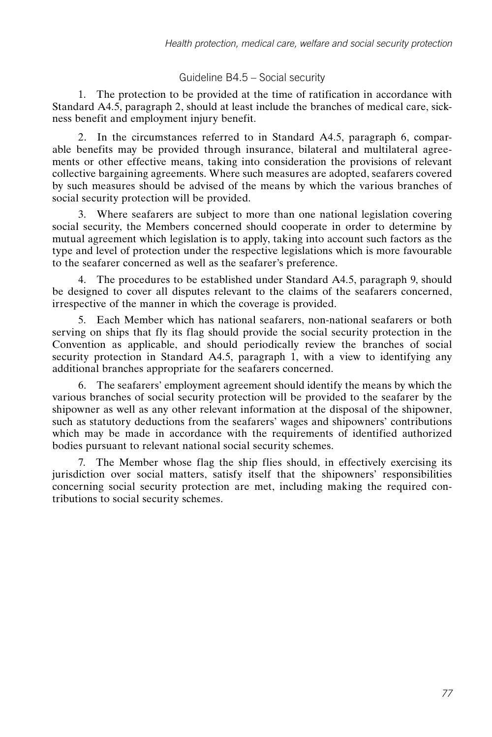#### Guideline B4.5 – Social security

1. The protection to be provided at the time of ratification in accordance with Standard A4.5, paragraph 2, should at least include the branches of medical care, sickness benefit and employment injury benefit.

2. In the circumstances referred to in Standard A4.5, paragraph 6, comparable benefits may be provided through insurance, bilateral and multilateral agreements or other effective means, taking into consideration the provisions of relevant collective bargaining agreements. Where such measures are adopted, seafarers covered by such measures should be advised of the means by which the various branches of social security protection will be provided.

3. Where seafarers are subject to more than one national legislation covering social security, the Members concerned should cooperate in order to determine by mutual agreement which legislation is to apply, taking into account such factors as the type and level of protection under the respective legislations which is more favourable to the seafarer concerned as well as the seafarer's preference.

4. The procedures to be established under Standard A4.5, paragraph 9, should be designed to cover all disputes relevant to the claims of the seafarers concerned, irrespective of the manner in which the coverage is provided.

5. Each Member which has national seafarers, non-national seafarers or both serving on ships that fly its flag should provide the social security protection in the Convention as applicable, and should periodically review the branches of social security protection in Standard A4.5, paragraph 1, with a view to identifying any additional branches appropriate for the seafarers concerned.

6. The seafarers' employment agreement should identify the means by which the various branches of social security protection will be provided to the seafarer by the shipowner as well as any other relevant information at the disposal of the shipowner, such as statutory deductions from the seafarers' wages and shipowners' contributions which may be made in accordance with the requirements of identified authorized bodies pursuant to relevant national social security schemes.

7. The Member whose flag the ship flies should, in effectively exercising its jurisdiction over social matters, satisfy itself that the shipowners' responsibilities concerning social security protection are met, including making the required contributions to social security schemes.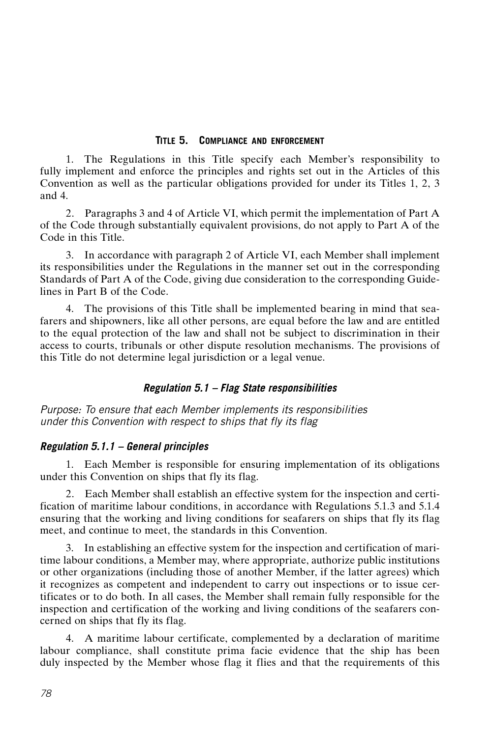#### **Title 5. Compliance and enforcement**

1. The Regulations in this Title specify each Member's responsibility to fully implement and enforce the principles and rights set out in the Articles of this Convention as well as the particular obligations provided for under its Titles 1, 2, 3 and 4.

2. Paragraphs 3 and 4 of Article VI, which permit the implementation of Part A of the Code through substantially equivalent provisions, do not apply to Part A of the Code in this Title.

3. In accordance with paragraph 2 of Article VI, each Member shall implement its responsibilities under the Regulations in the manner set out in the corresponding Standards of Part A of the Code, giving due consideration to the corresponding Guidelines in Part B of the Code.

4. The provisions of this Title shall be implemented bearing in mind that seafarers and shipowners, like all other persons, are equal before the law and are entitled to the equal protection of the law and shall not be subject to discrimination in their access to courts, tribunals or other dispute resolution mechanisms. The provisions of this Title do not determine legal jurisdiction or a legal venue.

#### *Regulation 5.1 – Flag State responsibilities*

*Purpose: To ensure that each Member implements its responsibilities under this Convention with respect to ships that fly its flag*

## *Regulation 5.1.1 – General principles*

1. Each Member is responsible for ensuring implementation of its obligations under this Convention on ships that fly its flag.

2. Each Member shall establish an effective system for the inspection and certification of maritime labour conditions, in accordance with Regulations 5.1.3 and 5.1.4 ensuring that the working and living conditions for seafarers on ships that fly its flag meet, and continue to meet, the standards in this Convention.

3. In establishing an effective system for the inspection and certification of maritime labour conditions, a Member may, where appropriate, authorize public institutions or other organizations (including those of another Member, if the latter agrees) which it recognizes as competent and independent to carry out inspections or to issue certificates or to do both. In all cases, the Member shall remain fully responsible for the inspection and certification of the working and living conditions of the seafarers concerned on ships that fly its flag.

4. A maritime labour certificate, complemented by a declaration of maritime labour compliance, shall constitute prima facie evidence that the ship has been duly inspected by the Member whose flag it flies and that the requirements of this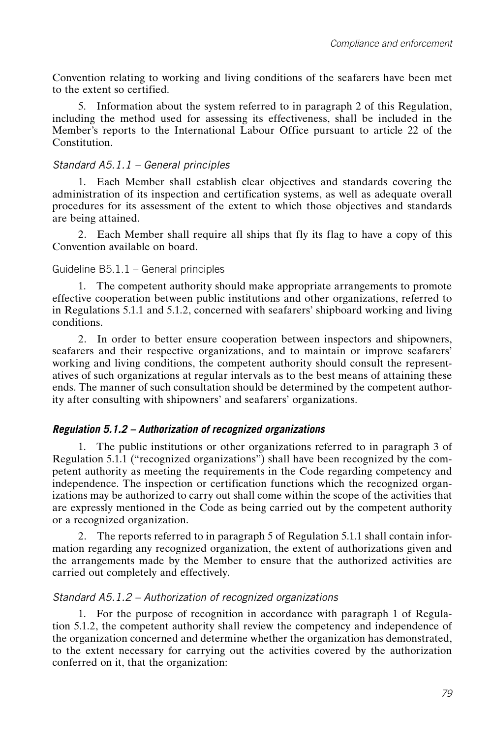Convention relating to working and living conditions of the seafarers have been met to the extent so certified.

5. Information about the system referred to in paragraph 2 of this Regulation, including the method used for assessing its effectiveness, shall be included in the Member's reports to the International Labour Office pursuant to article 22 of the Constitution.

# *Standard A5.1.1 – General principles*

1. Each Member shall establish clear objectives and standards covering the administration of its inspection and certification systems, as well as adequate overall procedures for its assessment of the extent to which those objectives and standards are being attained.

2. Each Member shall require all ships that fly its flag to have a copy of this Convention available on board.

# Guideline B5.1.1 – General principles

1. The competent authority should make appropriate arrangements to promote effective cooperation between public institutions and other organizations, referred to in Regulations 5.1.1 and 5.1.2, concerned with seafarers' shipboard working and living conditions.

2. In order to better ensure cooperation between inspectors and shipowners, seafarers and their respective organizations, and to maintain or improve seafarers' working and living conditions, the competent authority should consult the representatives of such organizations at regular intervals as to the best means of attaining these ends. The manner of such consultation should be determined by the competent authority after consulting with shipowners' and seafarers' organizations.

# *Regulation 5.1.2 – Authorization of recognized organizations*

1. The public institutions or other organizations referred to in paragraph 3 of Regulation 5.1.1 ("recognized organizations") shall have been recognized by the competent authority as meeting the requirements in the Code regarding competency and independence. The inspection or certification functions which the recognized organizations may be authorized to carry out shall come within the scope of the activities that are expressly mentioned in the Code as being carried out by the competent authority or a recognized organization.

2. The reports referred to in paragraph 5 of Regulation 5.1.1 shall contain information regarding any recognized organization, the extent of authorizations given and the arrangements made by the Member to ensure that the authorized activities are carried out completely and effectively.

# *Standard A5.1.2 – Authorization of recognized organizations*

1. For the purpose of recognition in accordance with paragraph 1 of Regulation 5.1.2, the competent authority shall review the competency and independence of the organization concerned and determine whether the organization has demonstrated, to the extent necessary for carrying out the activities covered by the authorization conferred on it, that the organization: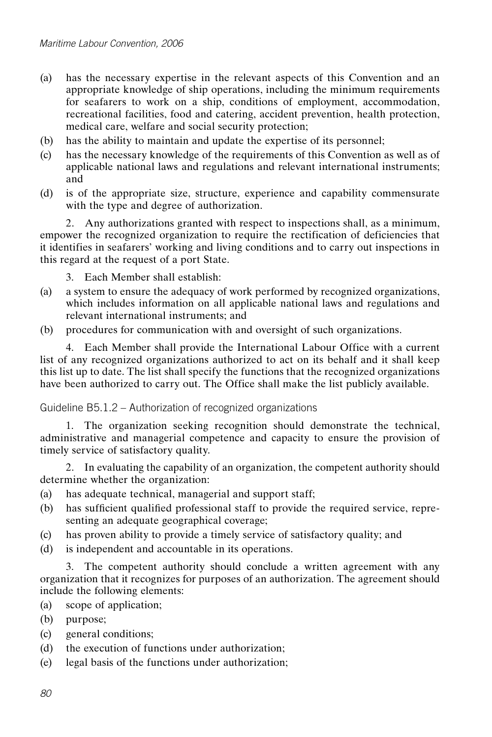- (a) has the necessary expertise in the relevant aspects of this Convention and an appropriate knowledge of ship operations, including the minimum requirements for seafarers to work on a ship, conditions of employment, accommodation, recreational facilities, food and catering, accident prevention, health protection, medical care, welfare and social security protection;
- (b) has the ability to maintain and update the expertise of its personnel;
- (c) has the necessary knowledge of the requirements of this Convention as well as of applicable national laws and regulations and relevant international instruments; and
- (d) is of the appropriate size, structure, experience and capability commensurate with the type and degree of authorization.

2. Any authorizations granted with respect to inspections shall, as a minimum, empower the recognized organization to require the rectification of deficiencies that it identifies in seafarers' working and living conditions and to carry out inspections in this regard at the request of a port State.

- 3. Each Member shall establish:
- (a) a system to ensure the adequacy of work performed by recognized organizations, which includes information on all applicable national laws and regulations and relevant international instruments; and
- (b) procedures for communication with and oversight of such organizations.

4. Each Member shall provide the International Labour Office with a current list of any recognized organizations authorized to act on its behalf and it shall keep this list up to date. The list shall specify the functions that the recognized organizations have been authorized to carry out. The Office shall make the list publicly available.

Guideline B5.1.2 – Authorization of recognized organizations

1. The organization seeking recognition should demonstrate the technical, administrative and managerial competence and capacity to ensure the provision of timely service of satisfactory quality.

2. In evaluating the capability of an organization, the competent authority should determine whether the organization:

- (a) has adequate technical, managerial and support staff;
- (b) has sufficient qualified professional staff to provide the required service, representing an adequate geographical coverage;
- (c) has proven ability to provide a timely service of satisfactory quality; and
- (d) is independent and accountable in its operations.

3. The competent authority should conclude a written agreement with any organization that it recognizes for purposes of an authorization. The agreement should include the following elements:

- (a) scope of application;
- (b) purpose;
- (c) general conditions;
- (d) the execution of functions under authorization;
- (e) legal basis of the functions under authorization;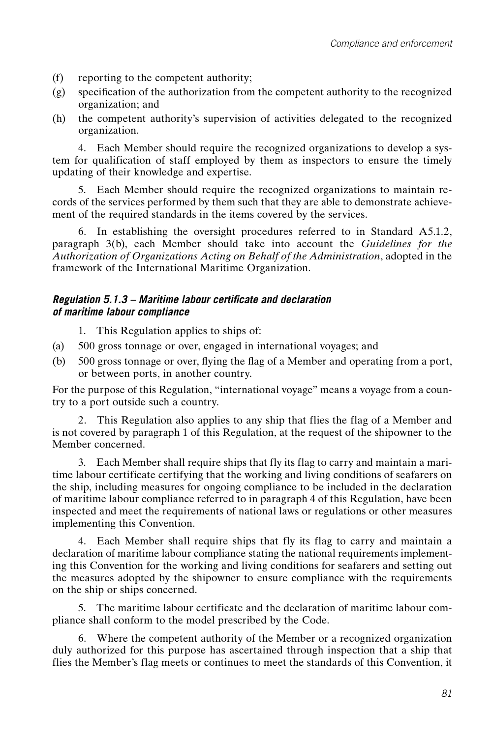- (f) reporting to the competent authority;
- (g) specification of the authorization from the competent authority to the recognized organization; and
- (h) the competent authority's supervision of activities delegated to the recognized organization.

4. Each Member should require the recognized organizations to develop a system for qualification of staff employed by them as inspectors to ensure the timely updating of their knowledge and expertise.

5. Each Member should require the recognized organizations to maintain records of the services performed by them such that they are able to demonstrate achievement of the required standards in the items covered by the services.

In establishing the oversight procedures referred to in Standard A5.1.2, paragraph 3(b), each Member should take into account the *Guidelines for the Authorization of Organizations Acting on Behalf of the Administration*, adopted in the framework of the International Maritime Organization.

## *Regulation 5.1.3 – Maritime labour certificate and declaration of maritime labour compliance*

- 1. This Regulation applies to ships of:
- (a) 500 gross tonnage or over, engaged in international voyages; and
- (b) 500 gross tonnage or over, flying the flag of a Member and operating from a port, or between ports, in another country.

For the purpose of this Regulation, "international voyage" means a voyage from a country to a port outside such a country.

2. This Regulation also applies to any ship that flies the flag of a Member and is not covered by paragraph 1 of this Regulation, at the request of the shipowner to the Member concerned.

3. Each Member shall require ships that fly its flag to carry and maintain a maritime labour certificate certifying that the working and living conditions of seafarers on the ship, including measures for ongoing compliance to be included in the declaration of maritime labour compliance referred to in paragraph 4 of this Regulation, have been inspected and meet the requirements of national laws or regulations or other measures implementing this Convention.

4. Each Member shall require ships that fly its flag to carry and maintain a declaration of maritime labour compliance stating the national requirements implementing this Convention for the working and living conditions for seafarers and setting out the measures adopted by the shipowner to ensure compliance with the requirements on the ship or ships concerned.

5. The maritime labour certificate and the declaration of maritime labour compliance shall conform to the model prescribed by the Code.

6. Where the competent authority of the Member or a recognized organization duly authorized for this purpose has ascertained through inspection that a ship that flies the Member's flag meets or continues to meet the standards of this Convention, it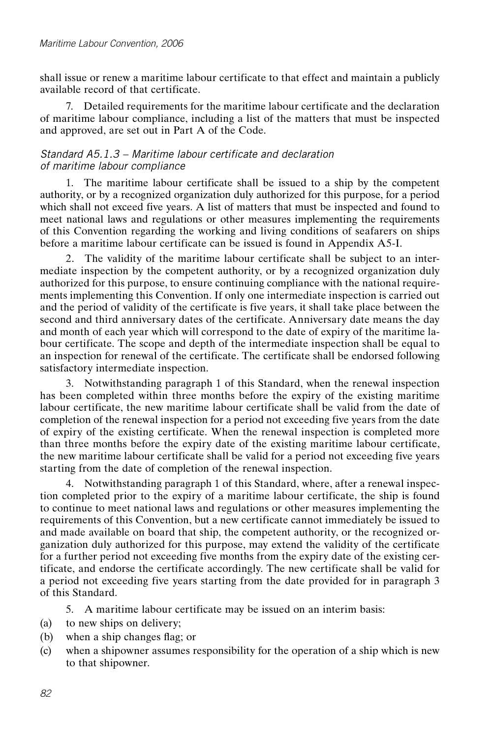shall issue or renew a maritime labour certificate to that effect and maintain a publicly available record of that certificate.

7. Detailed requirements for the maritime labour certificate and the declaration of maritime labour compliance, including a list of the matters that must be inspected and approved, are set out in Part A of the Code.

#### *Standard A5.1.3 – Maritime labour certificate and declaration of maritime labour compliance*

1. The maritime labour certificate shall be issued to a ship by the competent authority, or by a recognized organization duly authorized for this purpose, for a period which shall not exceed five years. A list of matters that must be inspected and found to meet national laws and regulations or other measures implementing the requirements of this Convention regarding the working and living conditions of seafarers on ships before a maritime labour certificate can be issued is found in Appendix A5-I.

2. The validity of the maritime labour certificate shall be subject to an intermediate inspection by the competent authority, or by a recognized organization duly authorized for this purpose, to ensure continuing compliance with the national requirements implementing this Convention. If only one intermediate inspection is carried out and the period of validity of the certificate is five years, it shall take place between the second and third anniversary dates of the certificate. Anniversary date means the day and month of each year which will correspond to the date of expiry of the maritime labour certificate. The scope and depth of the intermediate inspection shall be equal to an inspection for renewal of the certificate. The certificate shall be endorsed following satisfactory intermediate inspection.

3. Notwithstanding paragraph 1 of this Standard, when the renewal inspection has been completed within three months before the expiry of the existing maritime labour certificate, the new maritime labour certificate shall be valid from the date of completion of the renewal inspection for a period not exceeding five years from the date of expiry of the existing certificate. When the renewal inspection is completed more than three months before the expiry date of the existing maritime labour certificate, the new maritime labour certificate shall be valid for a period not exceeding five years starting from the date of completion of the renewal inspection.

4. Notwithstanding paragraph 1 of this Standard, where, after a renewal inspection completed prior to the expiry of a maritime labour certificate, the ship is found to continue to meet national laws and regulations or other measures implementing the requirements of this Convention, but a new certificate cannot immediately be issued to and made available on board that ship, the competent authority, or the recognized organization duly authorized for this purpose, may extend the validity of the certificate for a further period not exceeding five months from the expiry date of the existing certificate, and endorse the certificate accordingly. The new certificate shall be valid for a period not exceeding five years starting from the date provided for in paragraph 3 of this Standard.

5. A maritime labour certificate may be issued on an interim basis:

- (a) to new ships on delivery;
- (b) when a ship changes flag; or
- (c) when a shipowner assumes responsibility for the operation of a ship which is new to that shipowner.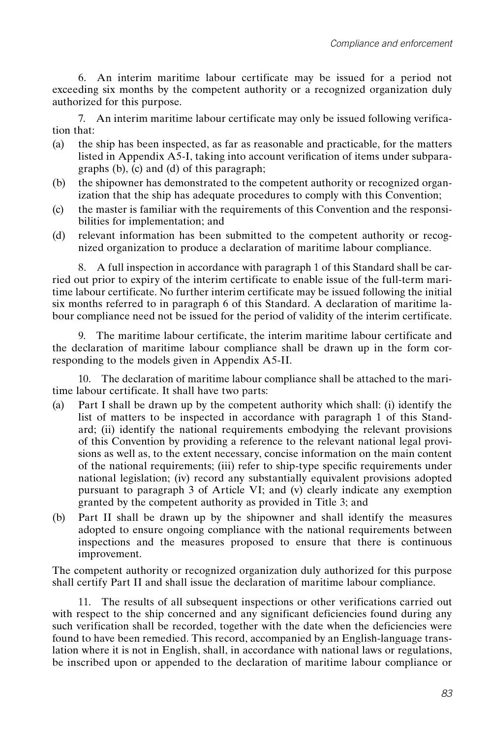6. An interim maritime labour certificate may be issued for a period not exceeding six months by the competent authority or a recognized organization duly authorized for this purpose.

7. An interim maritime labour certificate may only be issued following verification that:

- (a) the ship has been inspected, as far as reasonable and practicable, for the matters listed in Appendix A5-I, taking into account verification of items under subparagraphs (b), (c) and (d) of this paragraph;
- (b) the shipowner has demonstrated to the competent authority or recognized organization that the ship has adequate procedures to comply with this Convention;
- (c) the master is familiar with the requirements of this Convention and the responsibilities for implementation; and
- (d) relevant information has been submitted to the competent authority or recognized organization to produce a declaration of maritime labour compliance.

8. A full inspection in accordance with paragraph 1 of this Standard shall be carried out prior to expiry of the interim certificate to enable issue of the full-term maritime labour certificate. No further interim certificate may be issued following the initial six months referred to in paragraph 6 of this Standard. A declaration of maritime labour compliance need not be issued for the period of validity of the interim certificate.

9. The maritime labour certificate, the interim maritime labour certificate and the declaration of maritime labour compliance shall be drawn up in the form corresponding to the models given in Appendix A5-II.

10. The declaration of maritime labour compliance shall be attached to the maritime labour certificate. It shall have two parts:

- (a) Part I shall be drawn up by the competent authority which shall: (i) identify the list of matters to be inspected in accordance with paragraph 1 of this Standard; (ii) identify the national requirements embodying the relevant provisions of this Convention by providing a reference to the relevant national legal provisions as well as, to the extent necessary, concise information on the main content of the national requirements; (iii) refer to ship-type specific requirements under national legislation; (iv) record any substantially equivalent provisions adopted pursuant to paragraph 3 of Article VI; and (v) clearly indicate any exemption granted by the competent authority as provided in Title 3; and
- (b) Part II shall be drawn up by the shipowner and shall identify the measures adopted to ensure ongoing compliance with the national requirements between inspections and the measures proposed to ensure that there is continuous improvement.

The competent authority or recognized organization duly authorized for this purpose shall certify Part II and shall issue the declaration of maritime labour compliance.

11. The results of all subsequent inspections or other verifications carried out with respect to the ship concerned and any significant deficiencies found during any such verification shall be recorded, together with the date when the deficiencies were found to have been remedied. This record, accompanied by an English-language translation where it is not in English, shall, in accordance with national laws or regulations, be inscribed upon or appended to the declaration of maritime labour compliance or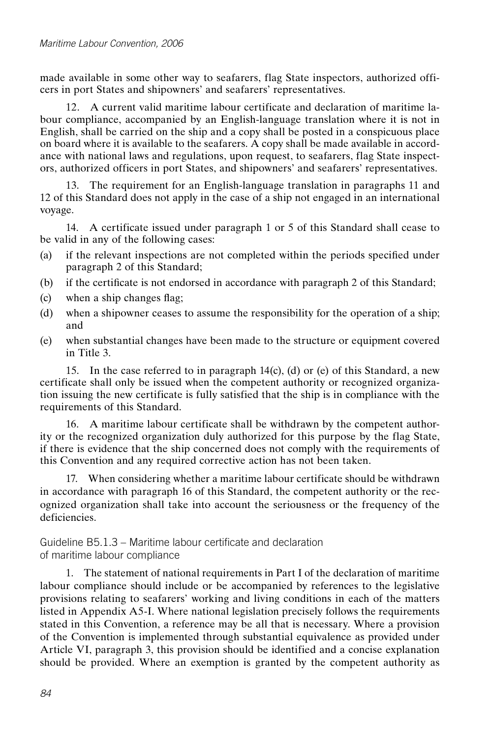made available in some other way to seafarers, flag State inspectors, authorized officers in port States and shipowners' and seafarers' representatives.

12. A current valid maritime labour certificate and declaration of maritime labour compliance, accompanied by an English-language translation where it is not in English, shall be carried on the ship and a copy shall be posted in a conspicuous place on board where it is available to the seafarers. A copy shall be made available in accordance with national laws and regulations, upon request, to seafarers, flag State inspectors, authorized officers in port States, and shipowners' and seafarers' representatives.

13. The requirement for an English-language translation in paragraphs 11 and 12 of this Standard does not apply in the case of a ship not engaged in an international voyage.

14. A certificate issued under paragraph 1 or 5 of this Standard shall cease to be valid in any of the following cases:

- (a) if the relevant inspections are not completed within the periods specified under paragraph 2 of this Standard;
- (b) if the certificate is not endorsed in accordance with paragraph 2 of this Standard;
- (c) when a ship changes flag;
- (d) when a shipowner ceases to assume the responsibility for the operation of a ship; and
- (e) when substantial changes have been made to the structure or equipment covered in Title 3.

15. In the case referred to in paragraph 14(c), (d) or (e) of this Standard, a new certificate shall only be issued when the competent authority or recognized organization issuing the new certificate is fully satisfied that the ship is in compliance with the requirements of this Standard.

16. A maritime labour certificate shall be withdrawn by the competent authority or the recognized organization duly authorized for this purpose by the flag State, if there is evidence that the ship concerned does not comply with the requirements of this Convention and any required corrective action has not been taken.

17. When considering whether a maritime labour certificate should be withdrawn in accordance with paragraph 16 of this Standard, the competent authority or the recognized organization shall take into account the seriousness or the frequency of the deficiencies.

Guideline B5.1.3 – Maritime labour certificate and declaration of maritime labour compliance

1. The statement of national requirements in Part I of the declaration of maritime labour compliance should include or be accompanied by references to the legislative provisions relating to seafarers' working and living conditions in each of the matters listed in Appendix A5-I. Where national legislation precisely follows the requirements stated in this Convention, a reference may be all that is necessary. Where a provision of the Convention is implemented through substantial equivalence as provided under Article VI, paragraph 3, this provision should be identified and a concise explanation should be provided. Where an exemption is granted by the competent authority as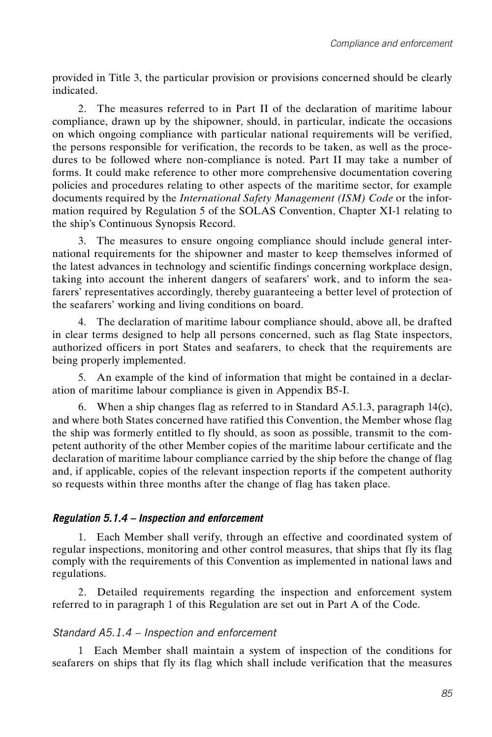provided in Title 3, the particular provision or provisions concerned should be clearly indicated.

2. The measures referred to in Part II of the declaration of maritime labour compliance, drawn up by the shipowner, should, in particular, indicate the occasions on which ongoing compliance with particular national requirements will be verified, the persons responsible for verification, the records to be taken, as well as the procedures to be followed where non-compliance is noted. Part II may take a number of forms. It could make reference to other more comprehensive documentation covering policies and procedures relating to other aspects of the maritime sector, for example documents required by the *International Safety Management (ISM) Code* or the information required by Regulation 5 of the SOLAS Convention, Chapter XI-1 relating to the ship's Continuous Synopsis Record.

3. The measures to ensure ongoing compliance should include general international requirements for the shipowner and master to keep themselves informed of the latest advances in technology and scientific findings concerning workplace design, taking into account the inherent dangers of seafarers' work, and to inform the seafarers' representatives accordingly, thereby guaranteeing a better level of protection of the seafarers' working and living conditions on board.

4. The declaration of maritime labour compliance should, above all, be drafted in clear terms designed to help all persons concerned, such as flag State inspectors, authorized officers in port States and seafarers, to check that the requirements are being properly implemented.

5. An example of the kind of information that might be contained in a declaration of maritime labour compliance is given in Appendix B5-I.

6. When a ship changes flag as referred to in Standard A5.1.3, paragraph 14(c), and where both States concerned have ratified this Convention, the Member whose flag the ship was formerly entitled to fly should, as soon as possible, transmit to the competent authority of the other Member copies of the maritime labour certificate and the declaration of maritime labour compliance carried by the ship before the change of flag and, if applicable, copies of the relevant inspection reports if the competent authority so requests within three months after the change of flag has taken place.

## *Regulation 5.1.4 – Inspection and enforcement*

1. Each Member shall verify, through an effective and coordinated system of regular inspections, monitoring and other control measures, that ships that fly its flag comply with the requirements of this Convention as implemented in national laws and regulations.

2. Detailed requirements regarding the inspection and enforcement system referred to in paragraph 1 of this Regulation are set out in Part A of the Code.

## *Standard A5.1.4 – Inspection and enforcement*

1 Each Member shall maintain a system of inspection of the conditions for seafarers on ships that fly its flag which shall include verification that the measures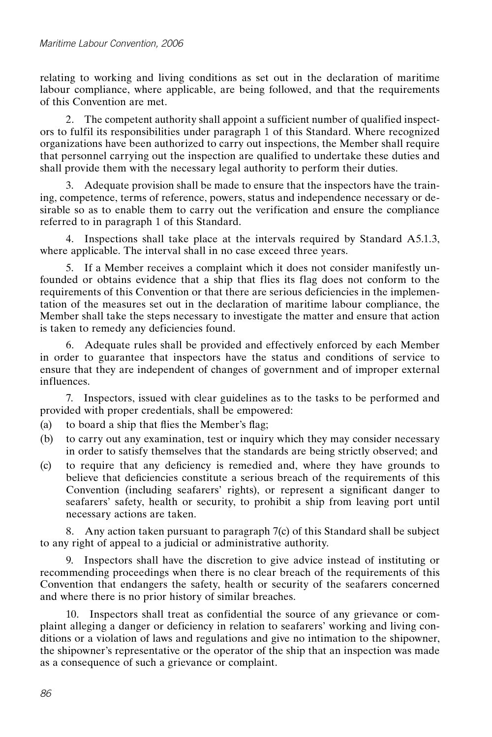relating to working and living conditions as set out in the declaration of maritime labour compliance, where applicable, are being followed, and that the requirements of this Convention are met.

2. The competent authority shall appoint a sufficient number of qualified inspectors to fulfil its responsibilities under paragraph 1 of this Standard. Where recognized organizations have been authorized to carry out inspections, the Member shall require that personnel carrying out the inspection are qualified to undertake these duties and shall provide them with the necessary legal authority to perform their duties.

3. Adequate provision shall be made to ensure that the inspectors have the training, competence, terms of reference, powers, status and independence necessary or desirable so as to enable them to carry out the verification and ensure the compliance referred to in paragraph 1 of this Standard.

4. Inspections shall take place at the intervals required by Standard A5.1.3, where applicable. The interval shall in no case exceed three years.

5. If a Member receives a complaint which it does not consider manifestly unfounded or obtains evidence that a ship that flies its flag does not conform to the requirements of this Convention or that there are serious deficiencies in the implementation of the measures set out in the declaration of maritime labour compliance, the Member shall take the steps necessary to investigate the matter and ensure that action is taken to remedy any deficiencies found.

6. Adequate rules shall be provided and effectively enforced by each Member in order to guarantee that inspectors have the status and conditions of service to ensure that they are independent of changes of government and of improper external influences.

7. Inspectors, issued with clear guidelines as to the tasks to be performed and provided with proper credentials, shall be empowered:

- (a) to board a ship that flies the Member's flag;
- (b) to carry out any examination, test or inquiry which they may consider necessary in order to satisfy themselves that the standards are being strictly observed; and
- (c) to require that any deficiency is remedied and, where they have grounds to believe that deficiencies constitute a serious breach of the requirements of this Convention (including seafarers' rights), or represent a significant danger to seafarers' safety, health or security, to prohibit a ship from leaving port until necessary actions are taken.

8. Any action taken pursuant to paragraph 7(c) of this Standard shall be subject to any right of appeal to a judicial or administrative authority.

9. Inspectors shall have the discretion to give advice instead of instituting or recommending proceedings when there is no clear breach of the requirements of this Convention that endangers the safety, health or security of the seafarers concerned and where there is no prior history of similar breaches.

10. Inspectors shall treat as confidential the source of any grievance or complaint alleging a danger or deficiency in relation to seafarers' working and living conditions or a violation of laws and regulations and give no intimation to the shipowner, the shipowner's representative or the operator of the ship that an inspection was made as a consequence of such a grievance or complaint.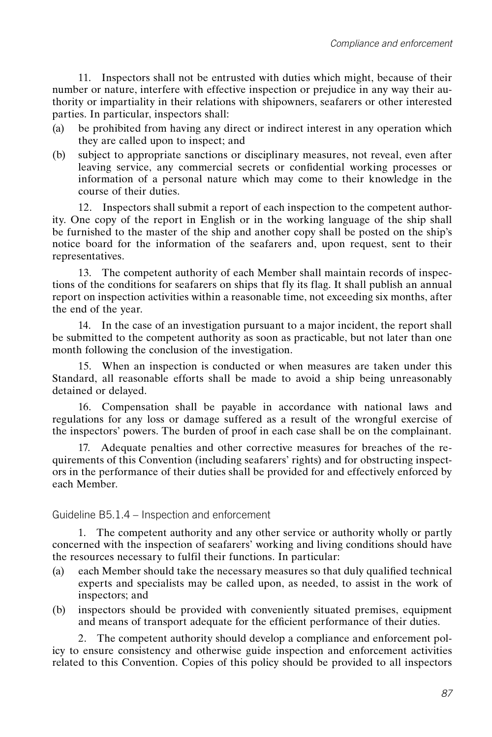11. Inspectors shall not be entrusted with duties which might, because of their number or nature, interfere with effective inspection or prejudice in any way their authority or impartiality in their relations with shipowners, seafarers or other interested parties. In particular, inspectors shall:

- (a) be prohibited from having any direct or indirect interest in any operation which they are called upon to inspect; and
- (b) subject to appropriate sanctions or disciplinary measures, not reveal, even after leaving service, any commercial secrets or confidential working processes or information of a personal nature which may come to their knowledge in the course of their duties.

12. Inspectors shall submit a report of each inspection to the competent authority. One copy of the report in English or in the working language of the ship shall be furnished to the master of the ship and another copy shall be posted on the ship's notice board for the information of the seafarers and, upon request, sent to their representatives.

13. The competent authority of each Member shall maintain records of inspections of the conditions for seafarers on ships that fly its flag. It shall publish an annual report on inspection activities within a reasonable time, not exceeding six months, after the end of the year.

14. In the case of an investigation pursuant to a major incident, the report shall be submitted to the competent authority as soon as practicable, but not later than one month following the conclusion of the investigation.

15. When an inspection is conducted or when measures are taken under this Standard, all reasonable efforts shall be made to avoid a ship being unreasonably detained or delayed.

16. Compensation shall be payable in accordance with national laws and regulations for any loss or damage suffered as a result of the wrongful exercise of the inspectors' powers. The burden of proof in each case shall be on the complainant.

17. Adequate penalties and other corrective measures for breaches of the requirements of this Convention (including seafarers' rights) and for obstructing inspectors in the performance of their duties shall be provided for and effectively enforced by each Member.

Guideline B5.1.4 – Inspection and enforcement

1. The competent authority and any other service or authority wholly or partly concerned with the inspection of seafarers' working and living conditions should have the resources necessary to fulfil their functions. In particular:

- (a) each Member should take the necessary measures so that duly qualified technical experts and specialists may be called upon, as needed, to assist in the work of inspectors; and
- (b) inspectors should be provided with conveniently situated premises, equipment and means of transport adequate for the efficient performance of their duties.

2. The competent authority should develop a compliance and enforcement policy to ensure consistency and otherwise guide inspection and enforcement activities related to this Convention. Copies of this policy should be provided to all inspectors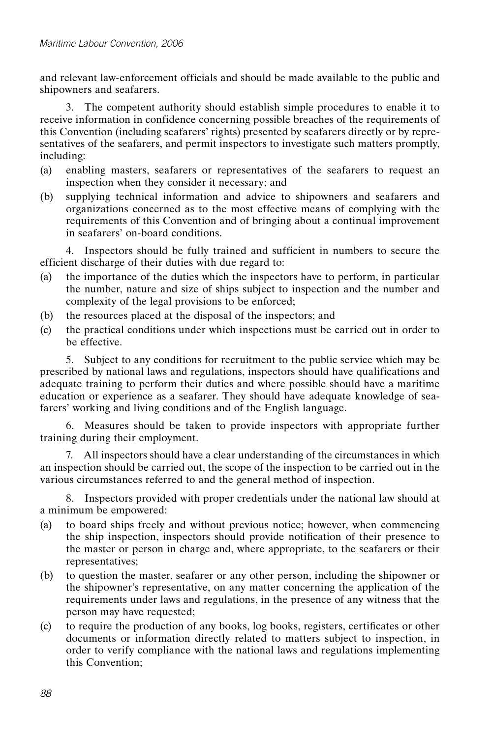#### *Maritime Labour Convention, 2006*

and relevant law-enforcement officials and should be made available to the public and shipowners and seafarers.

3. The competent authority should establish simple procedures to enable it to receive information in confidence concerning possible breaches of the requirements of this Convention (including seafarers' rights) presented by seafarers directly or by representatives of the seafarers, and permit inspectors to investigate such matters promptly, including:

- (a) enabling masters, seafarers or representatives of the seafarers to request an inspection when they consider it necessary; and
- (b) supplying technical information and advice to shipowners and seafarers and organizations concerned as to the most effective means of complying with the requirements of this Convention and of bringing about a continual improvement in seafarers' on-board conditions.

4. Inspectors should be fully trained and sufficient in numbers to secure the efficient discharge of their duties with due regard to:

- (a) the importance of the duties which the inspectors have to perform, in particular the number, nature and size of ships subject to inspection and the number and complexity of the legal provisions to be enforced;
- (b) the resources placed at the disposal of the inspectors; and
- (c) the practical conditions under which inspections must be carried out in order to be effective.

5. Subject to any conditions for recruitment to the public service which may be prescribed by national laws and regulations, inspectors should have qualifications and adequate training to perform their duties and where possible should have a maritime education or experience as a seafarer. They should have adequate knowledge of seafarers' working and living conditions and of the English language.

6. Measures should be taken to provide inspectors with appropriate further training during their employment.

7. All inspectors should have a clear understanding of the circumstances in which an inspection should be carried out, the scope of the inspection to be carried out in the various circumstances referred to and the general method of inspection.

8. Inspectors provided with proper credentials under the national law should at a minimum be empowered:

- (a) to board ships freely and without previous notice; however, when commencing the ship inspection, inspectors should provide notification of their presence to the master or person in charge and, where appropriate, to the seafarers or their representatives;
- (b) to question the master, seafarer or any other person, including the shipowner or the shipowner's representative, on any matter concerning the application of the requirements under laws and regulations, in the presence of any witness that the person may have requested;
- (c) to require the production of any books, log books, registers, certificates or other documents or information directly related to matters subject to inspection, in order to verify compliance with the national laws and regulations implementing this Convention;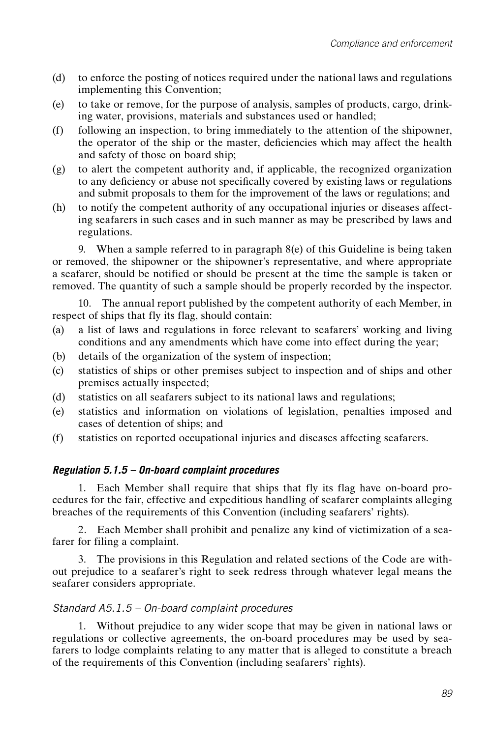- (d) to enforce the posting of notices required under the national laws and regulations implementing this Convention;
- (e) to take or remove, for the purpose of analysis, samples of products, cargo, drinking water, provisions, materials and substances used or handled;
- (f) following an inspection, to bring immediately to the attention of the shipowner, the operator of the ship or the master, deficiencies which may affect the health and safety of those on board ship;
- (g) to alert the competent authority and, if applicable, the recognized organization to any deficiency or abuse not specifically covered by existing laws or regulations and submit proposals to them for the improvement of the laws or regulations; and
- (h) to notify the competent authority of any occupational injuries or diseases affecting seafarers in such cases and in such manner as may be prescribed by laws and regulations.

9. When a sample referred to in paragraph 8(e) of this Guideline is being taken or removed, the shipowner or the shipowner's representative, and where appropriate a seafarer, should be notified or should be present at the time the sample is taken or removed. The quantity of such a sample should be properly recorded by the inspector.

10. The annual report published by the competent authority of each Member, in respect of ships that fly its flag, should contain:

- (a) a list of laws and regulations in force relevant to seafarers' working and living conditions and any amendments which have come into effect during the year;
- (b) details of the organization of the system of inspection;
- (c) statistics of ships or other premises subject to inspection and of ships and other premises actually inspected;
- (d) statistics on all seafarers subject to its national laws and regulations;
- (e) statistics and information on violations of legislation, penalties imposed and cases of detention of ships; and
- (f) statistics on reported occupational injuries and diseases affecting seafarers.

# *Regulation 5.1.5 – On-board complaint procedures*

1. Each Member shall require that ships that fly its flag have on-board procedures for the fair, effective and expeditious handling of seafarer complaints alleging breaches of the requirements of this Convention (including seafarers' rights).

2. Each Member shall prohibit and penalize any kind of victimization of a seafarer for filing a complaint.

3. The provisions in this Regulation and related sections of the Code are without prejudice to a seafarer's right to seek redress through whatever legal means the seafarer considers appropriate.

## *Standard A5.1.5 – On-board complaint procedures*

1. Without prejudice to any wider scope that may be given in national laws or regulations or collective agreements, the on-board procedures may be used by seafarers to lodge complaints relating to any matter that is alleged to constitute a breach of the requirements of this Convention (including seafarers' rights).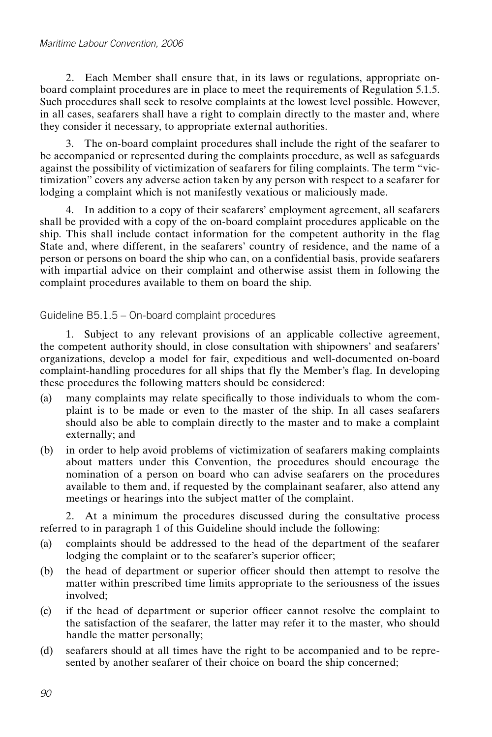#### *Maritime Labour Convention, 2006*

2. Each Member shall ensure that, in its laws or regulations, appropriate onboard complaint procedures are in place to meet the requirements of Regulation 5.1.5. Such procedures shall seek to resolve complaints at the lowest level possible. However, in all cases, seafarers shall have a right to complain directly to the master and, where they consider it necessary, to appropriate external authorities.

3. The on-board complaint procedures shall include the right of the seafarer to be accompanied or represented during the complaints procedure, as well as safeguards against the possibility of victimization of seafarers for filing complaints. The term "victimization" covers any adverse action taken by any person with respect to a seafarer for lodging a complaint which is not manifestly vexatious or maliciously made.

4. In addition to a copy of their seafarers' employment agreement, all seafarers shall be provided with a copy of the on-board complaint procedures applicable on the ship. This shall include contact information for the competent authority in the flag State and, where different, in the seafarers' country of residence, and the name of a person or persons on board the ship who can, on a confidential basis, provide seafarers with impartial advice on their complaint and otherwise assist them in following the complaint procedures available to them on board the ship.

## Guideline B5.1.5 – On-board complaint procedures

1. Subject to any relevant provisions of an applicable collective agreement, the competent authority should, in close consultation with shipowners' and seafarers' organizations, develop a model for fair, expeditious and well-documented on-board complaint-handling procedures for all ships that fly the Member's flag. In developing these procedures the following matters should be considered:

- (a) many complaints may relate specifically to those individuals to whom the complaint is to be made or even to the master of the ship. In all cases seafarers should also be able to complain directly to the master and to make a complaint externally; and
- (b) in order to help avoid problems of victimization of seafarers making complaints about matters under this Convention, the procedures should encourage the nomination of a person on board who can advise seafarers on the procedures available to them and, if requested by the complainant seafarer, also attend any meetings or hearings into the subject matter of the complaint.

2. At a minimum the procedures discussed during the consultative process referred to in paragraph 1 of this Guideline should include the following:

- (a) complaints should be addressed to the head of the department of the seafarer lodging the complaint or to the seafarer's superior officer;
- (b) the head of department or superior officer should then attempt to resolve the matter within prescribed time limits appropriate to the seriousness of the issues involved;
- (c) if the head of department or superior officer cannot resolve the complaint to the satisfaction of the seafarer, the latter may refer it to the master, who should handle the matter personally;
- (d) seafarers should at all times have the right to be accompanied and to be represented by another seafarer of their choice on board the ship concerned;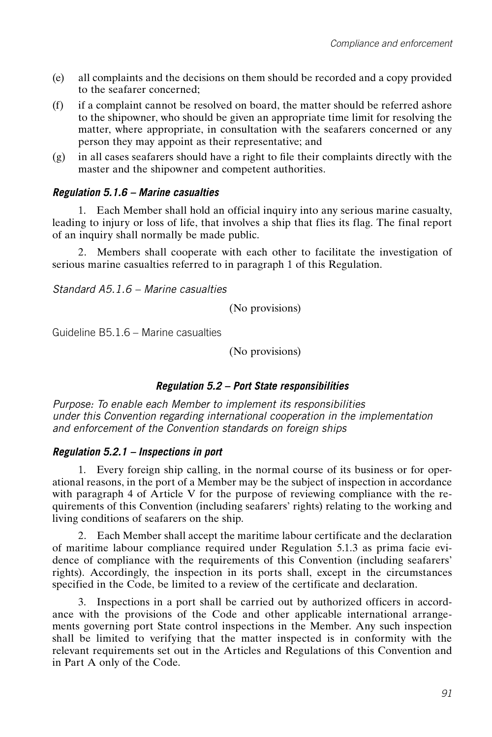- (e) all complaints and the decisions on them should be recorded and a copy provided to the seafarer concerned;
- (f) if a complaint cannot be resolved on board, the matter should be referred ashore to the shipowner, who should be given an appropriate time limit for resolving the matter, where appropriate, in consultation with the seafarers concerned or any person they may appoint as their representative; and
- (g) in all cases seafarers should have a right to file their complaints directly with the master and the shipowner and competent authorities.

# *Regulation 5.1.6 – Marine casualties*

1. Each Member shall hold an official inquiry into any serious marine casualty, leading to injury or loss of life, that involves a ship that flies its flag. The final report of an inquiry shall normally be made public.

Members shall cooperate with each other to facilitate the investigation of serious marine casualties referred to in paragraph 1 of this Regulation.

*Standard A5.1.6 – Marine casualties*

(No provisions)

Guideline B5.1.6 – Marine casualties

(No provisions)

## *Regulation 5.2 – Port State responsibilities*

*Purpose: To enable each Member to implement its responsibilities under this Convention regarding international cooperation in the implementation and enforcement of the Convention standards on foreign ships*

## *Regulation 5.2.1 – Inspections in port*

1. Every foreign ship calling, in the normal course of its business or for operational reasons, in the port of a Member may be the subject of inspection in accordance with paragraph 4 of Article V for the purpose of reviewing compliance with the requirements of this Convention (including seafarers' rights) relating to the working and living conditions of seafarers on the ship.

2. Each Member shall accept the maritime labour certificate and the declaration of maritime labour compliance required under Regulation 5.1.3 as prima facie evidence of compliance with the requirements of this Convention (including seafarers' rights). Accordingly, the inspection in its ports shall, except in the circumstances specified in the Code, be limited to a review of the certificate and declaration.

3. Inspections in a port shall be carried out by authorized officers in accordance with the provisions of the Code and other applicable international arrangements governing port State control inspections in the Member. Any such inspection shall be limited to verifying that the matter inspected is in conformity with the relevant requirements set out in the Articles and Regulations of this Convention and in Part A only of the Code.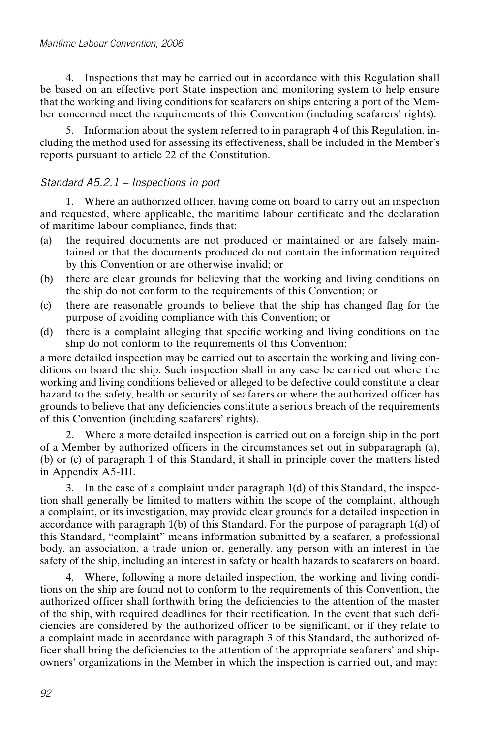4. Inspections that may be carried out in accordance with this Regulation shall be based on an effective port State inspection and monitoring system to help ensure that the working and living conditions for seafarers on ships entering a port of the Member concerned meet the requirements of this Convention (including seafarers' rights).

5. Information about the system referred to in paragraph 4 of this Regulation, including the method used for assessing its effectiveness, shall be included in the Member's reports pursuant to article 22 of the Constitution.

## *Standard A5.2.1 – Inspections in port*

1. Where an authorized officer, having come on board to carry out an inspection and requested, where applicable, the maritime labour certificate and the declaration of maritime labour compliance, finds that:

- (a) the required documents are not produced or maintained or are falsely maintained or that the documents produced do not contain the information required by this Convention or are otherwise invalid; or
- (b) there are clear grounds for believing that the working and living conditions on the ship do not conform to the requirements of this Convention; or
- (c) there are reasonable grounds to believe that the ship has changed flag for the purpose of avoiding compliance with this Convention; or
- (d) there is a complaint alleging that specific working and living conditions on the ship do not conform to the requirements of this Convention;

a more detailed inspection may be carried out to ascertain the working and living conditions on board the ship. Such inspection shall in any case be carried out where the working and living conditions believed or alleged to be defective could constitute a clear hazard to the safety, health or security of seafarers or where the authorized officer has grounds to believe that any deficiencies constitute a serious breach of the requirements of this Convention (including seafarers' rights).

2. Where a more detailed inspection is carried out on a foreign ship in the port of a Member by authorized officers in the circumstances set out in subparagraph (a), (b) or (c) of paragraph 1 of this Standard, it shall in principle cover the matters listed in Appendix A5-III.

3. In the case of a complaint under paragraph 1(d) of this Standard, the inspection shall generally be limited to matters within the scope of the complaint, although a complaint, or its investigation, may provide clear grounds for a detailed inspection in accordance with paragraph 1(b) of this Standard. For the purpose of paragraph 1(d) of this Standard, "complaint" means information submitted by a seafarer, a professional body, an association, a trade union or, generally, any person with an interest in the safety of the ship, including an interest in safety or health hazards to seafarers on board.

Where, following a more detailed inspection, the working and living conditions on the ship are found not to conform to the requirements of this Convention, the authorized officer shall forthwith bring the deficiencies to the attention of the master of the ship, with required deadlines for their rectification. In the event that such deficiencies are considered by the authorized officer to be significant, or if they relate to a complaint made in accordance with paragraph 3 of this Standard, the authorized officer shall bring the deficiencies to the attention of the appropriate seafarers' and shipowners' organizations in the Member in which the inspection is carried out, and may: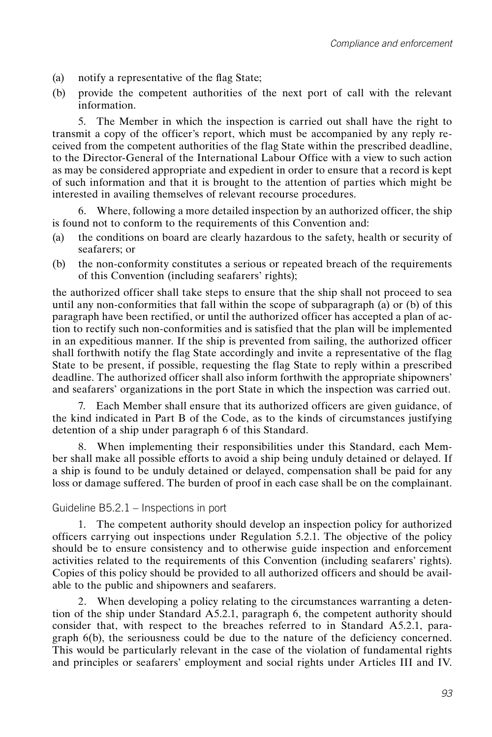- (a) notify a representative of the flag State;
- (b) provide the competent authorities of the next port of call with the relevant information.

5. The Member in which the inspection is carried out shall have the right to transmit a copy of the officer's report, which must be accompanied by any reply received from the competent authorities of the flag State within the prescribed deadline, to the Director-General of the International Labour Office with a view to such action as may be considered appropriate and expedient in order to ensure that a record is kept of such information and that it is brought to the attention of parties which might be interested in availing themselves of relevant recourse procedures.

6. Where, following a more detailed inspection by an authorized officer, the ship is found not to conform to the requirements of this Convention and:

- (a) the conditions on board are clearly hazardous to the safety, health or security of seafarers; or
- (b) the non-conformity constitutes a serious or repeated breach of the requirements of this Convention (including seafarers' rights);

the authorized officer shall take steps to ensure that the ship shall not proceed to sea until any non-conformities that fall within the scope of subparagraph (a) or (b) of this paragraph have been rectified, or until the authorized officer has accepted a plan of action to rectify such non-conformities and is satisfied that the plan will be implemented in an expeditious manner. If the ship is prevented from sailing, the authorized officer shall forthwith notify the flag State accordingly and invite a representative of the flag State to be present, if possible, requesting the flag State to reply within a prescribed deadline. The authorized officer shall also inform forthwith the appropriate shipowners' and seafarers' organizations in the port State in which the inspection was carried out.

7. Each Member shall ensure that its authorized officers are given guidance, of the kind indicated in Part B of the Code, as to the kinds of circumstances justifying detention of a ship under paragraph 6 of this Standard.

8. When implementing their responsibilities under this Standard, each Member shall make all possible efforts to avoid a ship being unduly detained or delayed. If a ship is found to be unduly detained or delayed, compensation shall be paid for any loss or damage suffered. The burden of proof in each case shall be on the complainant.

Guideline B5.2.1 – Inspections in port

1. The competent authority should develop an inspection policy for authorized officers carrying out inspections under Regulation 5.2.1. The objective of the policy should be to ensure consistency and to otherwise guide inspection and enforcement activities related to the requirements of this Convention (including seafarers' rights). Copies of this policy should be provided to all authorized officers and should be available to the public and shipowners and seafarers.

2. When developing a policy relating to the circumstances warranting a detention of the ship under Standard A5.2.1, paragraph 6, the competent authority should consider that, with respect to the breaches referred to in Standard A5.2.1, paragraph 6(b), the seriousness could be due to the nature of the deficiency concerned. This would be particularly relevant in the case of the violation of fundamental rights and principles or seafarers' employment and social rights under Articles III and IV.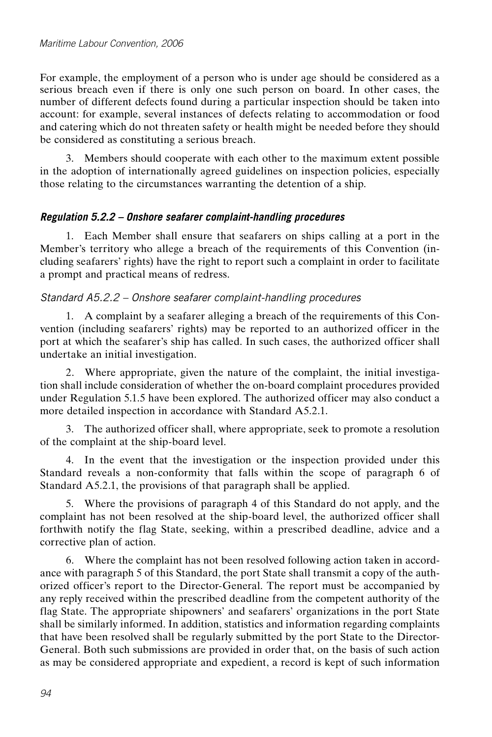For example, the employment of a person who is under age should be considered as a serious breach even if there is only one such person on board. In other cases, the number of different defects found during a particular inspection should be taken into account: for example, several instances of defects relating to accommodation or food and catering which do not threaten safety or health might be needed before they should be considered as constituting a serious breach.

3. Members should cooperate with each other to the maximum extent possible in the adoption of internationally agreed guidelines on inspection policies, especially those relating to the circumstances warranting the detention of a ship.

## *Regulation 5.2.2 – Onshore seafarer complaint-handling procedures*

1. Each Member shall ensure that seafarers on ships calling at a port in the Member's territory who allege a breach of the requirements of this Convention (including seafarers' rights) have the right to report such a complaint in order to facilitate a prompt and practical means of redress.

## *Standard A5.2.2 – Onshore seafarer complaint-handling procedures*

1. A complaint by a seafarer alleging a breach of the requirements of this Convention (including seafarers' rights) may be reported to an authorized officer in the port at which the seafarer's ship has called. In such cases, the authorized officer shall undertake an initial investigation.

2. Where appropriate, given the nature of the complaint, the initial investigation shall include consideration of whether the on-board complaint procedures provided under Regulation 5.1.5 have been explored. The authorized officer may also conduct a more detailed inspection in accordance with Standard A5.2.1.

3. The authorized officer shall, where appropriate, seek to promote a resolution of the complaint at the ship-board level.

4. In the event that the investigation or the inspection provided under this Standard reveals a non-conformity that falls within the scope of paragraph 6 of Standard A5.2.1, the provisions of that paragraph shall be applied.

5. Where the provisions of paragraph 4 of this Standard do not apply, and the complaint has not been resolved at the ship-board level, the authorized officer shall forthwith notify the flag State, seeking, within a prescribed deadline, advice and a corrective plan of action.

6. Where the complaint has not been resolved following action taken in accordance with paragraph 5 of this Standard, the port State shall transmit a copy of the authorized officer's report to the Director-General. The report must be accompanied by any reply received within the prescribed deadline from the competent authority of the flag State. The appropriate shipowners' and seafarers' organizations in the port State shall be similarly informed. In addition, statistics and information regarding complaints that have been resolved shall be regularly submitted by the port State to the Director-General. Both such submissions are provided in order that, on the basis of such action as may be considered appropriate and expedient, a record is kept of such information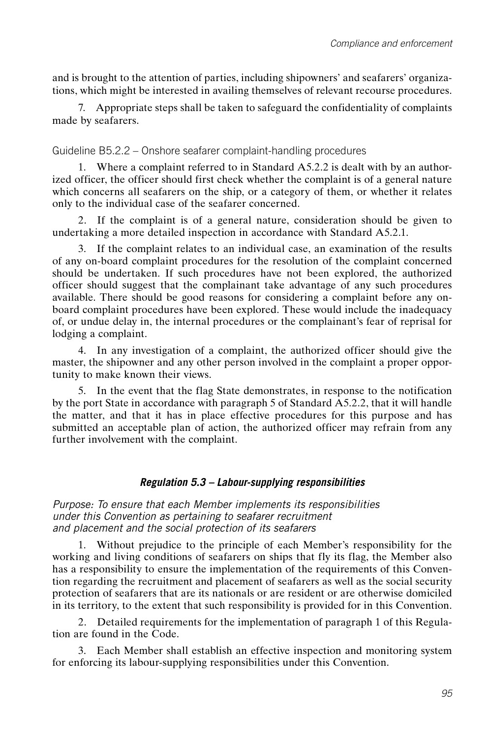and is brought to the attention of parties, including shipowners' and seafarers' organizations, which might be interested in availing themselves of relevant recourse procedures.

7. Appropriate steps shall be taken to safeguard the confidentiality of complaints made by seafarers.

## Guideline B5.2.2 – Onshore seafarer complaint-handling procedures

1. Where a complaint referred to in Standard A5.2.2 is dealt with by an authorized officer, the officer should first check whether the complaint is of a general nature which concerns all seafarers on the ship, or a category of them, or whether it relates only to the individual case of the seafarer concerned.

2. If the complaint is of a general nature, consideration should be given to undertaking a more detailed inspection in accordance with Standard A5.2.1.

3. If the complaint relates to an individual case, an examination of the results of any on-board complaint procedures for the resolution of the complaint concerned should be undertaken. If such procedures have not been explored, the authorized officer should suggest that the complainant take advantage of any such procedures available. There should be good reasons for considering a complaint before any onboard complaint procedures have been explored. These would include the inadequacy of, or undue delay in, the internal procedures or the complainant's fear of reprisal for lodging a complaint.

4. In any investigation of a complaint, the authorized officer should give the master, the shipowner and any other person involved in the complaint a proper opportunity to make known their views.

5. In the event that the flag State demonstrates, in response to the notification by the port State in accordance with paragraph 5 of Standard A5.2.2, that it will handle the matter, and that it has in place effective procedures for this purpose and has submitted an acceptable plan of action, the authorized officer may refrain from any further involvement with the complaint.

## *Regulation 5.3 – Labour-supplying responsibilities*

*Purpose: To ensure that each Member implements its responsibilities under this Convention as pertaining to seafarer recruitment and placement and the social protection of its seafarers*

1. Without prejudice to the principle of each Member's responsibility for the working and living conditions of seafarers on ships that fly its flag, the Member also has a responsibility to ensure the implementation of the requirements of this Convention regarding the recruitment and placement of seafarers as well as the social security protection of seafarers that are its nationals or are resident or are otherwise domiciled in its territory, to the extent that such responsibility is provided for in this Convention.

2. Detailed requirements for the implementation of paragraph 1 of this Regulation are found in the Code.

3. Each Member shall establish an effective inspection and monitoring system for enforcing its labour-supplying responsibilities under this Convention.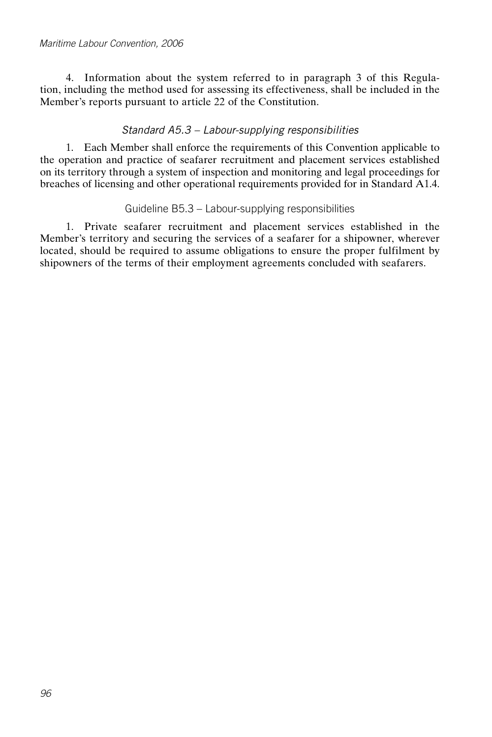4. Information about the system referred to in paragraph 3 of this Regulation, including the method used for assessing its effectiveness, shall be included in the Member's reports pursuant to article 22 of the Constitution.

# *Standard A5.3 – Labour-supplying responsibilities*

1. Each Member shall enforce the requirements of this Convention applicable to the operation and practice of seafarer recruitment and placement services established on its territory through a system of inspection and monitoring and legal proceedings for breaches of licensing and other operational requirements provided for in Standard A1.4.

# Guideline B5.3 – Labour-supplying responsibilities

1. Private seafarer recruitment and placement services established in the Member's territory and securing the services of a seafarer for a shipowner, wherever located, should be required to assume obligations to ensure the proper fulfilment by shipowners of the terms of their employment agreements concluded with seafarers.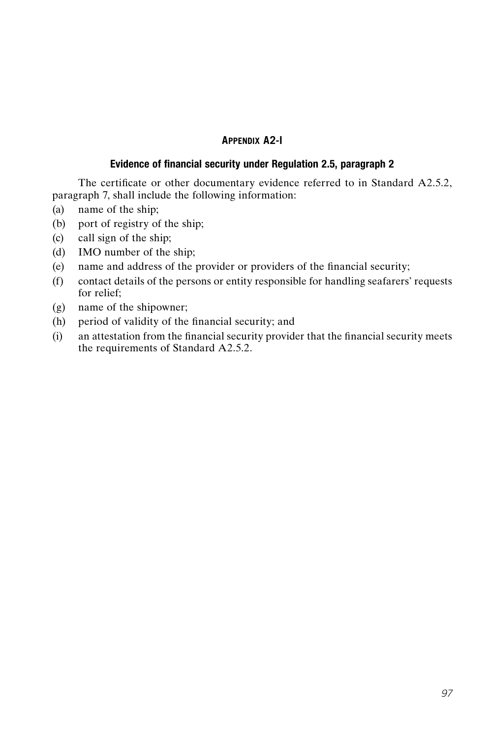## **Appendix A2-I**

## Evidence of financial security under Regulation 2.5, paragraph 2

The certificate or other documentary evidence referred to in Standard A2.5.2, paragraph 7, shall include the following information:

- (a) name of the ship;
- (b) port of registry of the ship;
- (c) call sign of the ship;
- (d) IMO number of the ship;
- (e) name and address of the provider or providers of the financial security;
- (f) contact details of the persons or entity responsible for handling seafarers' requests for relief;
- (g) name of the shipowner;
- (h) period of validity of the financial security; and
- (i) an attestation from the financial security provider that the financial security meets the requirements of Standard A2.5.2.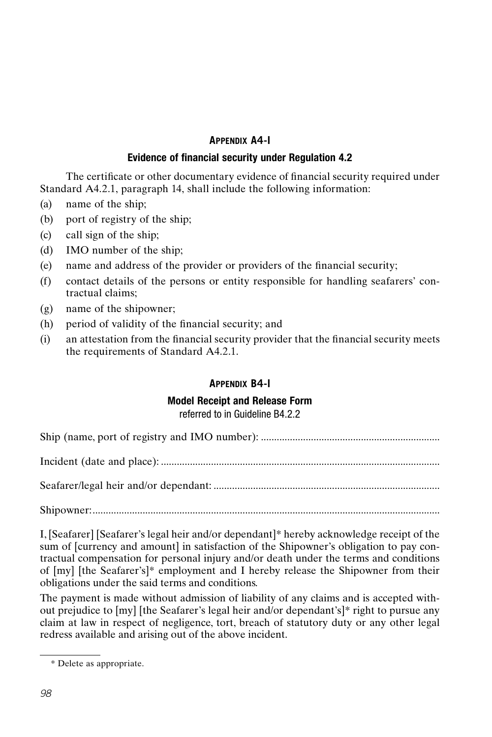## **Appendix A4-I**

## Evidence of financial security under Regulation 4.2

The certificate or other documentary evidence of financial security required under Standard A4.2.1, paragraph 14, shall include the following information:

- (a) name of the ship;
- (b) port of registry of the ship;
- (c) call sign of the ship;
- (d) IMO number of the ship;
- (e) name and address of the provider or providers of the financial security;
- (f) contact details of the persons or entity responsible for handling seafarers' contractual claims;
- (g) name of the shipowner;
- (h) period of validity of the financial security; and
- (i) an attestation from the financial security provider that the financial security meets the requirements of Standard A4.2.1.

## **Appendix B4-I**

# Model Receipt and Release Form

referred to in Guideline B4.2.2

Ship (name, port of registry and IMO number): .................................................................... Incident (date and place): .......................................................................................................... Seafarer/legal heir and/or dependant: ......................................................................................

Shipowner:....................................................................................................................................

I, [Seafarer] [Seafarer's legal heir and/or dependant]\* hereby acknowledge receipt of the sum of [currency and amount] in satisfaction of the Shipowner's obligation to pay contractual compensation for personal injury and/or death under the terms and conditions of [my] [the Seafarer's]\* employment and I hereby release the Shipowner from their obligations under the said terms and conditions.

The payment is made without admission of liability of any claims and is accepted without prejudice to [my] [the Seafarer's legal heir and/or dependant's]\* right to pursue any claim at law in respect of negligence, tort, breach of statutory duty or any other legal redress available and arising out of the above incident.

<sup>\*</sup> Delete as appropriate.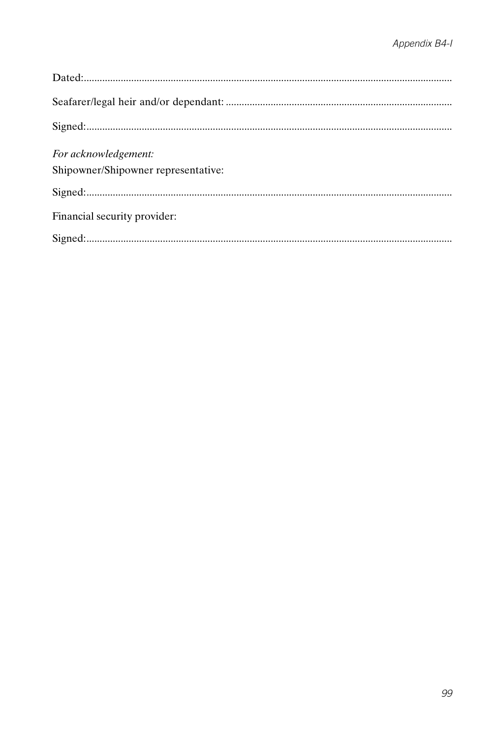| For acknowledgement:<br>Shipowner/Shipowner representative: |
|-------------------------------------------------------------|
|                                                             |
| Financial security provider:                                |
|                                                             |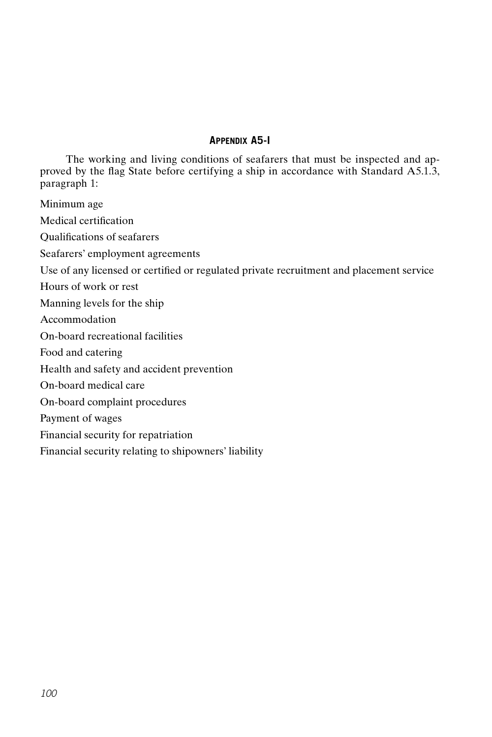## **Appendix A5-I**

The working and living conditions of seafarers that must be inspected and approved by the flag State before certifying a ship in accordance with Standard A5.1.3, paragraph 1:

Minimum age

Medical certification

Qualifications of seafarers

Seafarers' employment agreements

Use of any licensed or certified or regulated private recruitment and placement service

Hours of work or rest

Manning levels for the ship

Accommodation

On-board recreational facilities

Food and catering

Health and safety and accident prevention

On-board medical care

On-board complaint procedures

Payment of wages

Financial security for repatriation

Financial security relating to shipowners' liability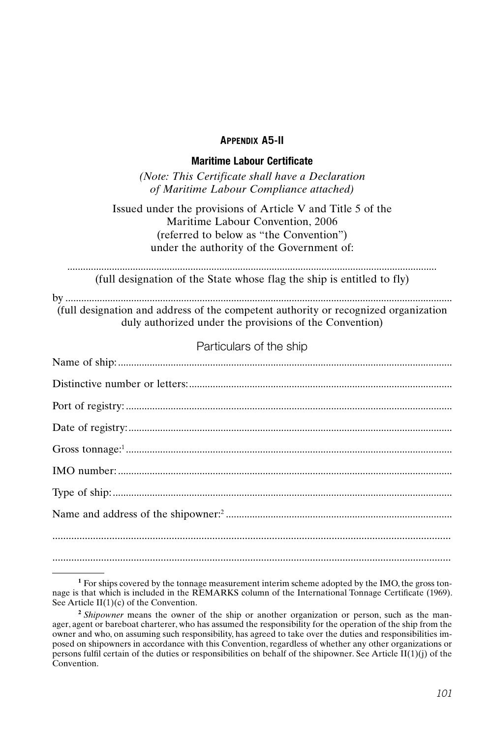# **Appendix A5-II** Maritime Labour Certificate *(Note: This Certificate shall have a Declaration of Maritime Labour Compliance attached)* Issued under the provisions of Article V and Title 5 of the Maritime Labour Convention, 2006 (referred to below as "the Convention") under the authority of the Government of: ............................................................................................................................................. (full designation of the State whose flag the ship is entitled to fly) by ................................................................................................................................................... (full designation and address of the competent authority or recognized organization duly authorized under the provisions of the Convention) Particulars of the ship Name of ship:............................................................................................................................... Distinctive number or letters:.................................................................................................... Port of registry: ............................................................................................................................ Date of registry:........................................................................................................................... Gross tonnage:1 ............................................................................................................................ IMO number: ............................................................................................................................... Type of ship:................................................................................................................................. Name and address of the shipowner:2 ...................................................................................... ................................................................................................................................................... ...................................................................................................................................................

<sup>&</sup>lt;sup>1</sup> For ships covered by the tonnage measurement interim scheme adopted by the IMO, the gross tonnage is that which is included in the REMARKS column of the International Tonnage Certificate (1969). See Article  $II(1)(c)$  of the Convention.

**<sup>2</sup>** *Shipowner* means the owner of the ship or another organization or person, such as the manager, agent or bareboat charterer, who has assumed the responsibility for the operation of the ship from the owner and who, on assuming such responsibility, has agreed to take over the duties and responsibilities imposed on shipowners in accordance with this Convention, regardless of whether any other organizations or persons fulfil certain of the duties or responsibilities on behalf of the shipowner. See Article  $II(1)(i)$  of the Convention.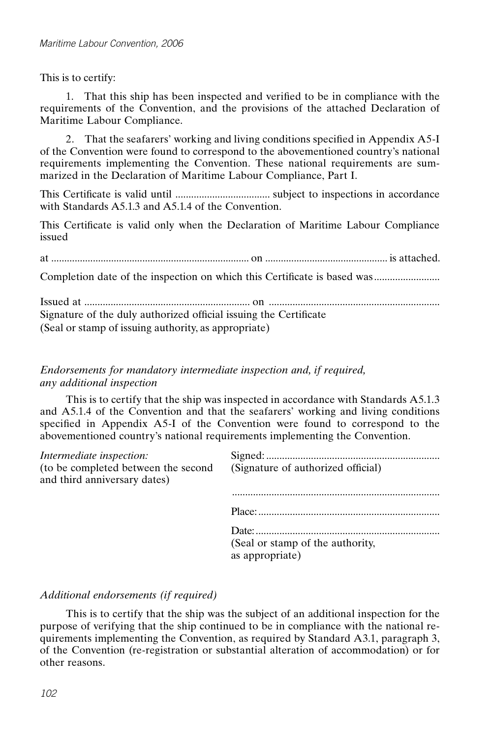#### This is to certify:

1. That this ship has been inspected and verified to be in compliance with the requirements of the Convention, and the provisions of the attached Declaration of Maritime Labour Compliance.

2. That the seafarers' working and living conditions specified in Appendix A5-I of the Convention were found to correspond to the abovementioned country's national requirements implementing the Convention. These national requirements are summarized in the Declaration of Maritime Labour Compliance, Part I.

This Certificate is valid until .................................... subject to inspections in accordance with Standards A5.1.3 and A5.1.4 of the Convention.

This Certificate is valid only when the Declaration of Maritime Labour Compliance issued

at ............................................................................ on ............................................... is attached.

Completion date of the inspection on which this Certificate is based was.........................

| Signature of the duly authorized official issuing the Certificate |
|-------------------------------------------------------------------|
| (Seal or stamp of issuing authority, as appropriate)              |

# *Endorsements for mandatory intermediate inspection and, if required, any additional inspection*

This is to certify that the ship was inspected in accordance with Standards A5.1.3 and A5.1.4 of the Convention and that the seafarers' working and living conditions specified in Appendix A5-I of the Convention were found to correspond to the abovementioned country's national requirements implementing the Convention.

| Intermediate inspection:<br>(to be completed between the second<br>and third anniversary dates) | (Signature of authorized official)                  |
|-------------------------------------------------------------------------------------------------|-----------------------------------------------------|
|                                                                                                 |                                                     |
|                                                                                                 |                                                     |
|                                                                                                 | (Seal or stamp of the authority,<br>as appropriate) |

## *Additional endorsements (if required)*

This is to certify that the ship was the subject of an additional inspection for the purpose of verifying that the ship continued to be in compliance with the national requirements implementing the Convention, as required by Standard A3.1, paragraph 3, of the Convention (re-registration or substantial alteration of accommodation) or for other reasons.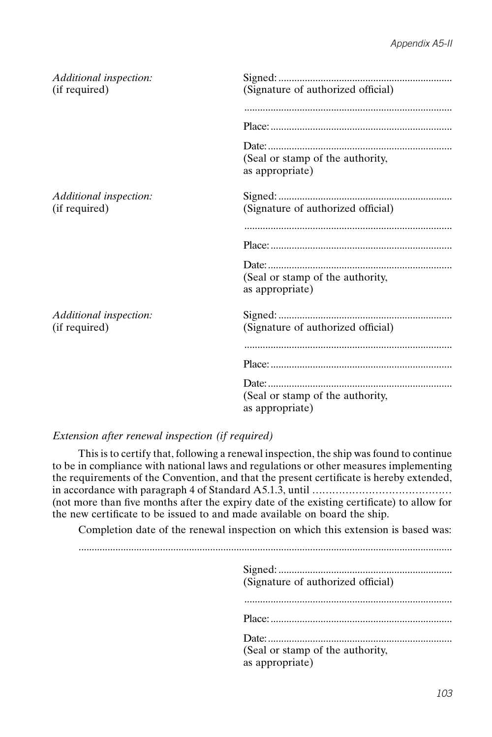| Additional inspection:<br>(if required) | (Signature of authorized official)                  |
|-----------------------------------------|-----------------------------------------------------|
|                                         |                                                     |
|                                         | (Seal or stamp of the authority,<br>as appropriate) |
| Additional inspection:<br>(if required) | (Signature of authorized official)                  |
|                                         |                                                     |
|                                         |                                                     |
|                                         | (Seal or stamp of the authority,<br>as appropriate) |
| Additional inspection:                  |                                                     |
| (if required)                           | (Signature of authorized official)                  |
|                                         |                                                     |
|                                         |                                                     |
|                                         | (Seal or stamp of the authority,<br>as appropriate) |

# *Extension after renewal inspection (if required)*

This is to certify that, following a renewal inspection, the ship was found to continue to be in compliance with national laws and regulations or other measures implementing the requirements of the Convention, and that the present certificate is hereby extended, in accordance with paragraph 4 of Standard A5.1.3, until ……………………………………………………………… (not more than five months after the expiry date of the existing certificate) to allow for the new certificate to be issued to and made available on board the ship.

Completion date of the renewal inspection on which this extension is based was:

| (Signature of authorized official) |
|------------------------------------|
|                                    |
| (Seal or stamp of the authority,   |
| as appropriate)                    |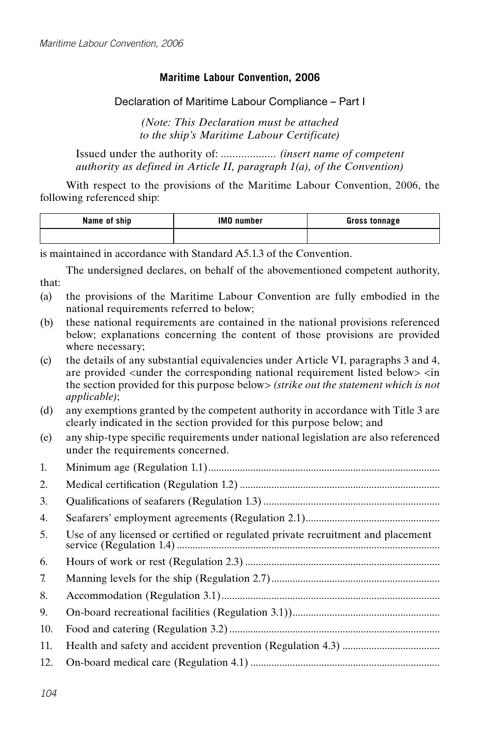## **Maritime Labour Convention, 2006**

Declaration of Maritime Labour Compliance – Part I

*(Note: This Declaration must be attached to the ship's Maritime Labour Certificate)*

Issued under the authority of: *................... (insert name of competent authority as defined in Article II, paragraph 1(a), of the Convention)*

With respect to the provisions of the Maritime Labour Convention, 2006, the following referenced ship:

| Name of ship | <b>IMO</b> number | Gross tonnage |
|--------------|-------------------|---------------|
|              |                   |               |

is maintained in accordance with Standard A5.1.3 of the Convention.

The undersigned declares, on behalf of the abovementioned competent authority, that:

- (a) the provisions of the Maritime Labour Convention are fully embodied in the national requirements referred to below;
- (b) these national requirements are contained in the national provisions referenced below; explanations concerning the content of those provisions are provided where necessary;
- (c) the details of any substantial equivalencies under Article VI, paragraphs 3 and 4, are provided  $\alpha$  and  $\alpha$  the corresponding national requirement listed below  $\alpha$  in the section provided for this purpose below> *(strike out the statement which is not applicable)*;
- (d) any exemptions granted by the competent authority in accordance with Title 3 are clearly indicated in the section provided for this purpose below; and
- (e) any ship-type specific requirements under national legislation are also referenced under the requirements concerned.

| 1.  |                                                                                 |
|-----|---------------------------------------------------------------------------------|
| 2.  |                                                                                 |
| 3.  |                                                                                 |
| 4.  |                                                                                 |
| 5.  | Use of any licensed or certified or regulated private recruitment and placement |
| 6.  |                                                                                 |
| 7.  |                                                                                 |
| 8.  |                                                                                 |
| 9.  |                                                                                 |
| 10. |                                                                                 |
| 11. |                                                                                 |
| 12. |                                                                                 |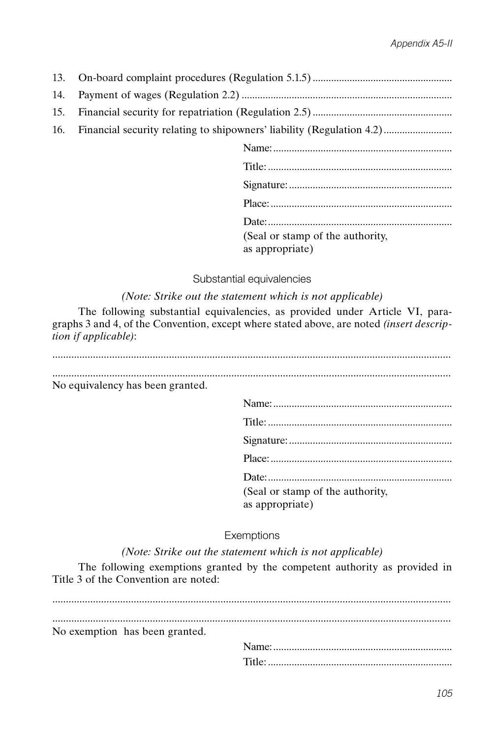| 14. |                                                                           |  |  |
|-----|---------------------------------------------------------------------------|--|--|
| 15. |                                                                           |  |  |
|     | 16. Financial security relating to shipowners' liability (Regulation 4.2) |  |  |
|     |                                                                           |  |  |
|     |                                                                           |  |  |
|     |                                                                           |  |  |
|     |                                                                           |  |  |
|     |                                                                           |  |  |
|     | (Seal or stamp of the authority,<br>as appropriate)                       |  |  |

Substantial equivalencies

*(Note: Strike out the statement which is not applicable)*

The following substantial equivalencies, as provided under Article VI, paragraphs 3 and 4, of the Convention, except where stated above, are noted *(insert description if applicable)*:

................................................................................................................................................... ...................................................................................................................................................

No equivalency has been granted.

| (Seal or stamp of the authority,<br>as appropriate) |
|-----------------------------------------------------|

**Exemptions** 

*(Note: Strike out the statement which is not applicable)*

The following exemptions granted by the competent authority as provided in Title 3 of the Convention are noted:

| No exemption has been granted. |  |  |
|--------------------------------|--|--|
|                                |  |  |
|                                |  |  |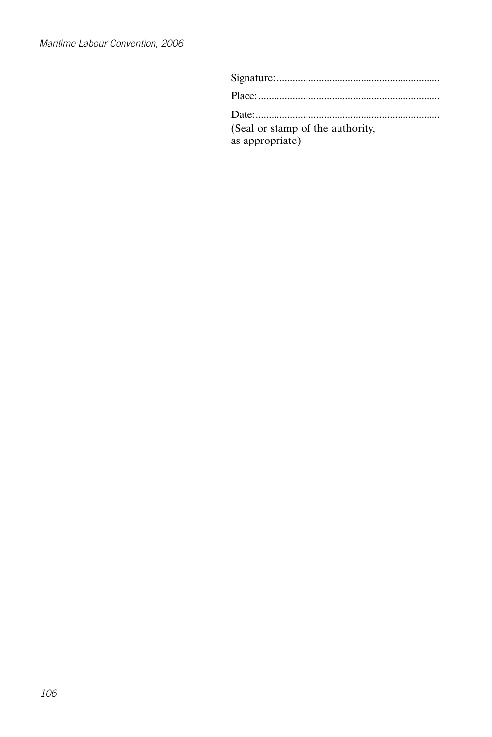| (Seal or stamp of the authority, |
|----------------------------------|
| as appropriate)                  |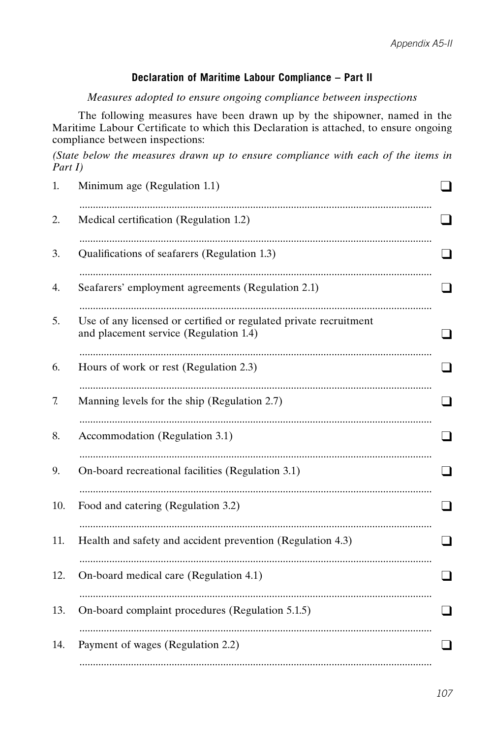### **Declaration of Maritime Labour Compliance – Part II**

## *Measures adopted to ensure ongoing compliance between inspections*

The following measures have been drawn up by the shipowner, named in the Maritime Labour Certificate to which this Declaration is attached, to ensure ongoing compliance between inspections:

*(State below the measures drawn up to ensure compliance with each of the items in Part I)*

| 1.  | Minimum age (Regulation 1.1)                                                                                |        |
|-----|-------------------------------------------------------------------------------------------------------------|--------|
| 2.  | Medical certification (Regulation 1.2)                                                                      |        |
| 3.  | Qualifications of seafarers (Regulation 1.3)                                                                |        |
| 4.  | Seafarers' employment agreements (Regulation 2.1)                                                           |        |
| 5.  | Use of any licensed or certified or regulated private recruitment<br>and placement service (Regulation 1.4) |        |
| 6.  | Hours of work or rest (Regulation 2.3)                                                                      |        |
| 7.  | Manning levels for the ship (Regulation 2.7)                                                                | - 1    |
| 8.  | Accommodation (Regulation 3.1)                                                                              | ப      |
| 9.  | On-board recreational facilities (Regulation 3.1)                                                           |        |
| 10. | Food and catering (Regulation 3.2)                                                                          | $\Box$ |
| 11. | Health and safety and accident prevention (Regulation 4.3)                                                  | ப      |
| 12. | On-board medical care (Regulation 4.1)                                                                      |        |
| 13. | On-board complaint procedures (Regulation 5.1.5)                                                            | - 1    |
| 14. | Payment of wages (Regulation 2.2)                                                                           |        |
|     |                                                                                                             |        |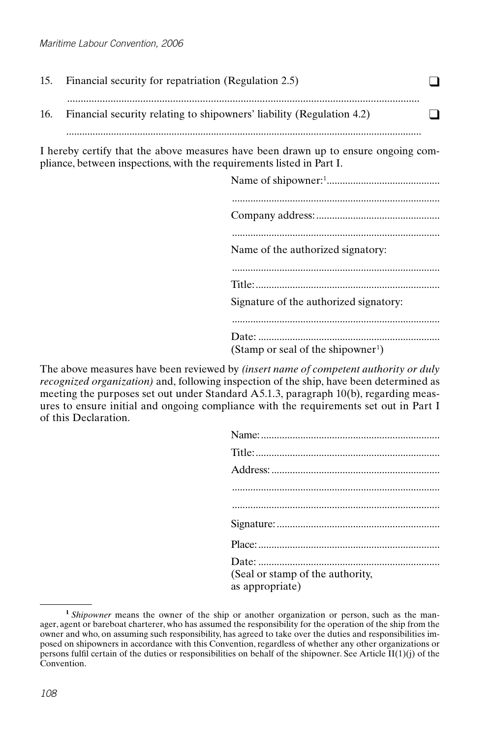| 15. Financial security for repatriation (Regulation 2.5)                  |  |
|---------------------------------------------------------------------------|--|
| 16. Financial security relating to shipowners' liability (Regulation 4.2) |  |
|                                                                           |  |

I hereby certify that the above measures have been drawn up to ensure ongoing compliance, between inspections, with the requirements listed in Part I.

| Name of the authorized signatory:              |
|------------------------------------------------|
|                                                |
|                                                |
| Signature of the authorized signatory:         |
|                                                |
| (Stamp or seal of the shipowner <sup>1</sup> ) |

The above measures have been reviewed by *(insert name of competent authority or duly recognized organization)* and, following inspection of the ship, have been determined as meeting the purposes set out under Standard A5.1.3, paragraph 10(b), regarding measures to ensure initial and ongoing compliance with the requirements set out in Part I of this Declaration.

| (Seal or stamp of the authority,<br>as appropriate) |
|-----------------------------------------------------|

**<sup>1</sup>** *Shipowner* means the owner of the ship or another organization or person, such as the manager, agent or bareboat charterer, who has assumed the responsibility for the operation of the ship from the owner and who, on assuming such responsibility, has agreed to take over the duties and responsibilities imposed on shipowners in accordance with this Convention, regardless of whether any other organizations or persons fulfil certain of the duties or responsibilities on behalf of the shipowner. See Article II(1)(j) of the Convention.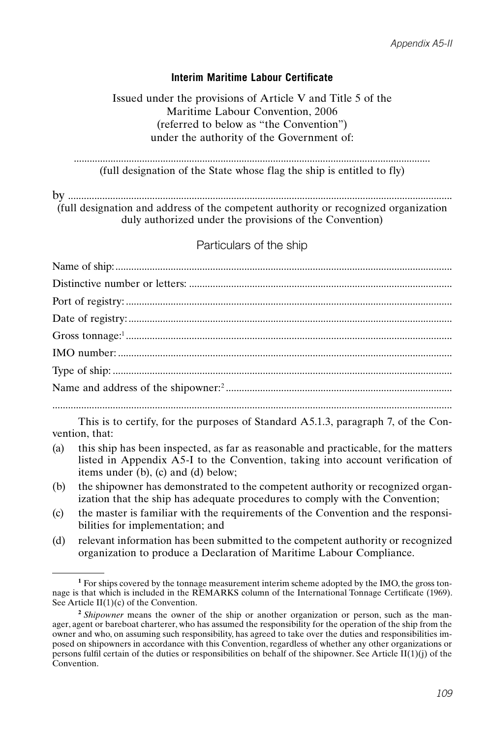#### **Interim Maritime Labour Certificate**

### Issued under the provisions of Article V and Title 5 of the Maritime Labour Convention, 2006 (referred to below as "the Convention") under the authority of the Government of:

........................................................................................................................................ (full designation of the State whose flag the ship is entitled to fly)

by .................................................................................................................................................. (full designation and address of the competent authority or recognized organization duly authorized under the provisions of the Convention)

# Particulars of the ship

This is to certify, for the purposes of Standard A5.1.3, paragraph 7, of the Convention, that:

- (a) this ship has been inspected, as far as reasonable and practicable, for the matters listed in Appendix A5-I to the Convention, taking into account verification of items under (b), (c) and (d) below;
- (b) the shipowner has demonstrated to the competent authority or recognized organization that the ship has adequate procedures to comply with the Convention;
- (c) the master is familiar with the requirements of the Convention and the responsibilities for implementation; and
- (d) relevant information has been submitted to the competent authority or recognized organization to produce a Declaration of Maritime Labour Compliance.

<sup>&</sup>lt;sup>1</sup> For ships covered by the tonnage measurement interim scheme adopted by the IMO, the gross tonnage is that which is included in the REMARKS column of the International Tonnage Certificate (1969). See Article  $II(1)(c)$  of the Convention.

**<sup>2</sup>** *Shipowner* means the owner of the ship or another organization or person, such as the manager, agent or bareboat charterer, who has assumed the responsibility for the operation of the ship from the owner and who, on assuming such responsibility, has agreed to take over the duties and responsibilities imposed on shipowners in accordance with this Convention, regardless of whether any other organizations or persons fulfil certain of the duties or responsibilities on behalf of the shipowner. See Article  $\text{II}(1)(j)$  of the Convention.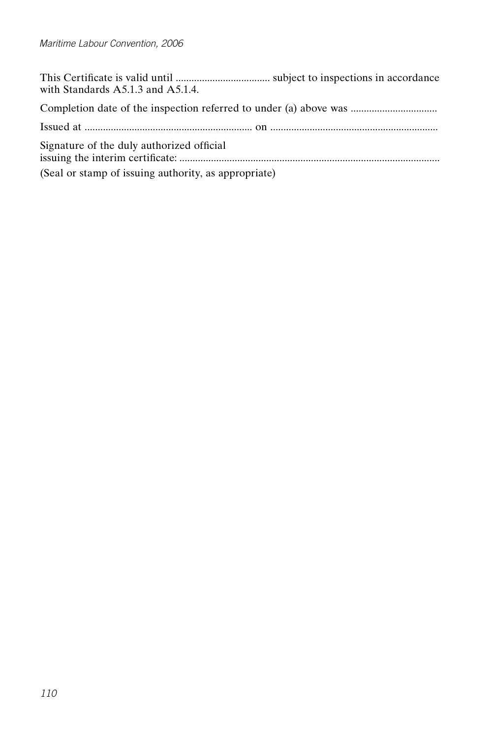### *Maritime Labour Convention, 2006*

| with Standards $A5.1.3$ and $A5.1.4$ .               |  |  |  |  |
|------------------------------------------------------|--|--|--|--|
|                                                      |  |  |  |  |
|                                                      |  |  |  |  |
| Signature of the duly authorized official            |  |  |  |  |
| (Seal or stamp of issuing authority, as appropriate) |  |  |  |  |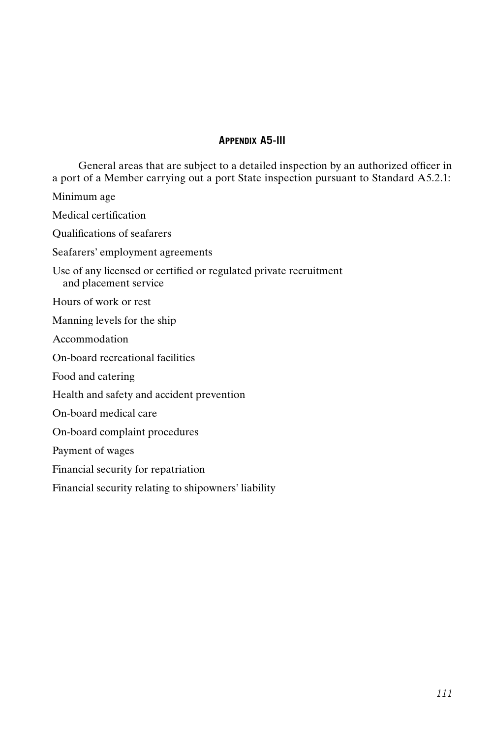### **Appendix A5-III**

General areas that are subject to a detailed inspection by an authorized officer in a port of a Member carrying out a port State inspection pursuant to Standard A5.2.1:

Minimum age

Medical certification

Qualifications of seafarers

Seafarers' employment agreements

Use of any licensed or certified or regulated private recruitment and placement service

Hours of work or rest

Manning levels for the ship

Accommodation

On-board recreational facilities

Food and catering

Health and safety and accident prevention

On-board medical care

On-board complaint procedures

Payment of wages

Financial security for repatriation

Financial security relating to shipowners' liability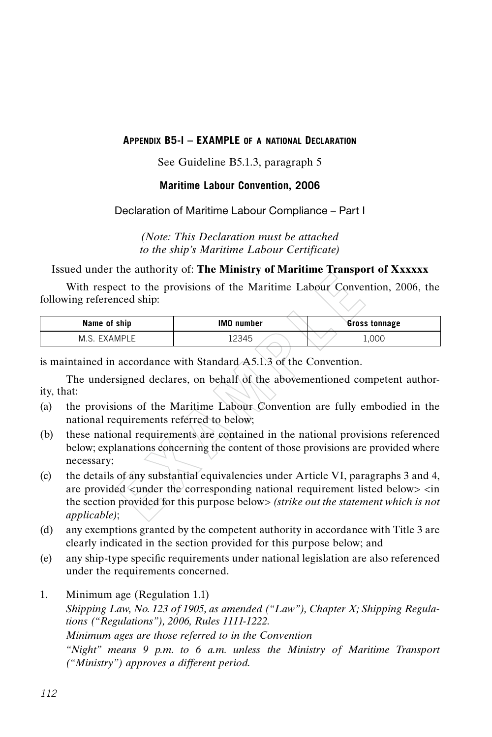# **Appendix B5-I – EXAMPLE of a national Declaration**

### See Guideline B5.1.3, paragraph 5

### **Maritime Labour Convention, 2006**

### Declaration of Maritime Labour Compliance – Part I

*(Note: This Declaration must be attached to the ship's Maritime Labour Certificate)*

Issued under the authority of: **The Ministry of Maritime Transport of Xxxxxx**

With respect to the provisions of the Maritime Labour Convention, 2006, the following referenced ship:

| Name of ship | <b>IMO</b> number | <b>Gross tonnage</b> |
|--------------|-------------------|----------------------|
| ΆΜΡΙ<br>M.S  | .2345             | 00C                  |

is maintained in accordance with Standard A5.1.3 of the Convention.

The undersigned declares, on behalf of the abovementioned competent authority, that:

- (a) the provisions of the Maritime Labour Convention are fully embodied in the national requirements referred to below;
- (b) these national requirements are contained in the national provisions referenced below; explanations concerning the content of those provisions are provided where necessary;
- The distribution of the Maritime Labour Convenced ship:<br> **EXAMPLE** 12345<br> **EXAMPLE** 12345<br> **EXAMPLE** 12345<br> **EXAMPLE** 12345<br> **EXAMPLE** 12345<br> **EXAMPLE** 12345<br> **EXAMPLE** 12345<br> **EXAMPLE** 12345<br> **EXAMPLE** 12345<br> **EXAMPLE** 12 (c) the details of any substantial equivalencies under Article VI, paragraphs 3 and 4, are provided  $\langle$ under the corresponding national requirement listed below $>$   $\langle$ in the section provided for this purpose below> *(strike out the statement which is not applicable)*;
- (d) any exemptions granted by the competent authority in accordance with Title 3 are clearly indicated in the section provided for this purpose below; and
- (e) any ship-type specific requirements under national legislation are also referenced under the requirements concerned.
- 1. Minimum age (Regulation 1.1) *Shipping Law, No. 123 of 1905, as amended ("Law"), Chapter X; Shipping Regulations ("Regulations"), 2006, Rules 1111-1222. Minimum ages are those referred to in the Convention "Night" means 9 p.m. to 6 a.m. unless the Ministry of Maritime Transport ("Ministry") approves a different period.*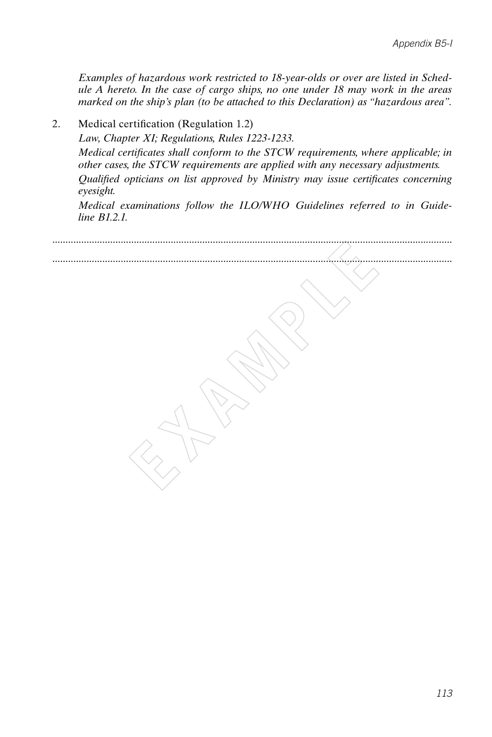*Examples of hazardous work restricted to 18-year-olds or over are listed in Schedule A hereto. In the case of cargo ships, no one under 18 may work in the areas marked on the ship's plan (to be attached to this Declaration) as "hazardous area".*

2. Medical certification (Regulation 1.2)

*Law, Chapter XI; Regulations, Rules 1223-1233. Medical certificates shall conform to the STCW requirements, where applicable; in other cases, the STCW requirements are applied with any necessary adjustments. Qualified opticians on list approved by Ministry may issue certificates concerning* 

*eyesight.*

*Medical examinations follow the ILO/WHO Guidelines referred to in Guideline B1.2.1.*

........................................................................................................................................................

**EXAMPLE** ........................................................................................................................................................